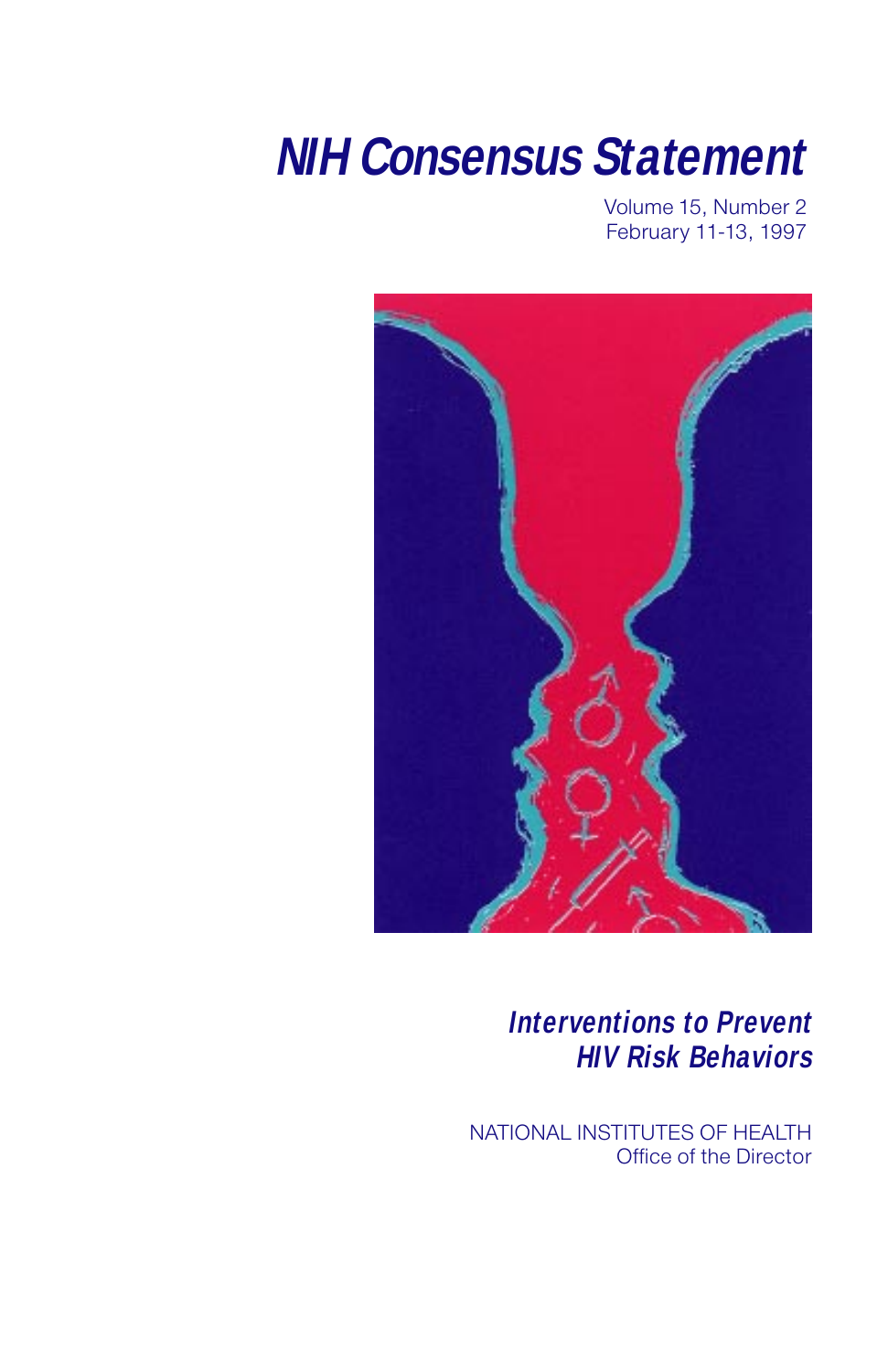# **NIH Consensus Statement**

Volume 15, Number 2 February 11-13, 1997



**Interventions to Prevent HIV Risk Behaviors** 

NATIONAL INSTITUTES OF HEALTH Office of the Director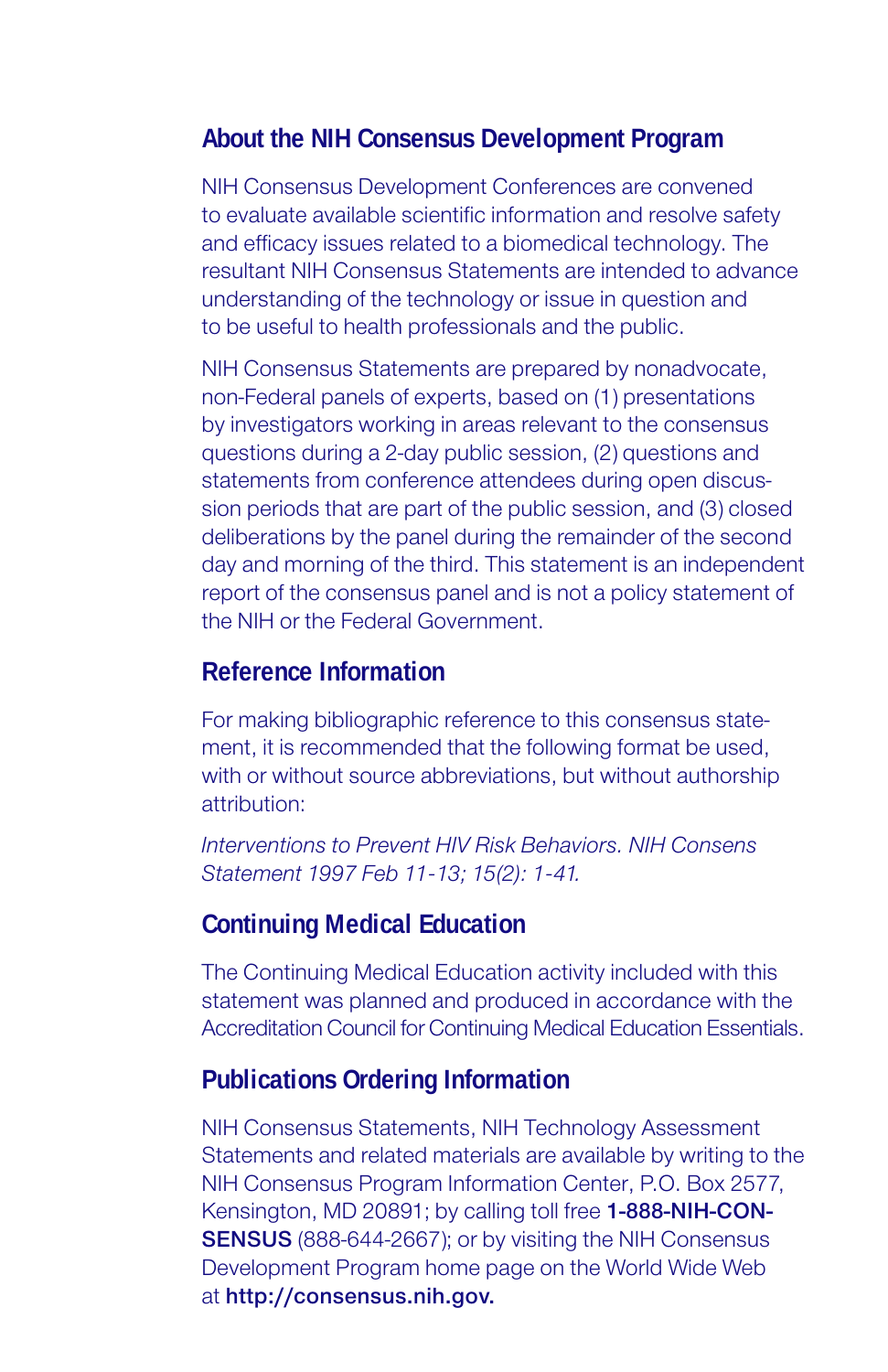### **About the NIH Consensus Development Program**

NIH Consensus Development Conferences are convened to evaluate available scientific information and resolve safety and efficacy issues related to a biomedical technology. The resultant NIH Consensus Statements are intended to advance understanding of the technology or issue in question and to be useful to health professionals and the public.

NIH Consensus Statements are prepared by nonadvocate, non-Federal panels of experts, based on (1) presentations by investigators working in areas relevant to the consensus questions during a 2-day public session, (2) questions and statements from conference attendees during open discussion periods that are part of the public session, and (3) closed deliberations by the panel during the remainder of the second day and morning of the third. This statement is an independent report of the consensus panel and is not a policy statement of the NIH or the Federal Government.

## **Reference Information**

For making bibliographic reference to this consensus statement, it is recommended that the following format be used, with or without source abbreviations, but without authorship attribution:

Interventions to Prevent HIV Risk Behaviors. NIH Consens Statement 1997 Feb 11-13; 15(2): 1-41.

### **Continuing Medical Education**

The Continuing Medical Education activity included with this statement was planned and produced in accordance with the Accreditation Council for Continuing Medical Education Essentials.

## **Publications Ordering Information**

NIH Consensus Statements, NIH Technology Assessment Statements and related materials are available by writing to the NIH Consensus Program Information Center, P.O. Box 2577, Kensington, MD 20891; by calling toll free 1-888-NIH-CON-**SENSUS** (888-644-2667); or by visiting the NIH Consensus Development Program home page on the World Wide Web at http://consensus.nih.gov.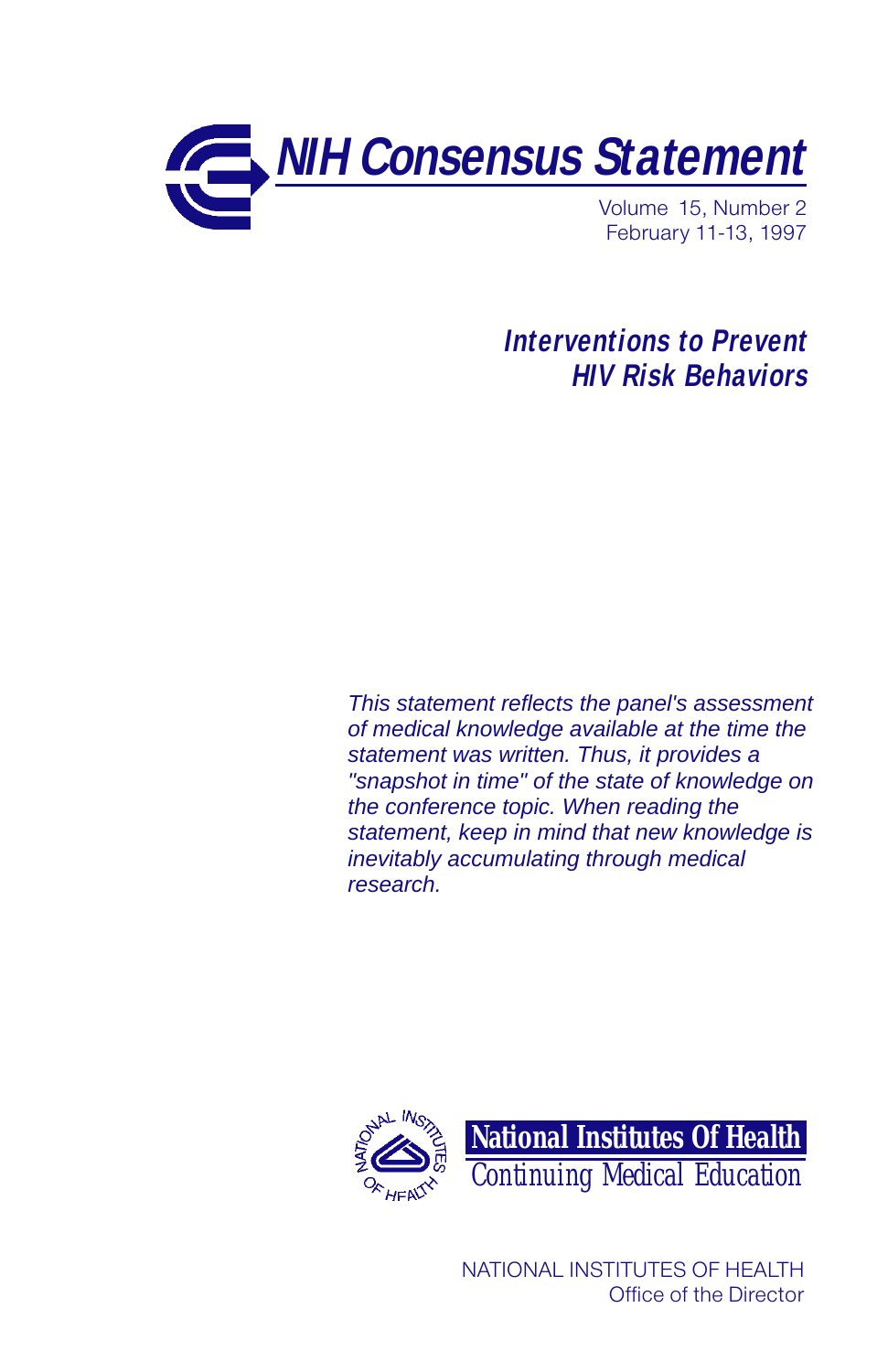

**Interventions to Prevent HIV Risk Behaviors** 

This statement reflects the panel's assessment of medical knowledge available at the time the statement was written. Thus, it provides a "snapshot in time" of the state of knowledge on the conference topic. When reading the statement, keep in mind that new knowledge is inevitably accumulating through medical research.



NATIONAL INSTITUTES OF HEALTH Office of the Director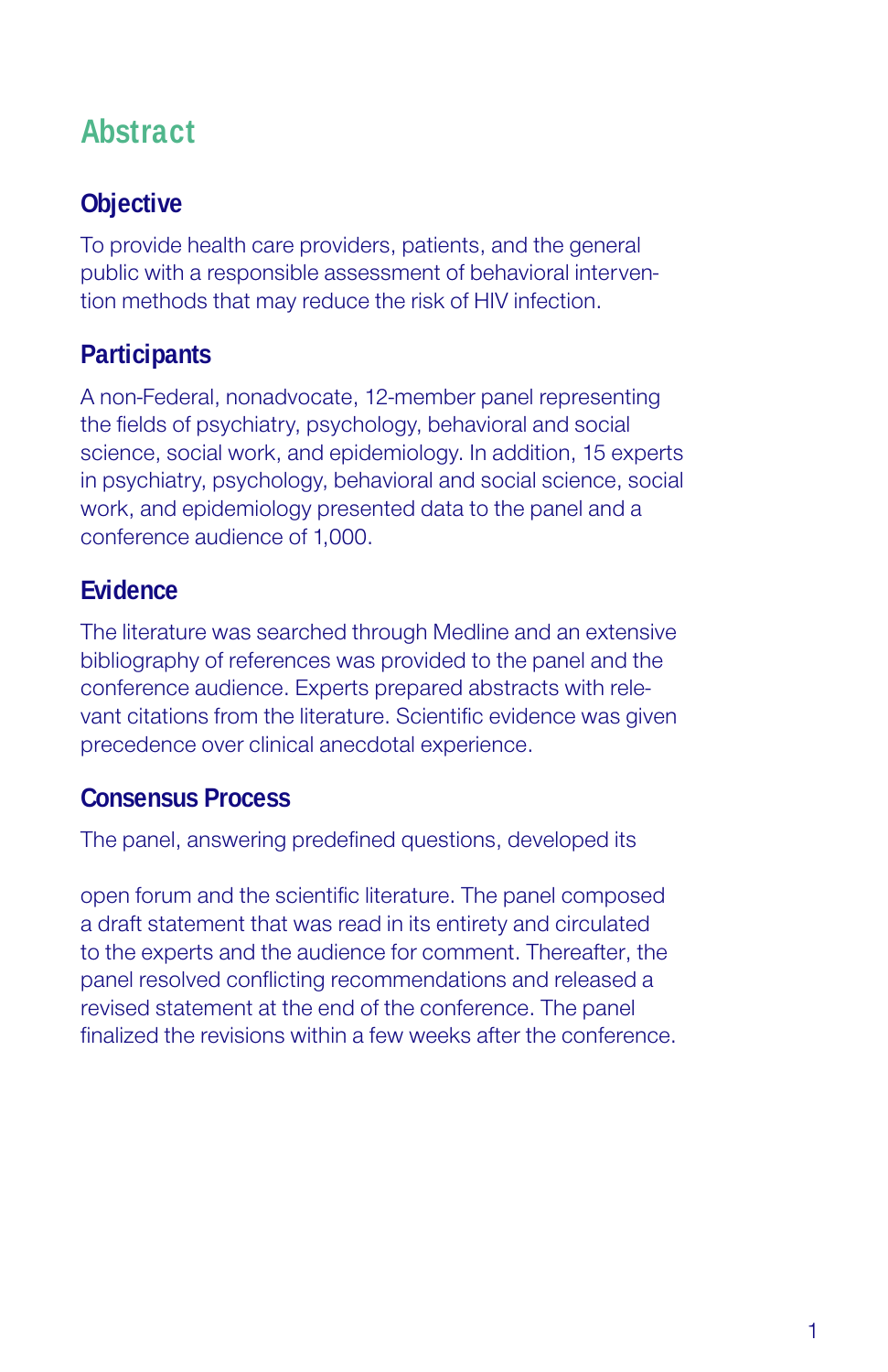## **Abstract**

## **Objective**

To provide health care providers, patients, and the general public with a responsible assessment of behavioral intervention methods that may reduce the risk of HIV infection.

## **Participants**

A non-Federal, nonadvocate, 12-member panel representing the fields of psychiatry, psychology, behavioral and social science, social work, and epidemiology. In addition, 15 experts in psychiatry, psychology, behavioral and social science, social work, and epidemiology presented data to the panel and a conference audience of 1,000.

## **Evidence**

The literature was searched through Medline and an extensive bibliography of references was provided to the panel and the conference audience. Experts prepared abstracts with relevant citations from the literature. Scientific evidence was given precedence over clinical anecdotal experience.

## **Consensus Process**

The panel, answering predefined questions, developed its

open forum and the scientific literature. The panel composed a draft statement that was read in its entirety and circulated to the experts and the audience for comment. Thereafter, the panel resolved conflicting recommendations and released a revised statement at the end of the conference. The panel finalized the revisions within a few weeks after the conference.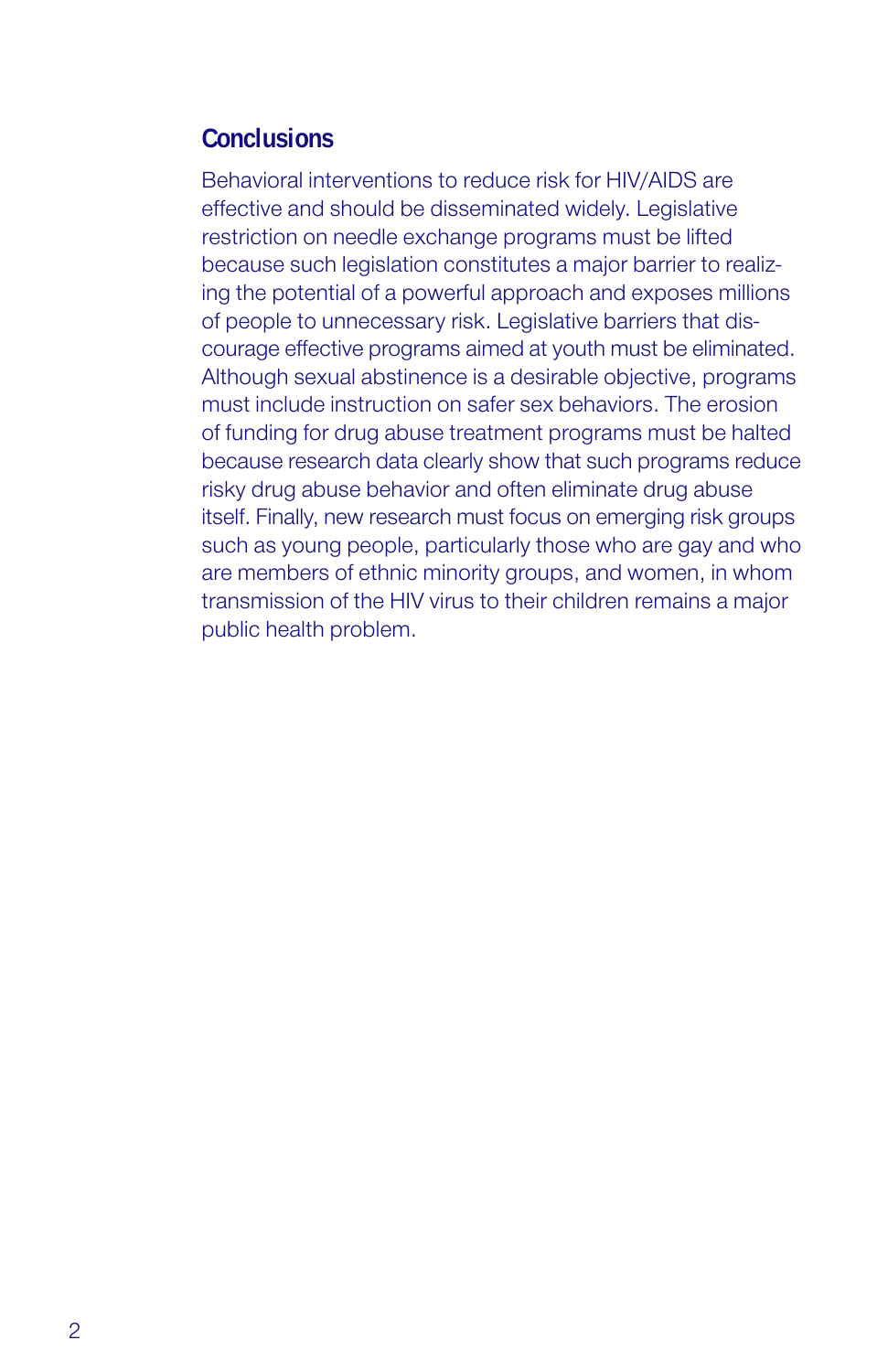## **Conclusions**

Behavioral interventions to reduce risk for HIV/AIDS are effective and should be disseminated widely. Legislative restriction on needle exchange programs must be lifted because such legislation constitutes a major barrier to realizing the potential of a powerful approach and exposes millions of people to unnecessary risk. Legislative barriers that discourage effective programs aimed at youth must be eliminated. Although sexual abstinence is a desirable objective, programs must include instruction on safer sex behaviors. The erosion of funding for drug abuse treatment programs must be halted because research data clearly show that such programs reduce risky drug abuse behavior and often eliminate drug abuse itself. Finally, new research must focus on emerging risk groups such as young people, particularly those who are gay and who are members of ethnic minority groups, and women, in whom transmission of the HIV virus to their children remains a major public health problem.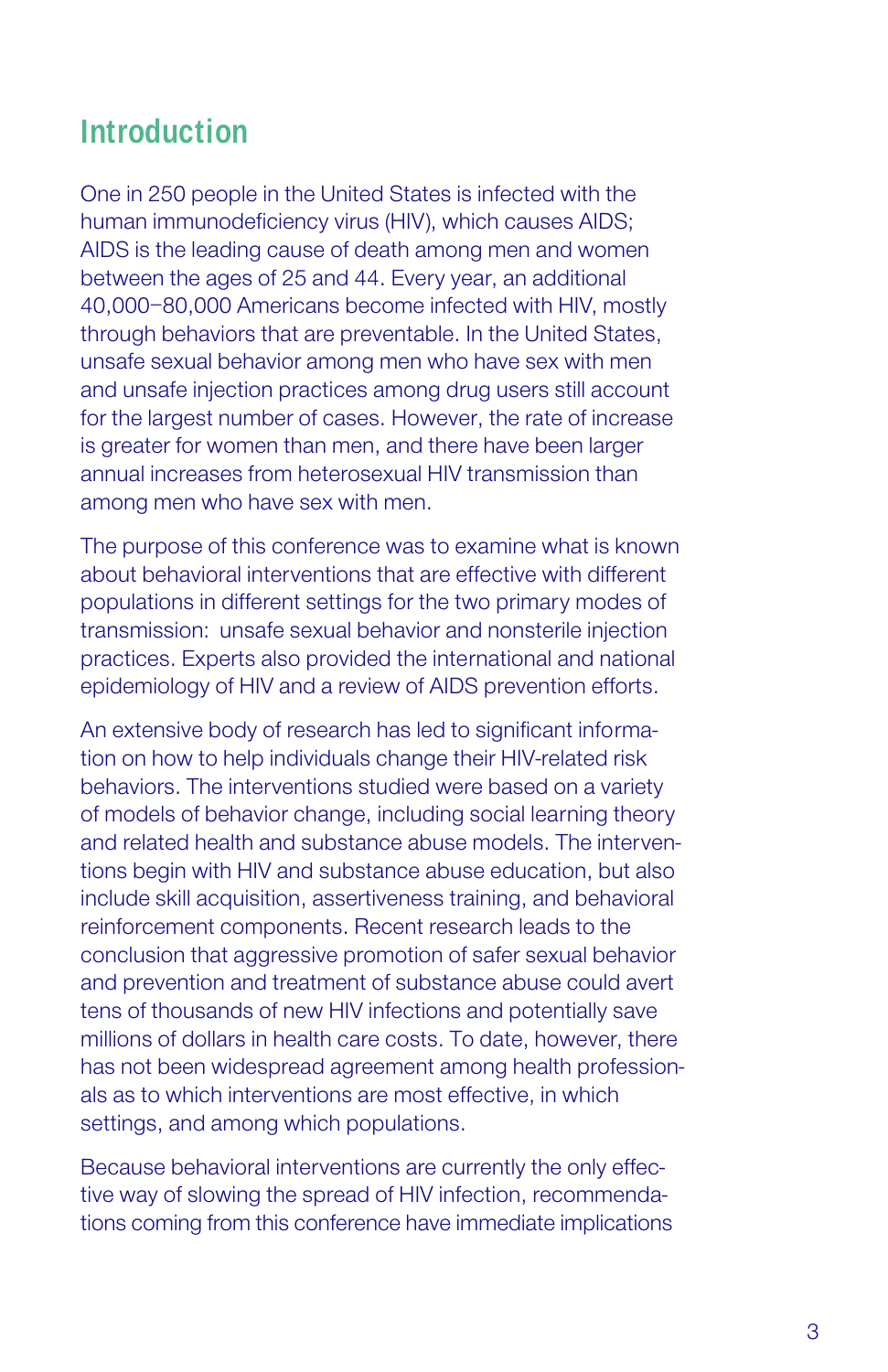## **Introduction**

One in 250 people in the United States is infected with the human immunodeficiency virus (HIV), which causes AIDS; AIDS is the leading cause of death among men and women between the ages of 25 and 44. Every year, an additional 40,000–80,000 Americans become infected with HIV, mostly through behaviors that are preventable. In the United States, unsafe sexual behavior among men who have sex with men and unsafe injection practices among drug users still account for the largest number of cases. However, the rate of increase is greater for women than men, and there have been larger annual increases from heterosexual HIV transmission than among men who have sex with men.

The purpose of this conference was to examine what is known about behavioral interventions that are effective with different populations in different settings for the two primary modes of transmission: unsafe sexual behavior and nonsterile injection practices. Experts also provided the international and national epidemiology of HIV and a review of AIDS prevention efforts.

An extensive body of research has led to significant information on how to help individuals change their HIV-related risk behaviors. The interventions studied were based on a variety of models of behavior change, including social learning theory and related health and substance abuse models. The interventions begin with HIV and substance abuse education, but also include skill acquisition, assertiveness training, and behavioral reinforcement components. Recent research leads to the conclusion that aggressive promotion of safer sexual behavior and prevention and treatment of substance abuse could avert tens of thousands of new HIV infections and potentially save millions of dollars in health care costs. To date, however, there has not been widespread agreement among health professionals as to which interventions are most effective, in which settings, and among which populations.

Because behavioral interventions are currently the only effective way of slowing the spread of HIV infection, recommendations coming from this conference have immediate implications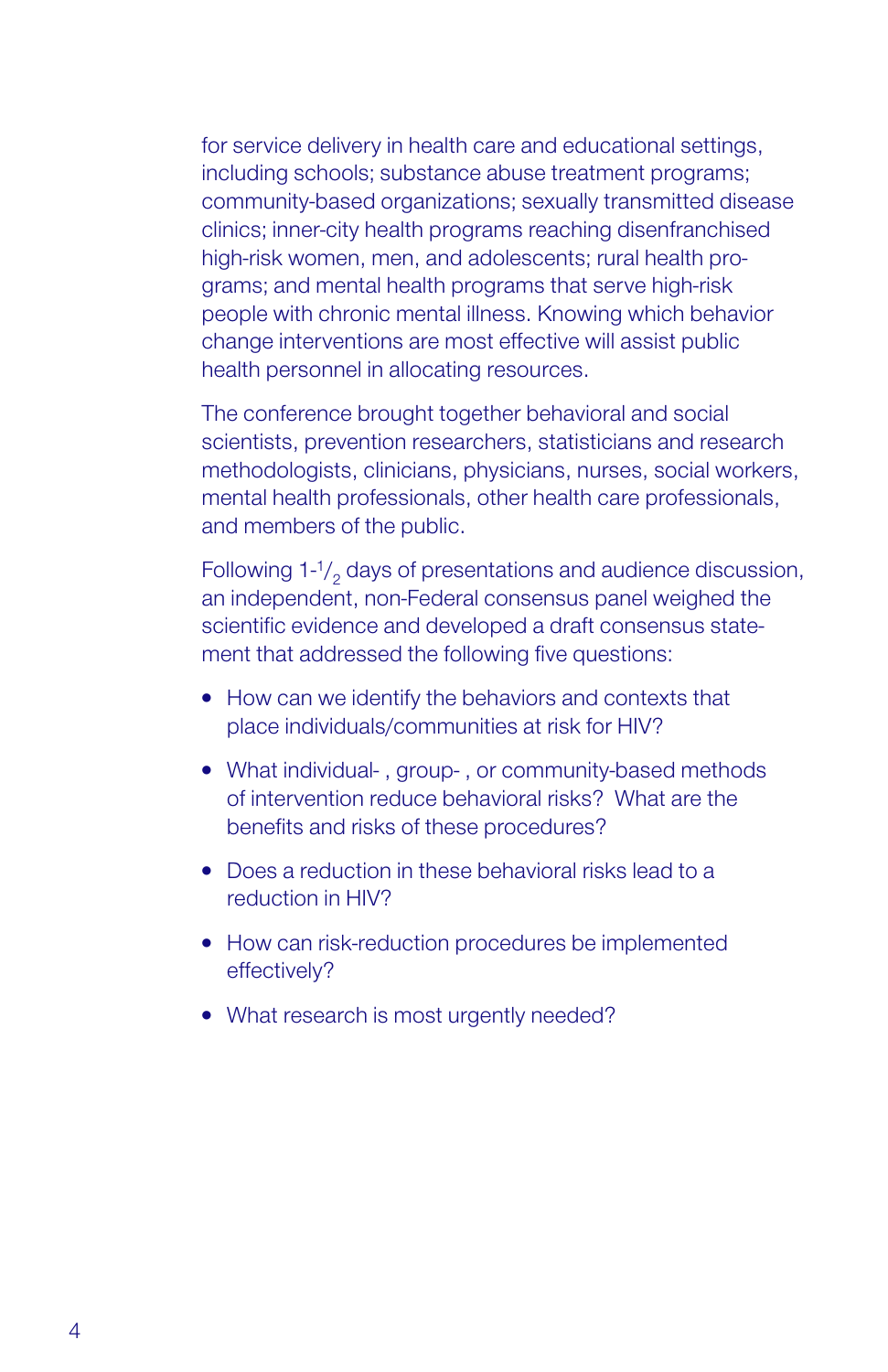for service delivery in health care and educational settings, including schools; substance abuse treatment programs; community-based organizations; sexually transmitted disease clinics; inner-city health programs reaching disenfranchised high-risk women, men, and adolescents; rural health programs; and mental health programs that serve high-risk people with chronic mental illness. Knowing which behavior change interventions are most effective will assist public health personnel in allocating resources.

The conference brought together behavioral and social scientists, prevention researchers, statisticians and research methodologists, clinicians, physicians, nurses, social workers, mental health professionals, other health care professionals, and members of the public.

Following  $1<sup>-1</sup>/<sub>2</sub>$  days of presentations and audience discussion, an independent, non-Federal consensus panel weighed the scientific evidence and developed a draft consensus statement that addressed the following five questions:

- How can we identify the behaviors and contexts that place individuals/communities at risk for HIV?
- What individual- , group- , or community-based methods of intervention reduce behavioral risks? What are the benefits and risks of these procedures?
- Does a reduction in these behavioral risks lead to a reduction in HIV?
- How can risk-reduction procedures be implemented effectively?
- What research is most urgently needed?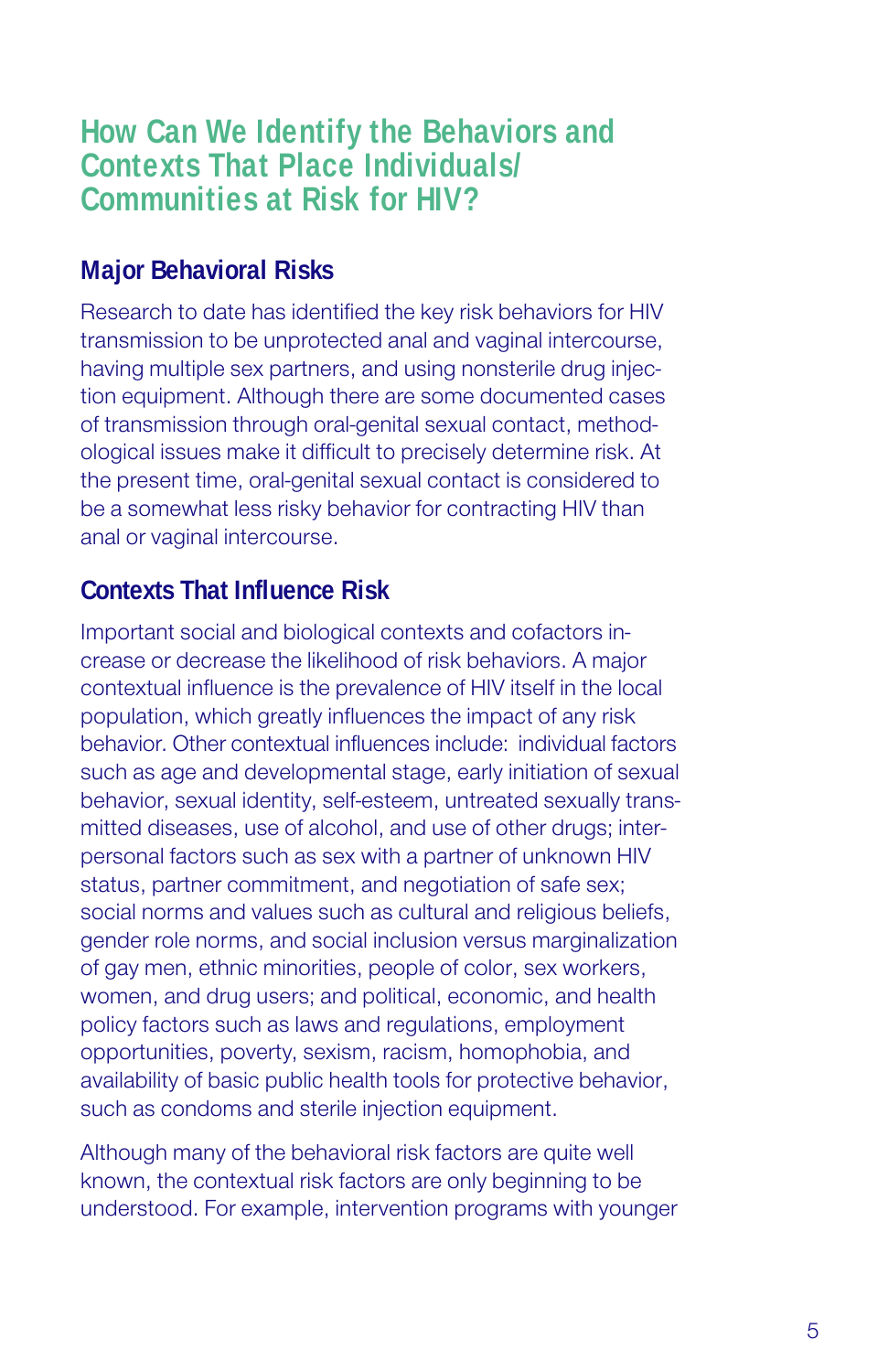## **How Can We Identify the Behaviors and Contexts That Place Individuals/ Communities at Risk for HIV?**

## **Major Behavioral Risks**

Research to date has identified the key risk behaviors for HIV transmission to be unprotected anal and vaginal intercourse, having multiple sex partners, and using nonsterile drug injection equipment. Although there are some documented cases of transmission through oral-genital sexual contact, methodological issues make it difficult to precisely determine risk. At the present time, oral-genital sexual contact is considered to be a somewhat less risky behavior for contracting HIV than anal or vaginal intercourse.

## **Contexts That Influence Risk**

Important social and biological contexts and cofactors increase or decrease the likelihood of risk behaviors. A major contextual influence is the prevalence of HIV itself in the local population, which greatly influences the impact of any risk behavior. Other contextual influences include: individual factors such as age and developmental stage, early initiation of sexual behavior, sexual identity, self-esteem, untreated sexually transmitted diseases, use of alcohol, and use of other drugs; interpersonal factors such as sex with a partner of unknown HIV status, partner commitment, and negotiation of safe sex; social norms and values such as cultural and religious beliefs, gender role norms, and social inclusion versus marginalization of gay men, ethnic minorities, people of color, sex workers, women, and drug users; and political, economic, and health policy factors such as laws and regulations, employment opportunities, poverty, sexism, racism, homophobia, and availability of basic public health tools for protective behavior, such as condoms and sterile injection equipment.

Although many of the behavioral risk factors are quite well known, the contextual risk factors are only beginning to be understood. For example, intervention programs with younger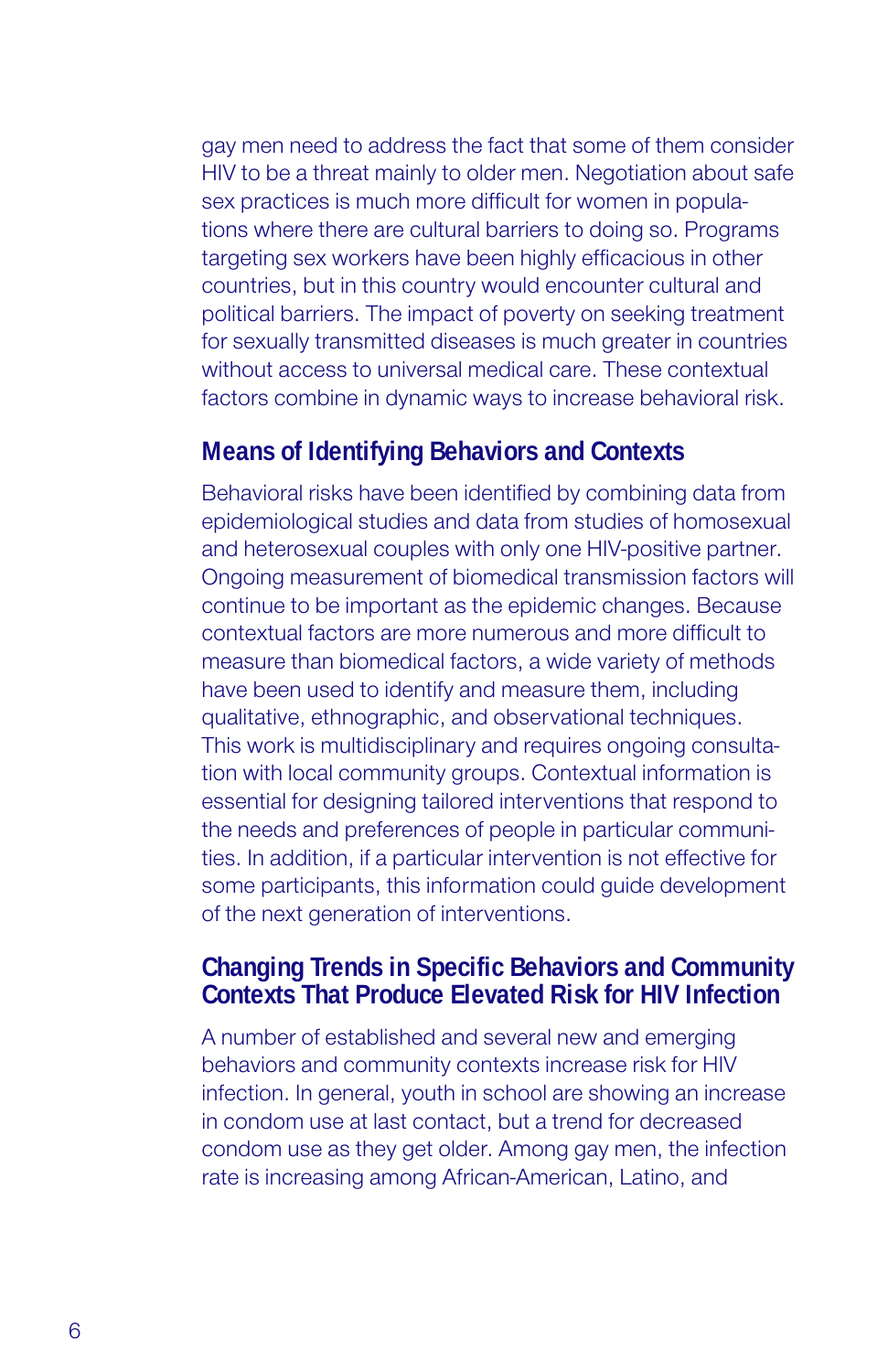gay men need to address the fact that some of them consider HIV to be a threat mainly to older men. Negotiation about safe sex practices is much more difficult for women in populations where there are cultural barriers to doing so. Programs targeting sex workers have been highly efficacious in other countries, but in this country would encounter cultural and political barriers. The impact of poverty on seeking treatment for sexually transmitted diseases is much greater in countries without access to universal medical care. These contextual factors combine in dynamic ways to increase behavioral risk.

## **Means of Identifying Behaviors and Contexts**

Behavioral risks have been identified by combining data from epidemiological studies and data from studies of homosexual and heterosexual couples with only one HIV-positive partner. Ongoing measurement of biomedical transmission factors will continue to be important as the epidemic changes. Because contextual factors are more numerous and more difficult to measure than biomedical factors, a wide variety of methods have been used to identify and measure them, including qualitative, ethnographic, and observational techniques. This work is multidisciplinary and requires ongoing consultation with local community groups. Contextual information is essential for designing tailored interventions that respond to the needs and preferences of people in particular communities. In addition, if a particular intervention is not effective for some participants, this information could guide development of the next generation of interventions.

## **Changing Trends in Specific Behaviors and Community Contexts That Produce Elevated Risk for HIV Infection**

A number of established and several new and emerging behaviors and community contexts increase risk for HIV infection. In general, youth in school are showing an increase in condom use at last contact, but a trend for decreased condom use as they get older. Among gay men, the infection rate is increasing among African-American, Latino, and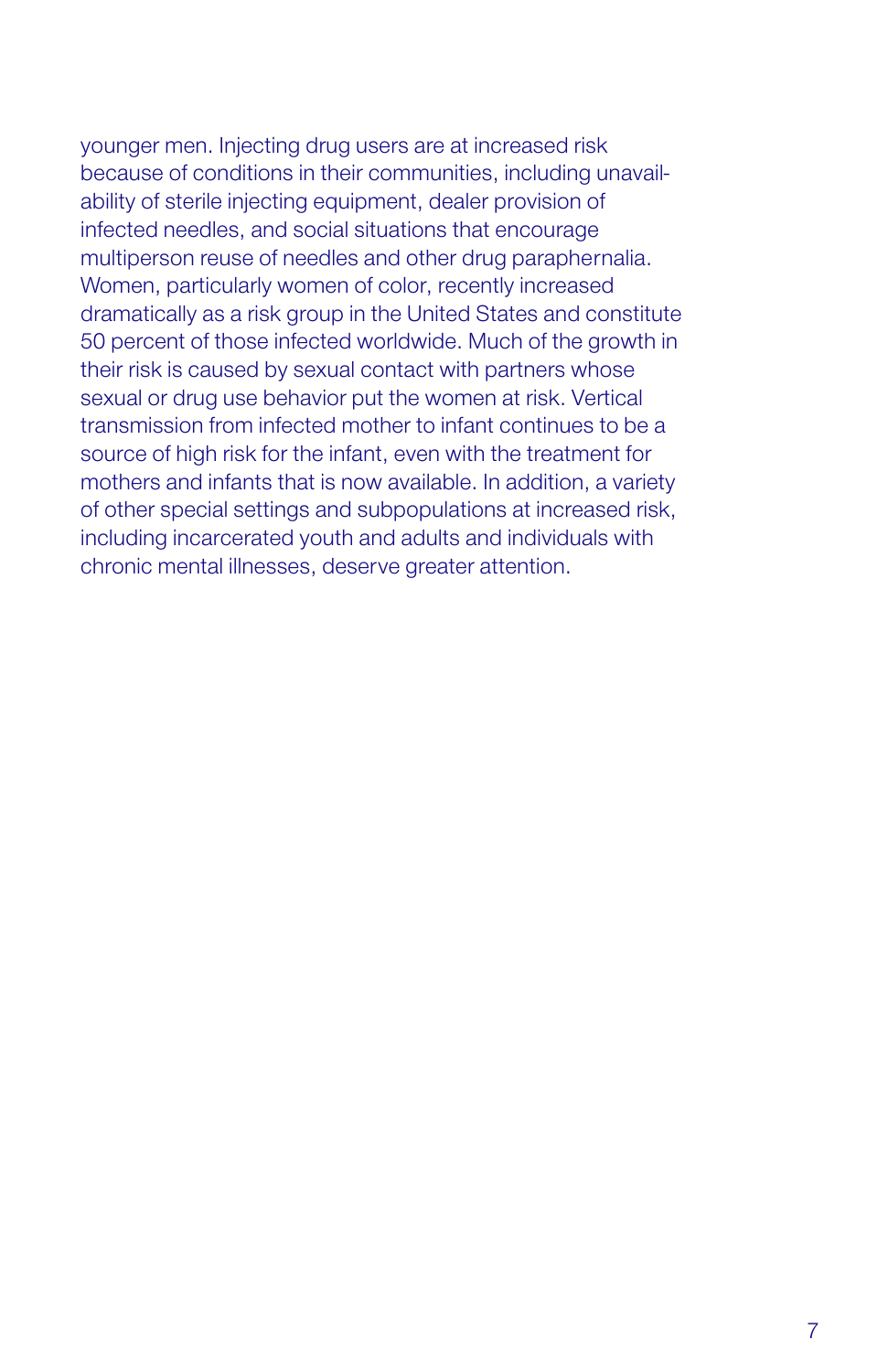younger men. Injecting drug users are at increased risk because of conditions in their communities, including unavailability of sterile injecting equipment, dealer provision of infected needles, and social situations that encourage multiperson reuse of needles and other drug paraphernalia. Women, particularly women of color, recently increased dramatically as a risk group in the United States and constitute 50 percent of those infected worldwide. Much of the growth in their risk is caused by sexual contact with partners whose sexual or drug use behavior put the women at risk. Vertical transmission from infected mother to infant continues to be a source of high risk for the infant, even with the treatment for mothers and infants that is now available. In addition, a variety of other special settings and subpopulations at increased risk, including incarcerated youth and adults and individuals with chronic mental illnesses, deserve greater attention.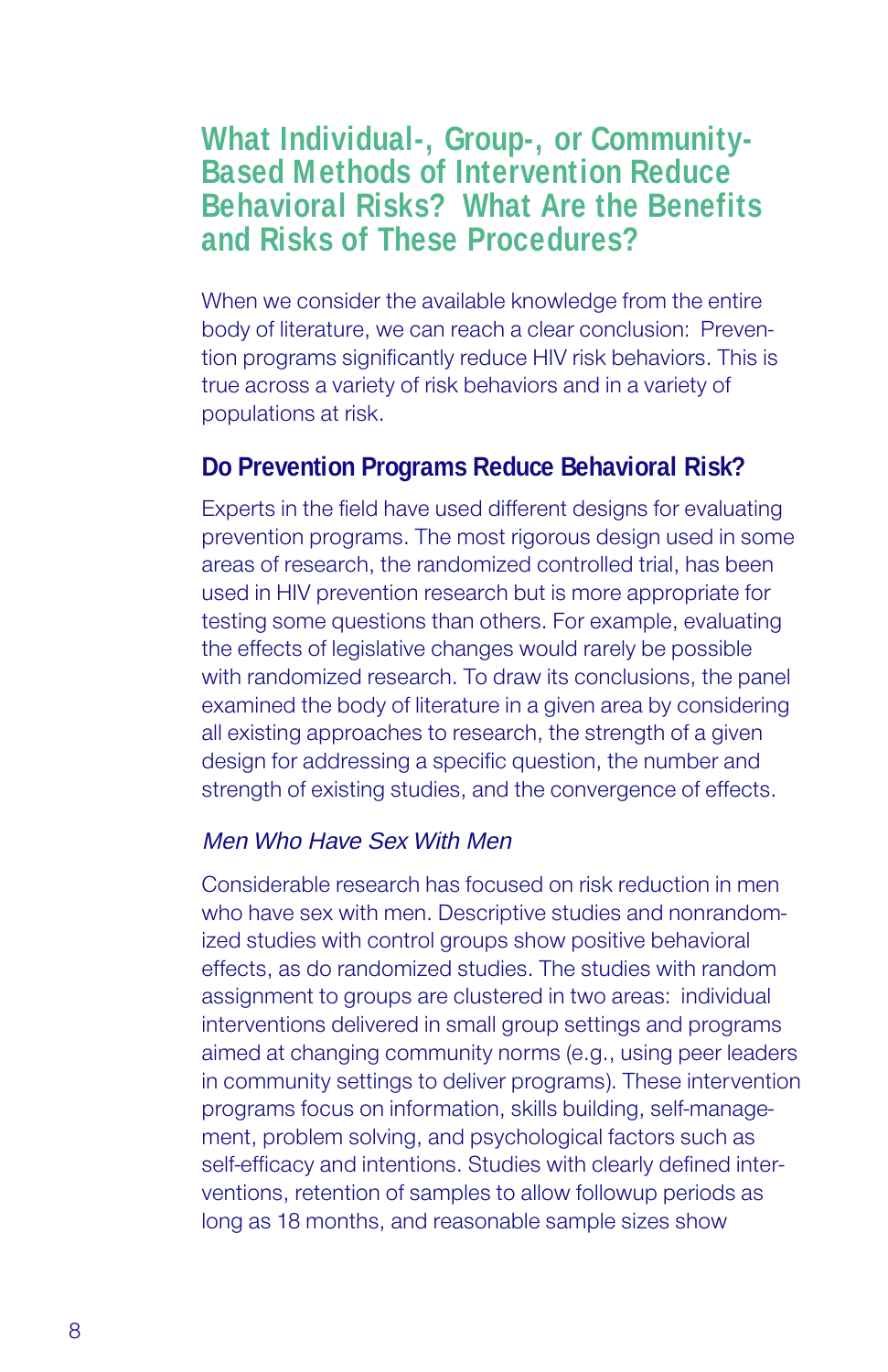## **What Individual-, Group-, or Community-Based Methods of Intervention Reduce Behavioral Risks? What Are the Benefits and Risks of These Procedures?**

When we consider the available knowledge from the entire body of literature, we can reach a clear conclusion: Prevention programs significantly reduce HIV risk behaviors. This is true across a variety of risk behaviors and in a variety of populations at risk.

## **Do Prevention Programs Reduce Behavioral Risk?**

Experts in the field have used different designs for evaluating prevention programs. The most rigorous design used in some areas of research, the randomized controlled trial, has been used in HIV prevention research but is more appropriate for testing some questions than others. For example, evaluating the effects of legislative changes would rarely be possible with randomized research. To draw its conclusions, the panel examined the body of literature in a given area by considering all existing approaches to research, the strength of a given design for addressing a specific question, the number and strength of existing studies, and the convergence of effects.

### Men Who Have Sex With Men

Considerable research has focused on risk reduction in men who have sex with men. Descriptive studies and nonrandomized studies with control groups show positive behavioral effects, as do randomized studies. The studies with random assignment to groups are clustered in two areas: individual interventions delivered in small group settings and programs aimed at changing community norms (e.g., using peer leaders in community settings to deliver programs). These intervention programs focus on information, skills building, self-management, problem solving, and psychological factors such as self-efficacy and intentions. Studies with clearly defined interventions, retention of samples to allow followup periods as long as 18 months, and reasonable sample sizes show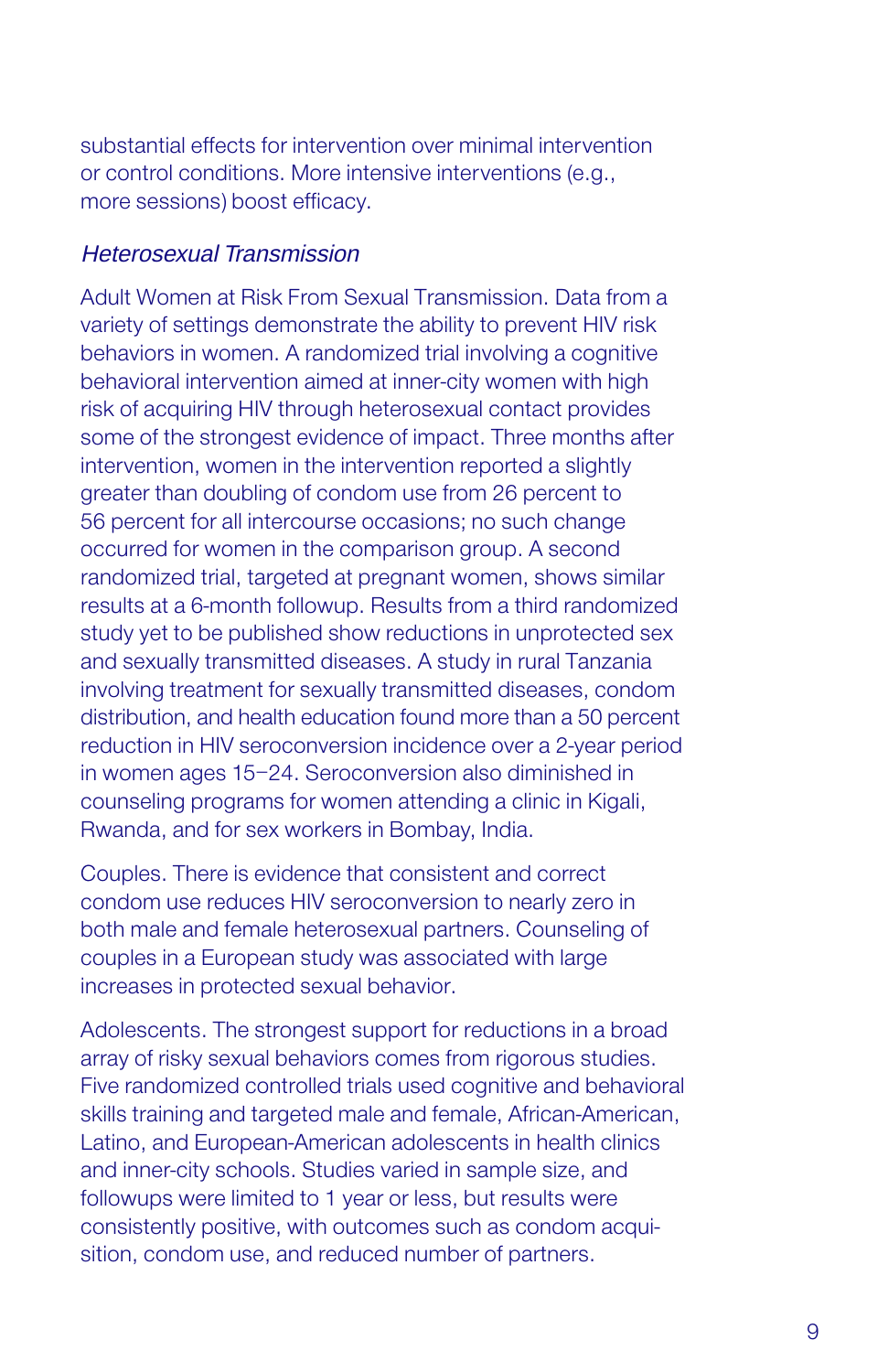substantial effects for intervention over minimal intervention or control conditions. More intensive interventions (e.g., more sessions) boost efficacy.

### Heterosexual Transmission

Adult Women at Risk From Sexual Transmission. Data from a variety of settings demonstrate the ability to prevent HIV risk behaviors in women. A randomized trial involving a cognitive behavioral intervention aimed at inner-city women with high risk of acquiring HIV through heterosexual contact provides some of the strongest evidence of impact. Three months after intervention, women in the intervention reported a slightly greater than doubling of condom use from 26 percent to 56 percent for all intercourse occasions; no such change occurred for women in the comparison group. A second randomized trial, targeted at pregnant women, shows similar results at a 6-month followup. Results from a third randomized study yet to be published show reductions in unprotected sex and sexually transmitted diseases. A study in rural Tanzania involving treatment for sexually transmitted diseases, condom distribution, and health education found more than a 50 percent reduction in HIV seroconversion incidence over a 2-year period in women ages 15–24. Seroconversion also diminished in counseling programs for women attending a clinic in Kigali, Rwanda, and for sex workers in Bombay, India.

Couples. There is evidence that consistent and correct condom use reduces HIV seroconversion to nearly zero in both male and female heterosexual partners. Counseling of couples in a European study was associated with large increases in protected sexual behavior.

Adolescents. The strongest support for reductions in a broad array of risky sexual behaviors comes from rigorous studies. Five randomized controlled trials used cognitive and behavioral skills training and targeted male and female, African-American, Latino, and European-American adolescents in health clinics and inner-city schools. Studies varied in sample size, and followups were limited to 1 year or less, but results were consistently positive, with outcomes such as condom acquisition, condom use, and reduced number of partners.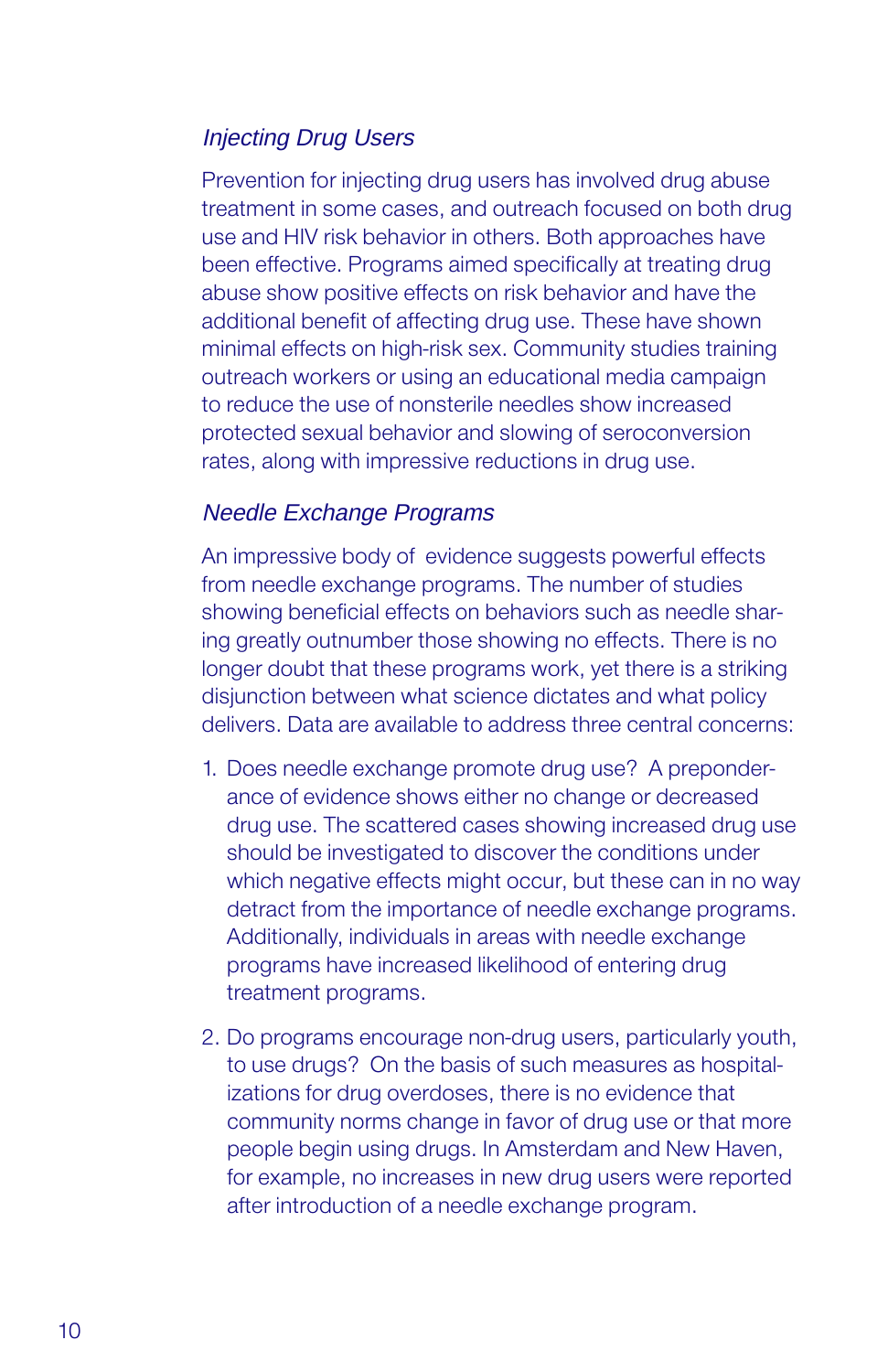## Injecting Drug Users

Prevention for injecting drug users has involved drug abuse treatment in some cases, and outreach focused on both drug use and HIV risk behavior in others. Both approaches have been effective. Programs aimed specifically at treating drug abuse show positive effects on risk behavior and have the additional benefit of affecting drug use. These have shown minimal effects on high-risk sex. Community studies training outreach workers or using an educational media campaign to reduce the use of nonsterile needles show increased protected sexual behavior and slowing of seroconversion rates, along with impressive reductions in drug use.

### Needle Exchange Programs

An impressive body of evidence suggests powerful effects from needle exchange programs. The number of studies showing beneficial effects on behaviors such as needle sharing greatly outnumber those showing no effects. There is no longer doubt that these programs work, yet there is a striking disjunction between what science dictates and what policy delivers. Data are available to address three central concerns:

- 1. Does needle exchange promote drug use? A preponderance of evidence shows either no change or decreased drug use. The scattered cases showing increased drug use should be investigated to discover the conditions under which negative effects might occur, but these can in no way detract from the importance of needle exchange programs. Additionally, individuals in areas with needle exchange programs have increased likelihood of entering drug treatment programs.
- 2. Do programs encourage non-drug users, particularly youth, to use drugs? On the basis of such measures as hospitalizations for drug overdoses, there is no evidence that community norms change in favor of drug use or that more people begin using drugs. In Amsterdam and New Haven, for example, no increases in new drug users were reported after introduction of a needle exchange program.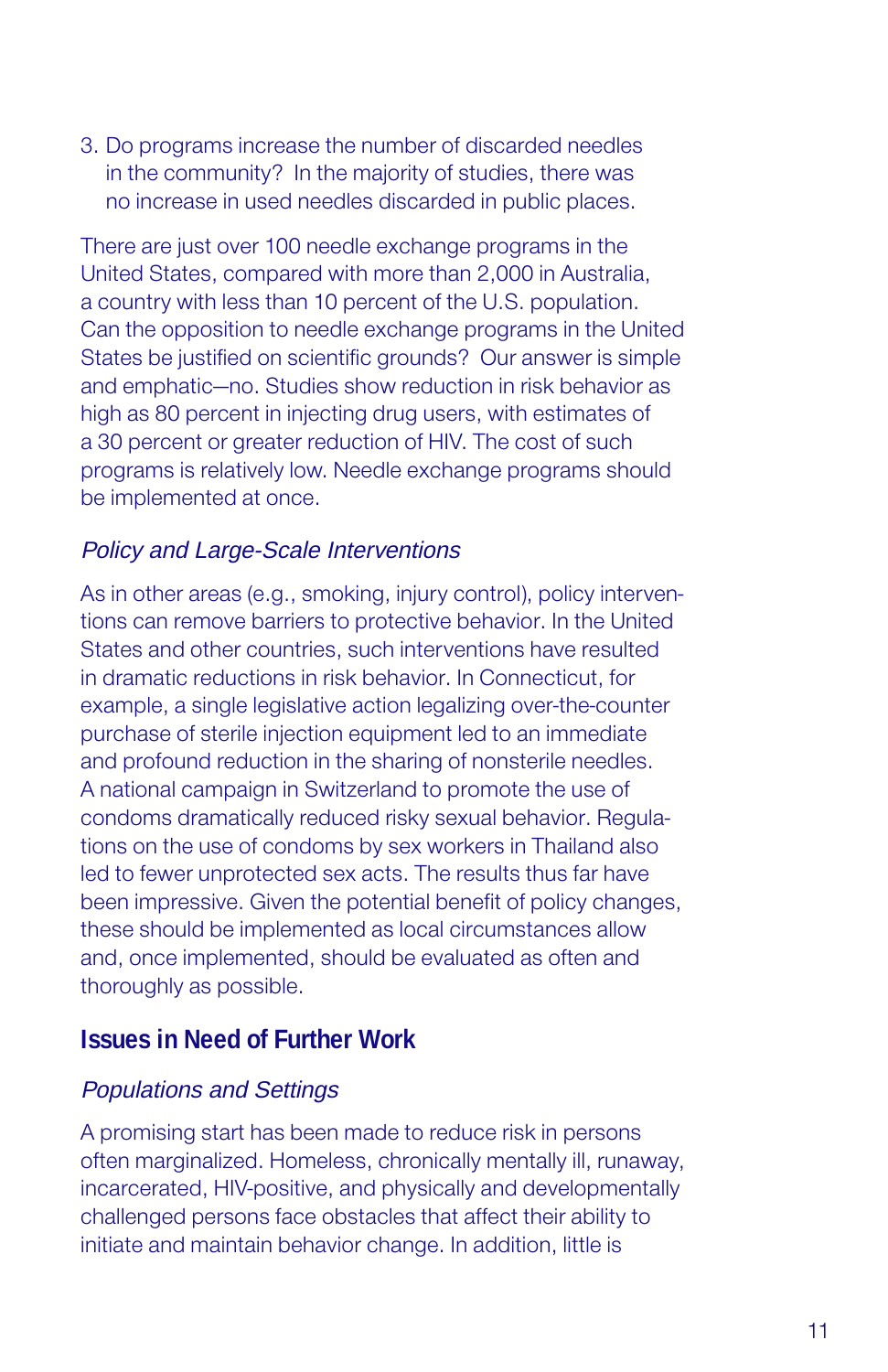3. Do programs increase the number of discarded needles in the community? In the majority of studies, there was no increase in used needles discarded in public places.

There are just over 100 needle exchange programs in the United States, compared with more than 2,000 in Australia, a country with less than 10 percent of the U.S. population. Can the opposition to needle exchange programs in the United States be justified on scientific grounds? Our answer is simple and emphatic—no. Studies show reduction in risk behavior as high as 80 percent in injecting drug users, with estimates of a 30 percent or greater reduction of HIV. The cost of such programs is relatively low. Needle exchange programs should be implemented at once.

### Policy and Large-Scale Interventions

As in other areas (e.g., smoking, injury control), policy interventions can remove barriers to protective behavior. In the United States and other countries, such interventions have resulted in dramatic reductions in risk behavior. In Connecticut, for example, a single legislative action legalizing over-the-counter purchase of sterile injection equipment led to an immediate and profound reduction in the sharing of nonsterile needles. A national campaign in Switzerland to promote the use of condoms dramatically reduced risky sexual behavior. Regulations on the use of condoms by sex workers in Thailand also led to fewer unprotected sex acts. The results thus far have been impressive. Given the potential benefit of policy changes, these should be implemented as local circumstances allow and, once implemented, should be evaluated as often and thoroughly as possible.

## **Issues in Need of Further Work**

### Populations and Settings

A promising start has been made to reduce risk in persons often marginalized. Homeless, chronically mentally ill, runaway, incarcerated, HIV-positive, and physically and developmentally challenged persons face obstacles that affect their ability to initiate and maintain behavior change. In addition, little is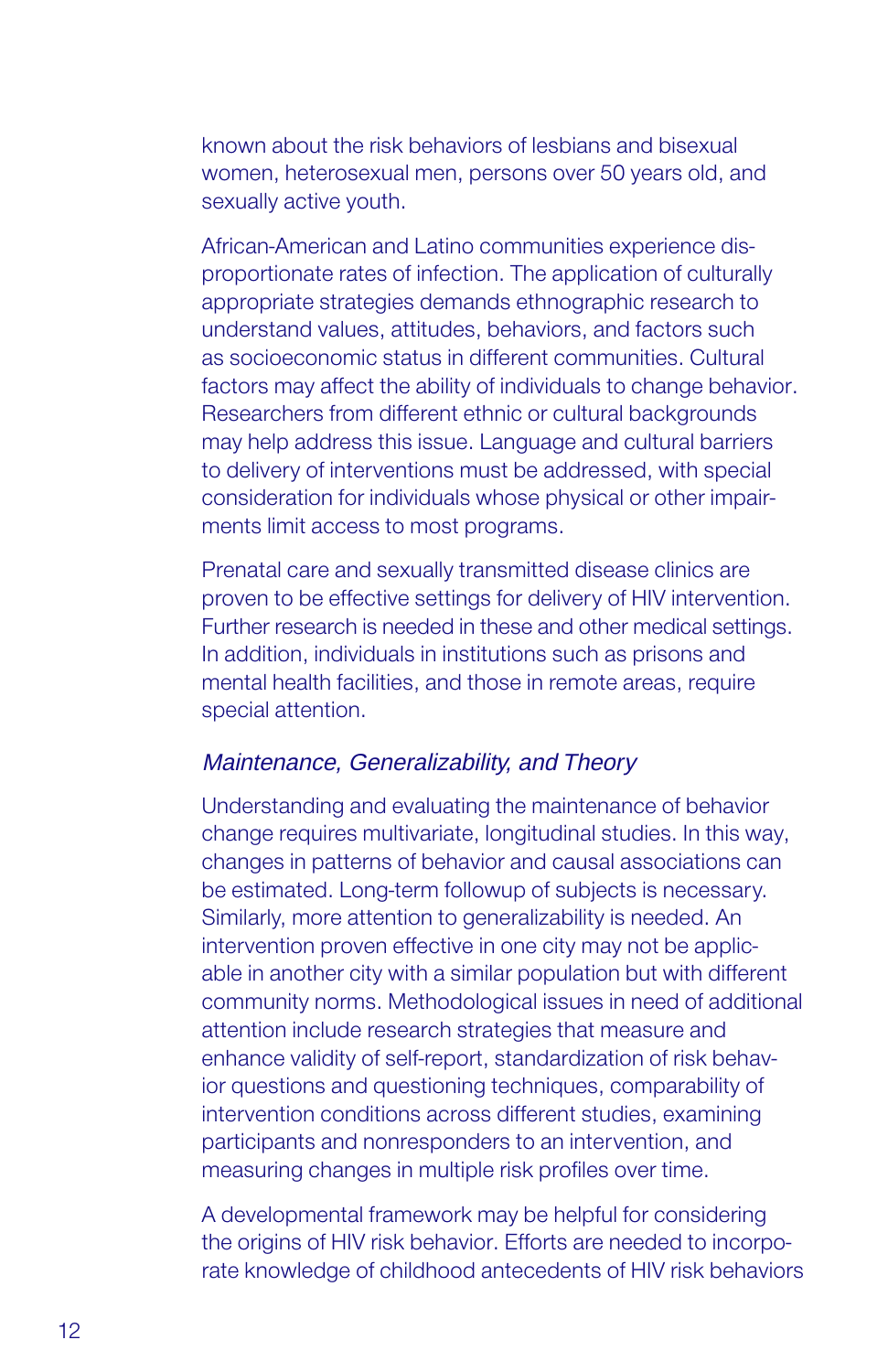known about the risk behaviors of lesbians and bisexual women, heterosexual men, persons over 50 years old, and sexually active youth.

African-American and Latino communities experience disproportionate rates of infection. The application of culturally appropriate strategies demands ethnographic research to understand values, attitudes, behaviors, and factors such as socioeconomic status in different communities. Cultural factors may affect the ability of individuals to change behavior. Researchers from different ethnic or cultural backgrounds may help address this issue. Language and cultural barriers to delivery of interventions must be addressed, with special consideration for individuals whose physical or other impairments limit access to most programs.

Prenatal care and sexually transmitted disease clinics are proven to be effective settings for delivery of HIV intervention. Further research is needed in these and other medical settings. In addition, individuals in institutions such as prisons and mental health facilities, and those in remote areas, require special attention.

#### Maintenance, Generalizability, and Theory

Understanding and evaluating the maintenance of behavior change requires multivariate, longitudinal studies. In this way, changes in patterns of behavior and causal associations can be estimated. Long-term followup of subjects is necessary. Similarly, more attention to generalizability is needed. An intervention proven effective in one city may not be applicable in another city with a similar population but with different community norms. Methodological issues in need of additional attention include research strategies that measure and enhance validity of self-report, standardization of risk behavior questions and questioning techniques, comparability of intervention conditions across different studies, examining participants and nonresponders to an intervention, and measuring changes in multiple risk profiles over time.

A developmental framework may be helpful for considering the origins of HIV risk behavior. Efforts are needed to incorporate knowledge of childhood antecedents of HIV risk behaviors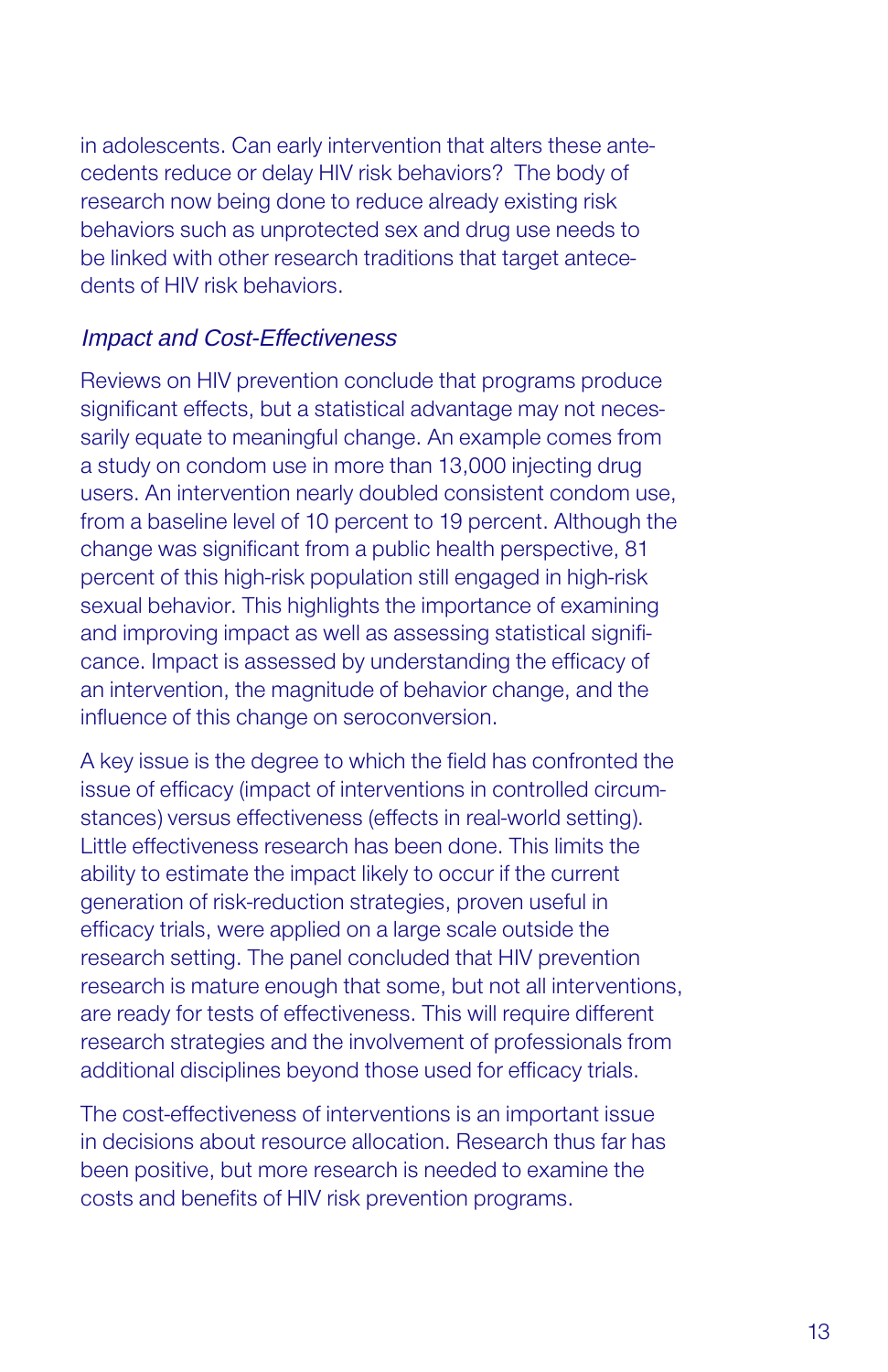in adolescents. Can early intervention that alters these antecedents reduce or delay HIV risk behaviors? The body of research now being done to reduce already existing risk behaviors such as unprotected sex and drug use needs to be linked with other research traditions that target antecedents of HIV risk behaviors.

### Impact and Cost-Effectiveness

Reviews on HIV prevention conclude that programs produce significant effects, but a statistical advantage may not necessarily equate to meaningful change. An example comes from a study on condom use in more than 13,000 injecting drug users. An intervention nearly doubled consistent condom use, from a baseline level of 10 percent to 19 percent. Although the change was significant from a public health perspective, 81 percent of this high-risk population still engaged in high-risk sexual behavior. This highlights the importance of examining and improving impact as well as assessing statistical significance. Impact is assessed by understanding the efficacy of an intervention, the magnitude of behavior change, and the influence of this change on seroconversion.

A key issue is the degree to which the field has confronted the issue of efficacy (impact of interventions in controlled circumstances) versus effectiveness (effects in real-world setting). Little effectiveness research has been done. This limits the ability to estimate the impact likely to occur if the current generation of risk-reduction strategies, proven useful in efficacy trials, were applied on a large scale outside the research setting. The panel concluded that HIV prevention research is mature enough that some, but not all interventions, are ready for tests of effectiveness. This will require different research strategies and the involvement of professionals from additional disciplines beyond those used for efficacy trials.

The cost-effectiveness of interventions is an important issue in decisions about resource allocation. Research thus far has been positive, but more research is needed to examine the costs and benefits of HIV risk prevention programs.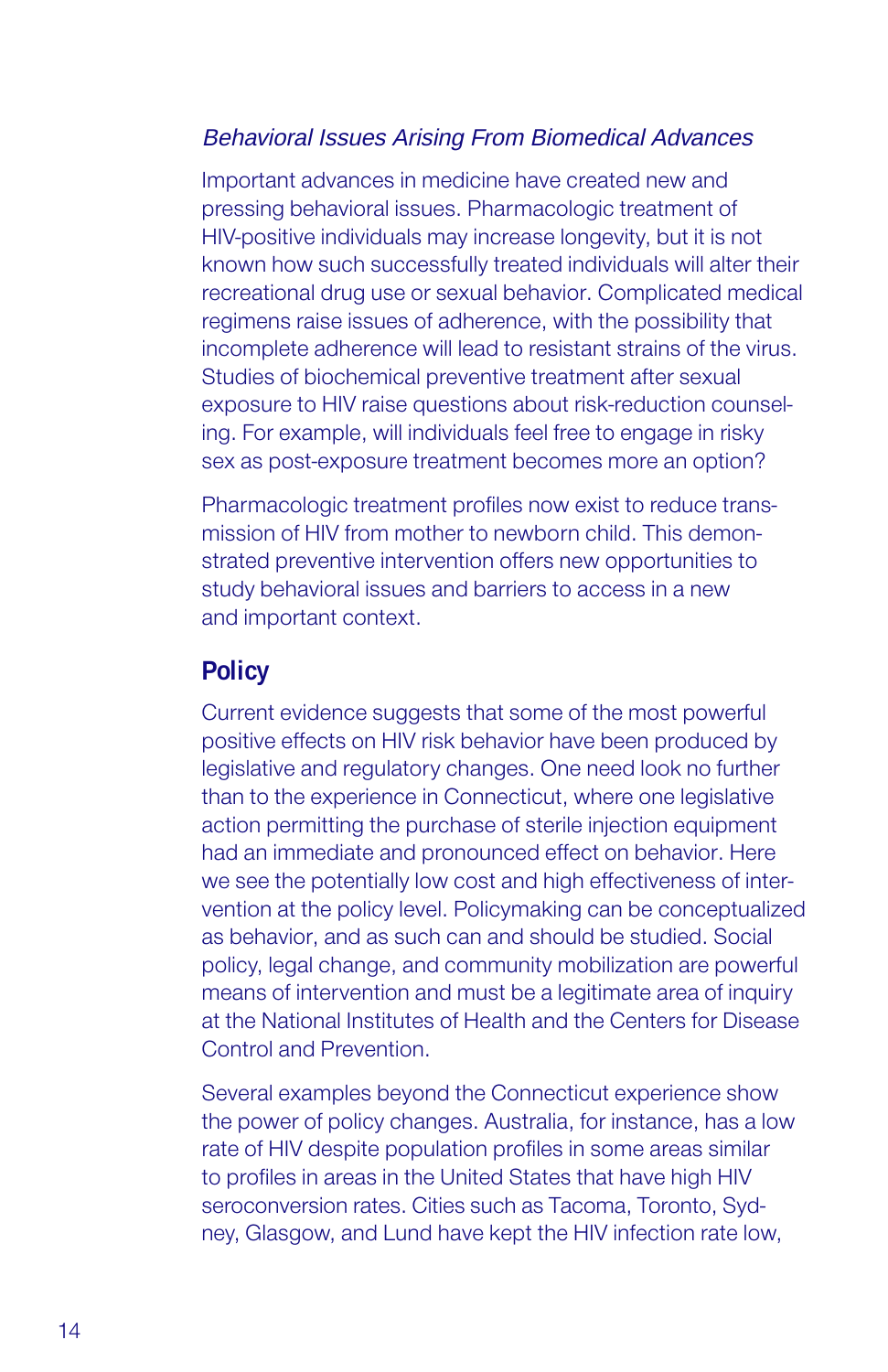### Behavioral Issues Arising From Biomedical Advances

Important advances in medicine have created new and pressing behavioral issues. Pharmacologic treatment of HIV-positive individuals may increase longevity, but it is not known how such successfully treated individuals will alter their recreational drug use or sexual behavior. Complicated medical regimens raise issues of adherence, with the possibility that incomplete adherence will lead to resistant strains of the virus. Studies of biochemical preventive treatment after sexual exposure to HIV raise questions about risk-reduction counseling. For example, will individuals feel free to engage in risky sex as post-exposure treatment becomes more an option?

Pharmacologic treatment profiles now exist to reduce transmission of HIV from mother to newborn child. This demonstrated preventive intervention offers new opportunities to study behavioral issues and barriers to access in a new and important context.

## **Policy**

Current evidence suggests that some of the most powerful positive effects on HIV risk behavior have been produced by legislative and regulatory changes. One need look no further than to the experience in Connecticut, where one legislative action permitting the purchase of sterile injection equipment had an immediate and pronounced effect on behavior. Here we see the potentially low cost and high effectiveness of intervention at the policy level. Policymaking can be conceptualized as behavior, and as such can and should be studied. Social policy, legal change, and community mobilization are powerful means of intervention and must be a legitimate area of inquiry at the National Institutes of Health and the Centers for Disease Control and Prevention.

Several examples beyond the Connecticut experience show the power of policy changes. Australia, for instance, has a low rate of HIV despite population profiles in some areas similar to profiles in areas in the United States that have high HIV seroconversion rates. Cities such as Tacoma, Toronto, Sydney, Glasgow, and Lund have kept the HIV infection rate low,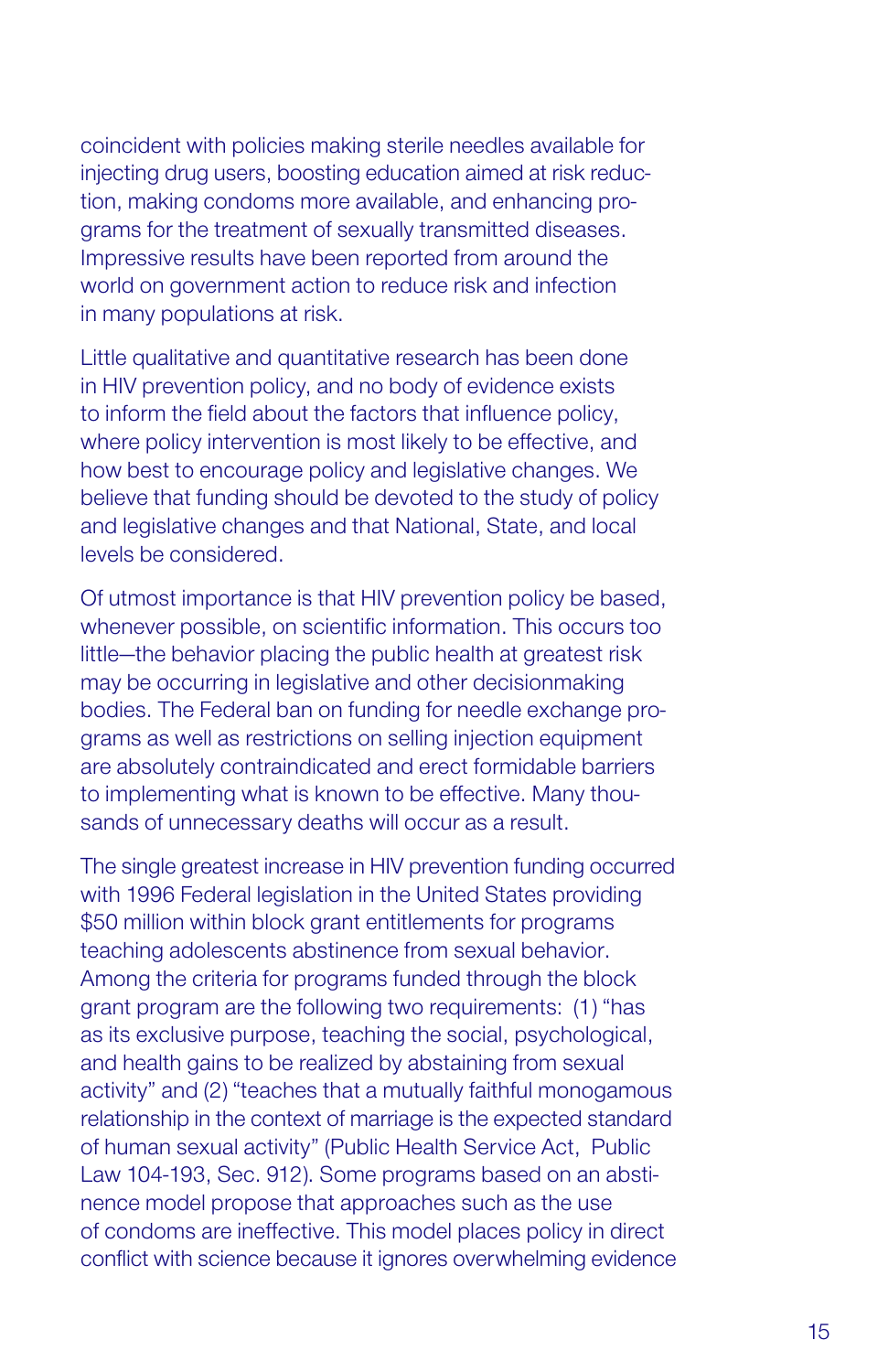coincident with policies making sterile needles available for injecting drug users, boosting education aimed at risk reduction, making condoms more available, and enhancing programs for the treatment of sexually transmitted diseases. Impressive results have been reported from around the world on government action to reduce risk and infection in many populations at risk.

Little qualitative and quantitative research has been done in HIV prevention policy, and no body of evidence exists to inform the field about the factors that influence policy, where policy intervention is most likely to be effective, and how best to encourage policy and legislative changes. We believe that funding should be devoted to the study of policy and legislative changes and that National, State, and local levels be considered.

Of utmost importance is that HIV prevention policy be based, whenever possible, on scientific information. This occurs too little—the behavior placing the public health at greatest risk may be occurring in legislative and other decisionmaking bodies. The Federal ban on funding for needle exchange programs as well as restrictions on selling injection equipment are absolutely contraindicated and erect formidable barriers to implementing what is known to be effective. Many thousands of unnecessary deaths will occur as a result.

The single greatest increase in HIV prevention funding occurred with 1996 Federal legislation in the United States providing \$50 million within block grant entitlements for programs teaching adolescents abstinence from sexual behavior. Among the criteria for programs funded through the block grant program are the following two requirements: (1) "has as its exclusive purpose, teaching the social, psychological, and health gains to be realized by abstaining from sexual activity" and (2) "teaches that a mutually faithful monogamous relationship in the context of marriage is the expected standard of human sexual activity" (Public Health Service Act, Public Law 104-193, Sec. 912). Some programs based on an abstinence model propose that approaches such as the use of condoms are ineffective. This model places policy in direct conflict with science because it ignores overwhelming evidence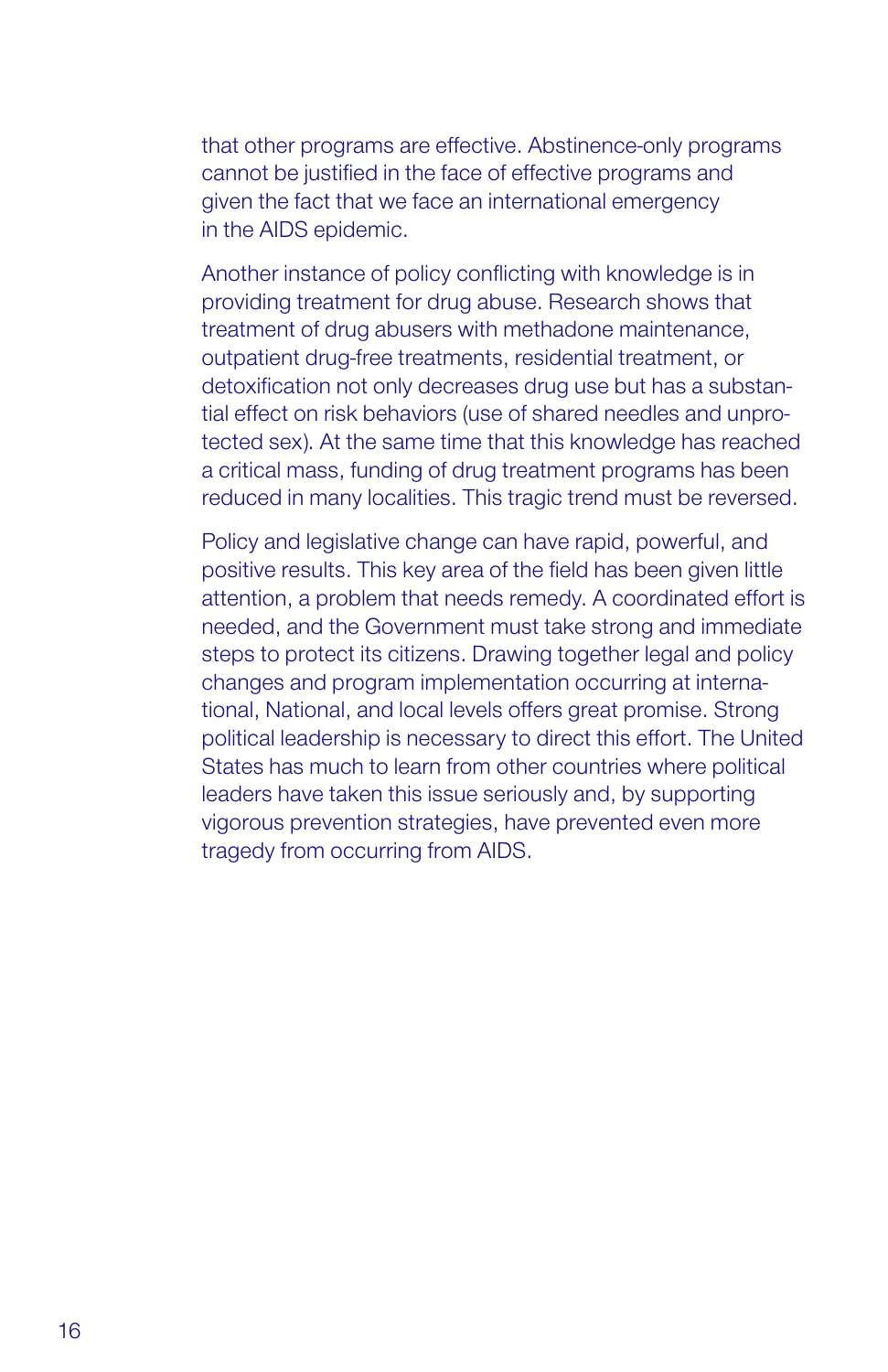that other programs are effective. Abstinence-only programs cannot be justified in the face of effective programs and given the fact that we face an international emergency in the AIDS epidemic.

Another instance of policy conflicting with knowledge is in providing treatment for drug abuse. Research shows that treatment of drug abusers with methadone maintenance, outpatient drug-free treatments, residential treatment, or detoxification not only decreases drug use but has a substantial effect on risk behaviors (use of shared needles and unprotected sex). At the same time that this knowledge has reached a critical mass, funding of drug treatment programs has been reduced in many localities. This tragic trend must be reversed.

Policy and legislative change can have rapid, powerful, and positive results. This key area of the field has been given little attention, a problem that needs remedy. A coordinated effort is needed, and the Government must take strong and immediate steps to protect its citizens. Drawing together legal and policy changes and program implementation occurring at international, National, and local levels offers great promise. Strong political leadership is necessary to direct this effort. The United States has much to learn from other countries where political leaders have taken this issue seriously and, by supporting vigorous prevention strategies, have prevented even more tragedy from occurring from AIDS.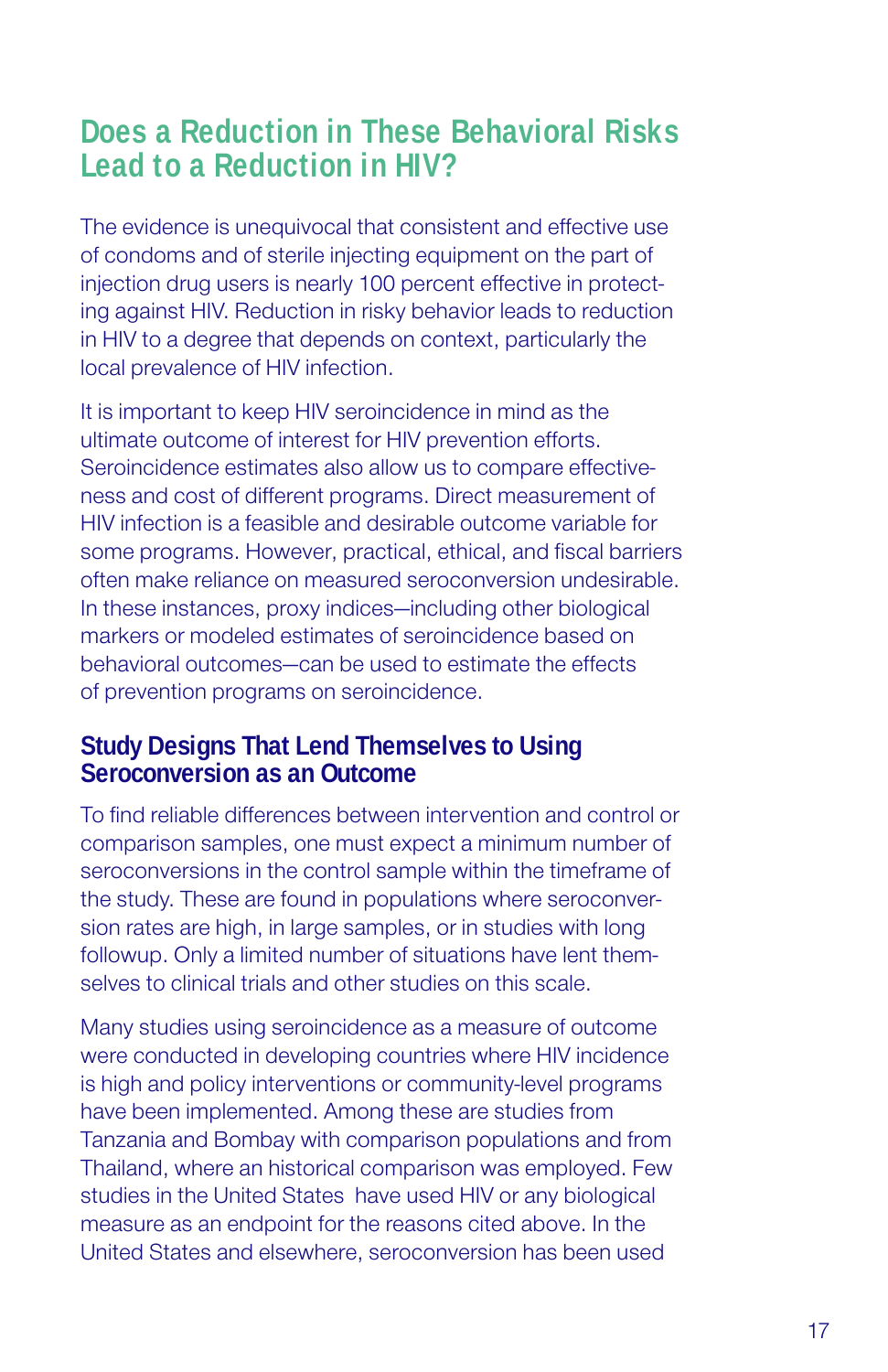## **Does a Reduction in These Behavioral Risks Lead to a Reduction in HIV?**

The evidence is unequivocal that consistent and effective use of condoms and of sterile injecting equipment on the part of injection drug users is nearly 100 percent effective in protecting against HIV. Reduction in risky behavior leads to reduction in HIV to a degree that depends on context, particularly the local prevalence of HIV infection.

It is important to keep HIV seroincidence in mind as the ultimate outcome of interest for HIV prevention efforts. Seroincidence estimates also allow us to compare effectiveness and cost of different programs. Direct measurement of HIV infection is a feasible and desirable outcome variable for some programs. However, practical, ethical, and fiscal barriers often make reliance on measured seroconversion undesirable. In these instances, proxy indices—including other biological markers or modeled estimates of seroincidence based on behavioral outcomes—can be used to estimate the effects of prevention programs on seroincidence.

## **Study Designs That Lend Themselves to Using Seroconversion as an Outcome**

To find reliable differences between intervention and control or comparison samples, one must expect a minimum number of seroconversions in the control sample within the timeframe of the study. These are found in populations where seroconversion rates are high, in large samples, or in studies with long followup. Only a limited number of situations have lent themselves to clinical trials and other studies on this scale.

Many studies using seroincidence as a measure of outcome were conducted in developing countries where HIV incidence is high and policy interventions or community-level programs have been implemented. Among these are studies from Tanzania and Bombay with comparison populations and from Thailand, where an historical comparison was employed. Few studies in the United States have used HIV or any biological measure as an endpoint for the reasons cited above. In the United States and elsewhere, seroconversion has been used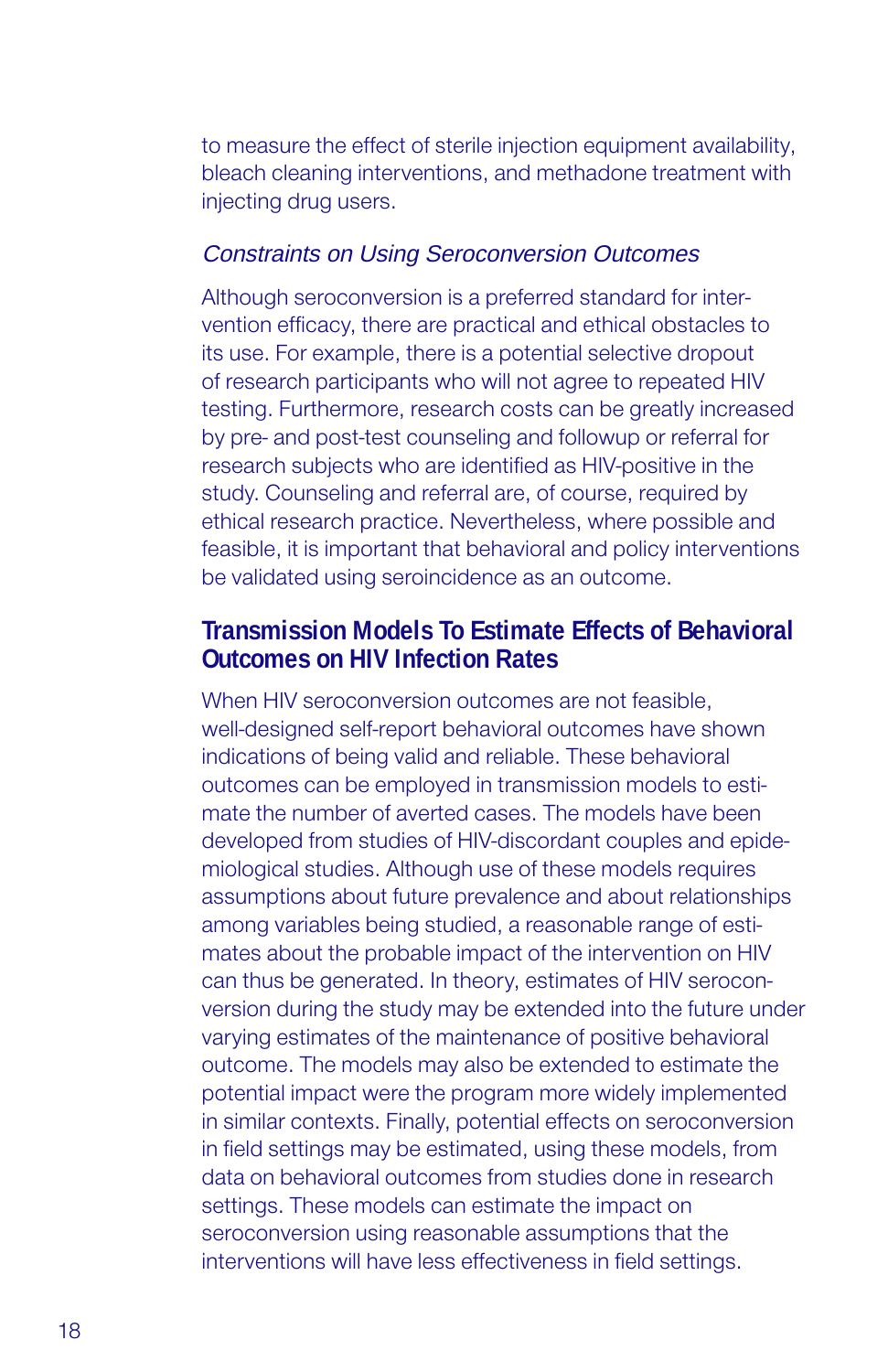to measure the effect of sterile injection equipment availability, bleach cleaning interventions, and methadone treatment with injecting drug users.

#### Constraints on Using Seroconversion Outcomes

Although seroconversion is a preferred standard for intervention efficacy, there are practical and ethical obstacles to its use. For example, there is a potential selective dropout of research participants who will not agree to repeated HIV testing. Furthermore, research costs can be greatly increased by pre- and post-test counseling and followup or referral for research subjects who are identified as HIV-positive in the study. Counseling and referral are, of course, required by ethical research practice. Nevertheless, where possible and feasible, it is important that behavioral and policy interventions be validated using seroincidence as an outcome.

## **Transmission Models To Estimate Effects of Behavioral Outcomes on HIV Infection Rates**

When HIV seroconversion outcomes are not feasible. well-designed self-report behavioral outcomes have shown indications of being valid and reliable. These behavioral outcomes can be employed in transmission models to estimate the number of averted cases. The models have been developed from studies of HIV-discordant couples and epidemiological studies. Although use of these models requires assumptions about future prevalence and about relationships among variables being studied, a reasonable range of estimates about the probable impact of the intervention on HIV can thus be generated. In theory, estimates of HIV seroconversion during the study may be extended into the future under varying estimates of the maintenance of positive behavioral outcome. The models may also be extended to estimate the potential impact were the program more widely implemented in similar contexts. Finally, potential effects on seroconversion in field settings may be estimated, using these models, from data on behavioral outcomes from studies done in research settings. These models can estimate the impact on seroconversion using reasonable assumptions that the interventions will have less effectiveness in field settings.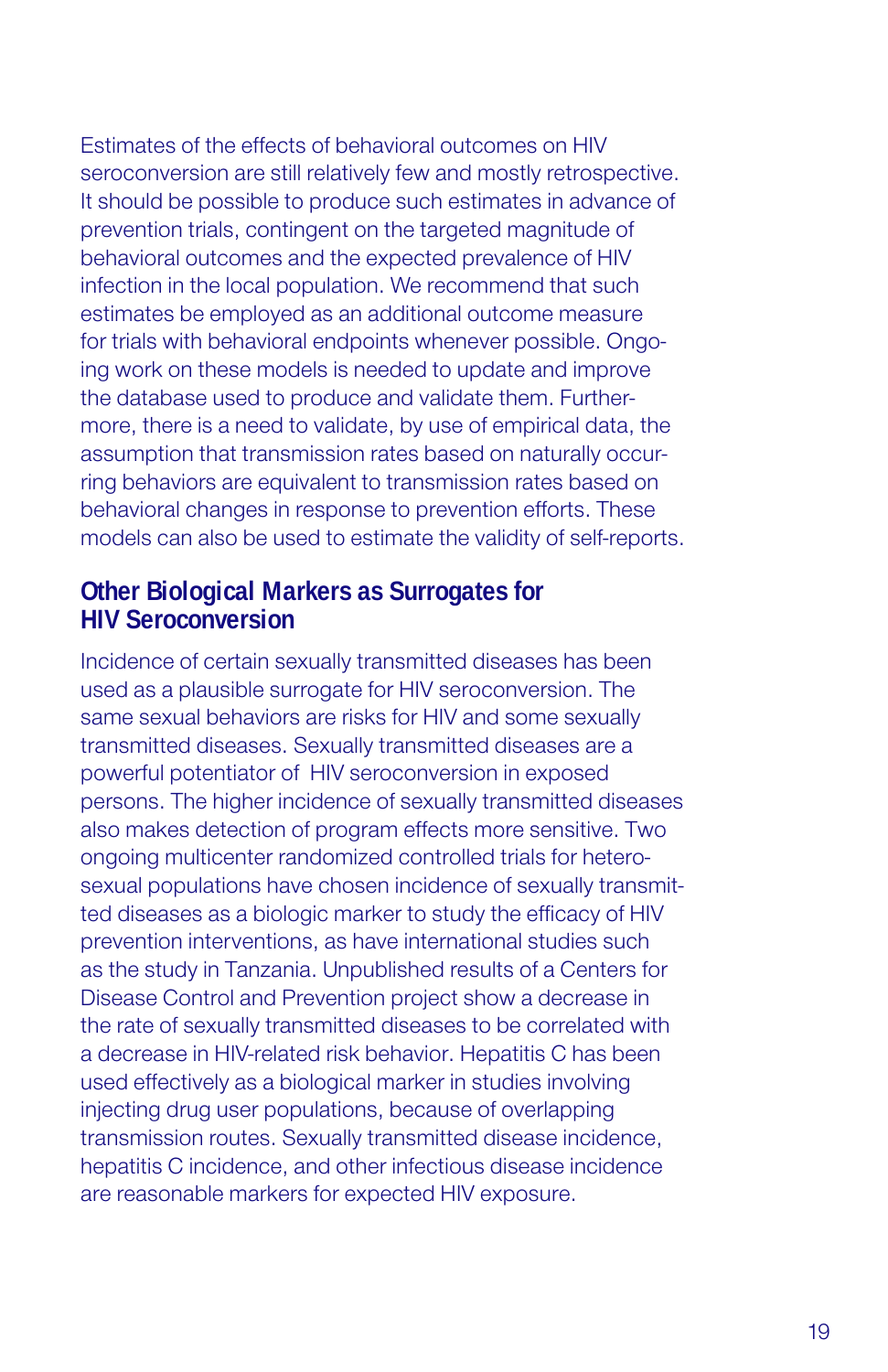Estimates of the effects of behavioral outcomes on HIV seroconversion are still relatively few and mostly retrospective. It should be possible to produce such estimates in advance of prevention trials, contingent on the targeted magnitude of behavioral outcomes and the expected prevalence of HIV infection in the local population. We recommend that such estimates be employed as an additional outcome measure for trials with behavioral endpoints whenever possible. Ongoing work on these models is needed to update and improve the database used to produce and validate them. Furthermore, there is a need to validate, by use of empirical data, the assumption that transmission rates based on naturally occurring behaviors are equivalent to transmission rates based on behavioral changes in response to prevention efforts. These models can also be used to estimate the validity of self-reports.

## **Other Biological Markers as Surrogates for HIV Seroconversion**

Incidence of certain sexually transmitted diseases has been used as a plausible surrogate for HIV seroconversion. The same sexual behaviors are risks for HIV and some sexually transmitted diseases. Sexually transmitted diseases are a powerful potentiator of HIV seroconversion in exposed persons. The higher incidence of sexually transmitted diseases also makes detection of program effects more sensitive. Two ongoing multicenter randomized controlled trials for heterosexual populations have chosen incidence of sexually transmitted diseases as a biologic marker to study the efficacy of HIV prevention interventions, as have international studies such as the study in Tanzania. Unpublished results of a Centers for Disease Control and Prevention project show a decrease in the rate of sexually transmitted diseases to be correlated with a decrease in HIV-related risk behavior. Hepatitis C has been used effectively as a biological marker in studies involving injecting drug user populations, because of overlapping transmission routes. Sexually transmitted disease incidence, hepatitis C incidence, and other infectious disease incidence are reasonable markers for expected HIV exposure.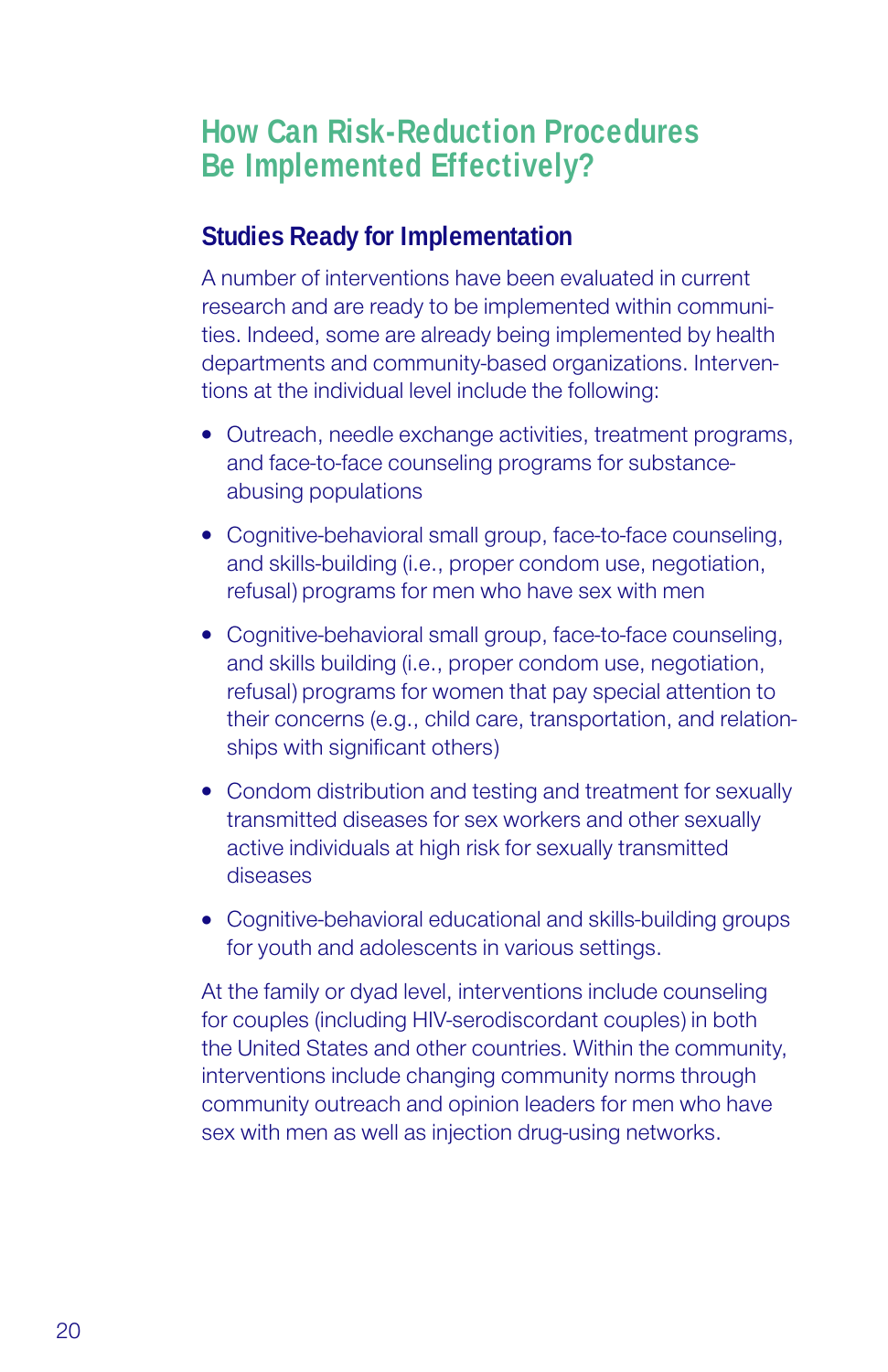## **How Can Risk-Reduction Procedures Be Implemented Effectively?**

## **Studies Ready for Implementation**

A number of interventions have been evaluated in current research and are ready to be implemented within communities. Indeed, some are already being implemented by health departments and community-based organizations. Interventions at the individual level include the following:

- Outreach, needle exchange activities, treatment programs, and face-to-face counseling programs for substanceabusing populations
- Cognitive-behavioral small group, face-to-face counseling, and skills-building (i.e., proper condom use, negotiation, refusal) programs for men who have sex with men
- Cognitive-behavioral small group, face-to-face counseling, and skills building (i.e., proper condom use, negotiation, refusal) programs for women that pay special attention to their concerns (e.g., child care, transportation, and relationships with significant others)
- Condom distribution and testing and treatment for sexually transmitted diseases for sex workers and other sexually active individuals at high risk for sexually transmitted diseases
- Cognitive-behavioral educational and skills-building groups for youth and adolescents in various settings.

At the family or dyad level, interventions include counseling for couples (including HIV-serodiscordant couples) in both the United States and other countries. Within the community, interventions include changing community norms through community outreach and opinion leaders for men who have sex with men as well as injection drug-using networks.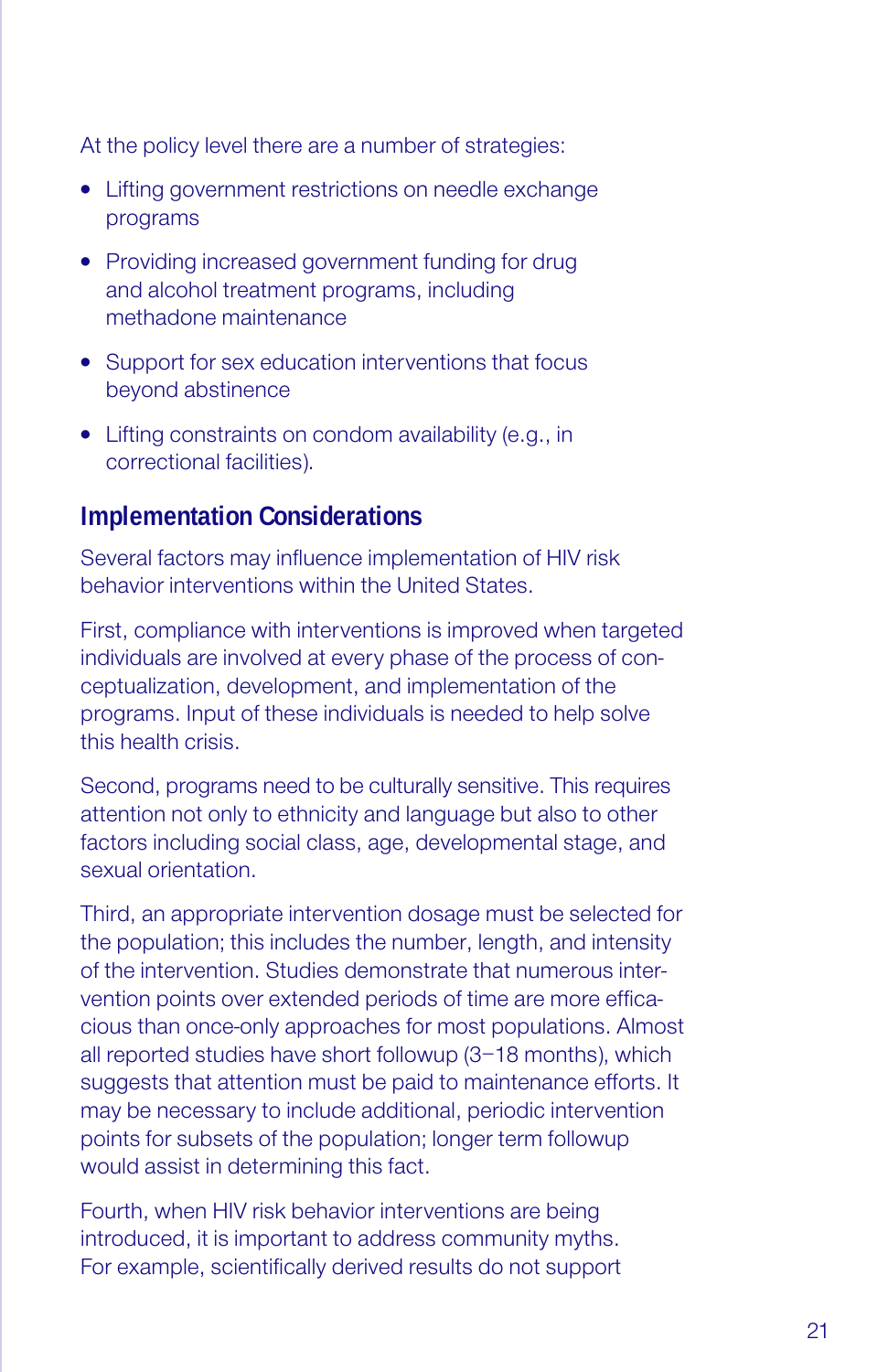At the policy level there are a number of strategies:

- Lifting government restrictions on needle exchange programs
- Providing increased government funding for drug and alcohol treatment programs, including methadone maintenance
- Support for sex education interventions that focus beyond abstinence
- Lifting constraints on condom availability (e.g., in correctional facilities).

## **Implementation Considerations**

Several factors may influence implementation of HIV risk behavior interventions within the United States.

First, compliance with interventions is improved when targeted individuals are involved at every phase of the process of conceptualization, development, and implementation of the programs. Input of these individuals is needed to help solve this health crisis.

Second, programs need to be culturally sensitive. This requires attention not only to ethnicity and language but also to other factors including social class, age, developmental stage, and sexual orientation.

Third, an appropriate intervention dosage must be selected for the population; this includes the number, length, and intensity of the intervention. Studies demonstrate that numerous intervention points over extended periods of time are more efficacious than once-only approaches for most populations. Almost all reported studies have short followup (3–18 months), which suggests that attention must be paid to maintenance efforts. It may be necessary to include additional, periodic intervention points for subsets of the population; longer term followup would assist in determining this fact.

Fourth, when HIV risk behavior interventions are being introduced, it is important to address community myths. For example, scientifically derived results do not support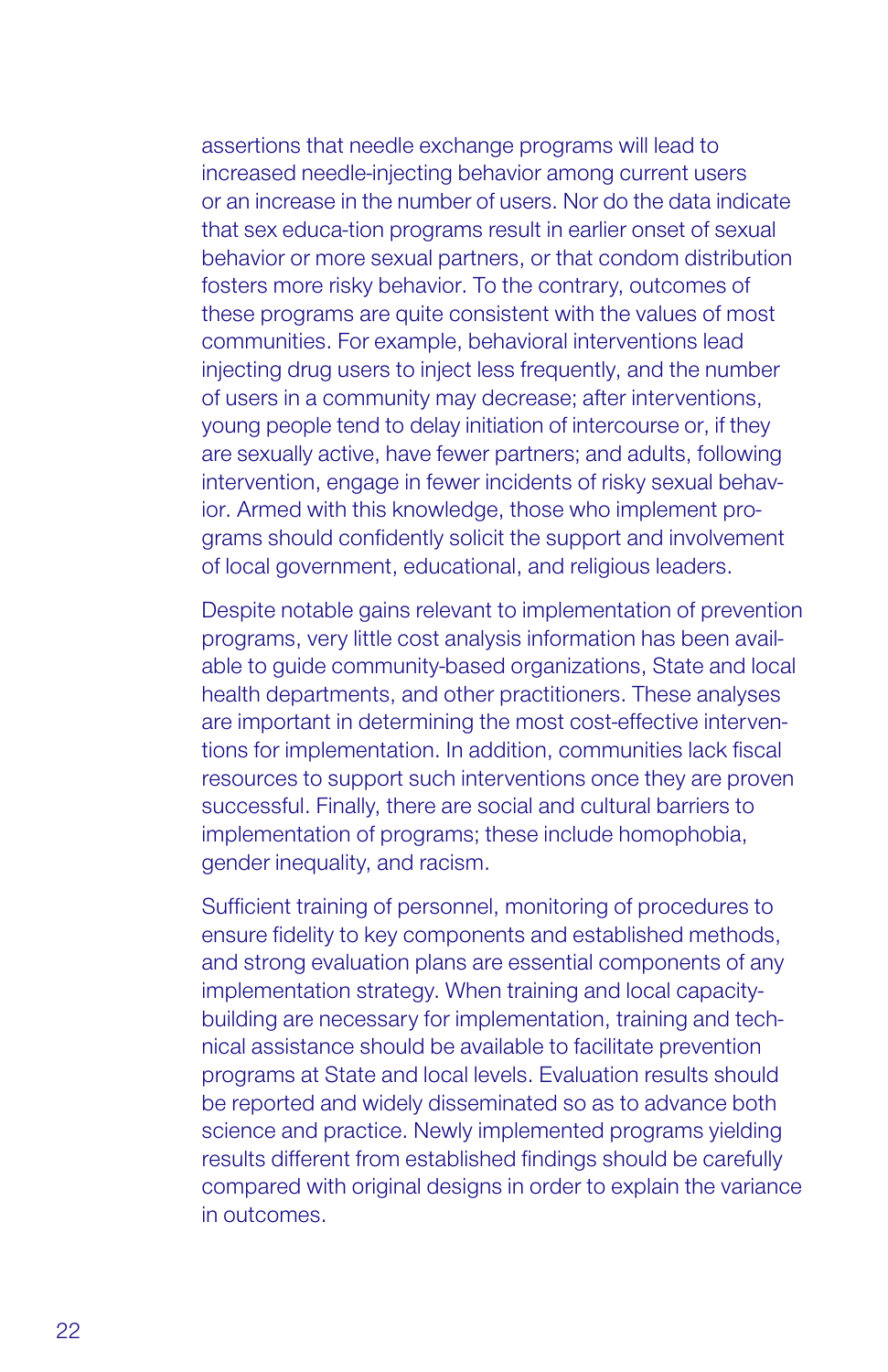assertions that needle exchange programs will lead to increased needle-injecting behavior among current users or an increase in the number of users. Nor do the data indicate that sex educa-tion programs result in earlier onset of sexual behavior or more sexual partners, or that condom distribution fosters more risky behavior. To the contrary, outcomes of these programs are quite consistent with the values of most communities. For example, behavioral interventions lead injecting drug users to inject less frequently, and the number of users in a community may decrease; after interventions, young people tend to delay initiation of intercourse or, if they are sexually active, have fewer partners; and adults, following intervention, engage in fewer incidents of risky sexual behavior. Armed with this knowledge, those who implement programs should confidently solicit the support and involvement of local government, educational, and religious leaders.

Despite notable gains relevant to implementation of prevention programs, very little cost analysis information has been available to guide community-based organizations, State and local health departments, and other practitioners. These analyses are important in determining the most cost-effective interventions for implementation. In addition, communities lack fiscal resources to support such interventions once they are proven successful. Finally, there are social and cultural barriers to implementation of programs; these include homophobia, gender inequality, and racism.

Sufficient training of personnel, monitoring of procedures to ensure fidelity to key components and established methods, and strong evaluation plans are essential components of any implementation strategy. When training and local capacitybuilding are necessary for implementation, training and technical assistance should be available to facilitate prevention programs at State and local levels. Evaluation results should be reported and widely disseminated so as to advance both science and practice. Newly implemented programs yielding results different from established findings should be carefully compared with original designs in order to explain the variance in outcomes.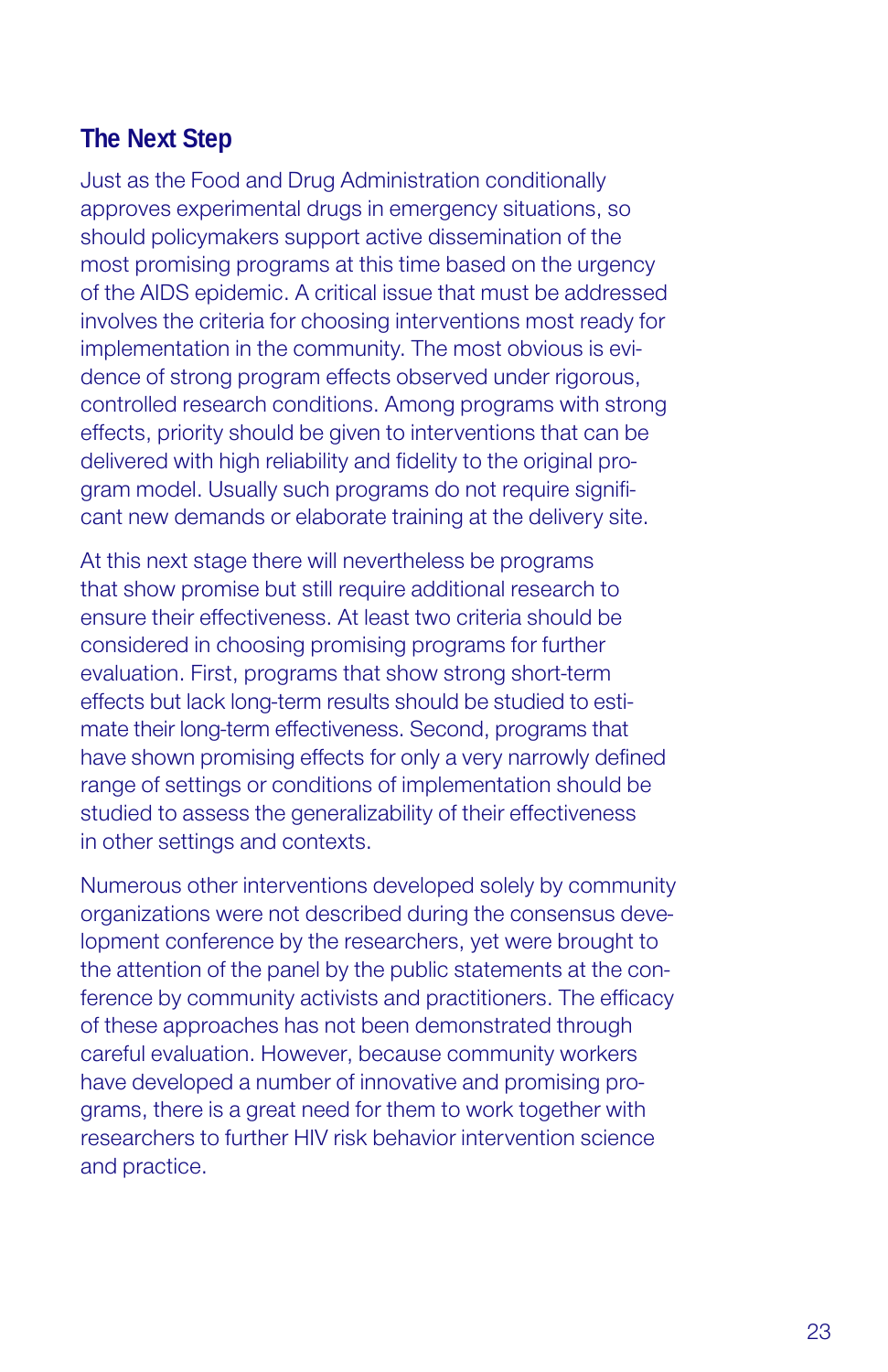## **The Next Step**

Just as the Food and Drug Administration conditionally approves experimental drugs in emergency situations, so should policymakers support active dissemination of the most promising programs at this time based on the urgency of the AIDS epidemic. A critical issue that must be addressed involves the criteria for choosing interventions most ready for implementation in the community. The most obvious is evidence of strong program effects observed under rigorous, controlled research conditions. Among programs with strong effects, priority should be given to interventions that can be delivered with high reliability and fidelity to the original program model. Usually such programs do not require significant new demands or elaborate training at the delivery site.

At this next stage there will nevertheless be programs that show promise but still require additional research to ensure their effectiveness. At least two criteria should be considered in choosing promising programs for further evaluation. First, programs that show strong short-term effects but lack long-term results should be studied to estimate their long-term effectiveness. Second, programs that have shown promising effects for only a very narrowly defined range of settings or conditions of implementation should be studied to assess the generalizability of their effectiveness in other settings and contexts.

Numerous other interventions developed solely by community organizations were not described during the consensus development conference by the researchers, yet were brought to the attention of the panel by the public statements at the conference by community activists and practitioners. The efficacy of these approaches has not been demonstrated through careful evaluation. However, because community workers have developed a number of innovative and promising programs, there is a great need for them to work together with researchers to further HIV risk behavior intervention science and practice.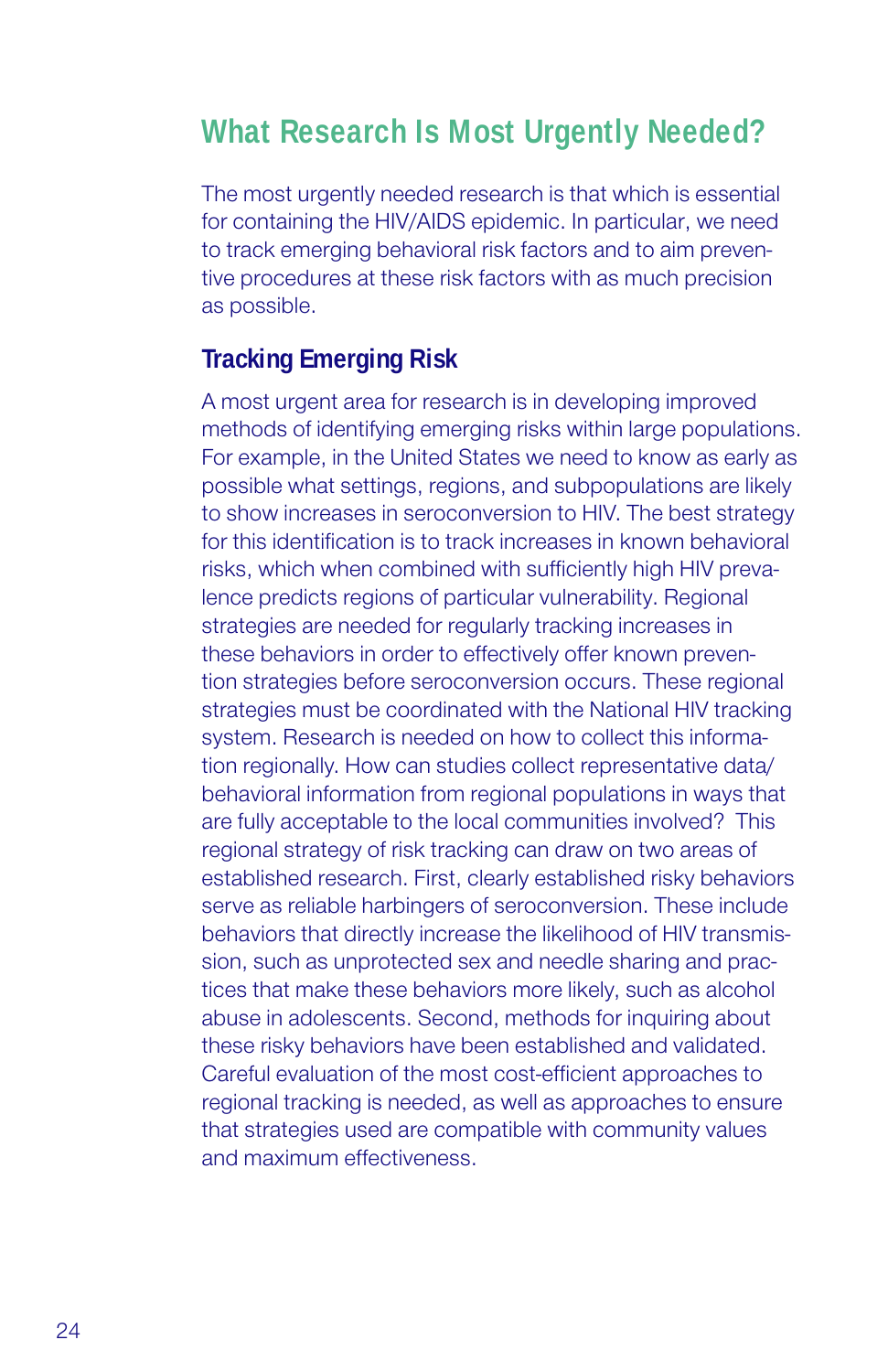## **What Research Is Most Urgently Needed?**

The most urgently needed research is that which is essential for containing the HIV/AIDS epidemic. In particular, we need to track emerging behavioral risk factors and to aim preventive procedures at these risk factors with as much precision as possible.

## **Tracking Emerging Risk**

A most urgent area for research is in developing improved methods of identifying emerging risks within large populations. For example, in the United States we need to know as early as possible what settings, regions, and subpopulations are likely to show increases in seroconversion to HIV. The best strategy for this identification is to track increases in known behavioral risks, which when combined with sufficiently high HIV prevalence predicts regions of particular vulnerability. Regional strategies are needed for regularly tracking increases in these behaviors in order to effectively offer known prevention strategies before seroconversion occurs. These regional strategies must be coordinated with the National HIV tracking system. Research is needed on how to collect this information regionally. How can studies collect representative data/ behavioral information from regional populations in ways that are fully acceptable to the local communities involved? This regional strategy of risk tracking can draw on two areas of established research. First, clearly established risky behaviors serve as reliable harbingers of seroconversion. These include behaviors that directly increase the likelihood of HIV transmission, such as unprotected sex and needle sharing and practices that make these behaviors more likely, such as alcohol abuse in adolescents. Second, methods for inquiring about these risky behaviors have been established and validated. Careful evaluation of the most cost-efficient approaches to regional tracking is needed, as well as approaches to ensure that strategies used are compatible with community values and maximum effectiveness.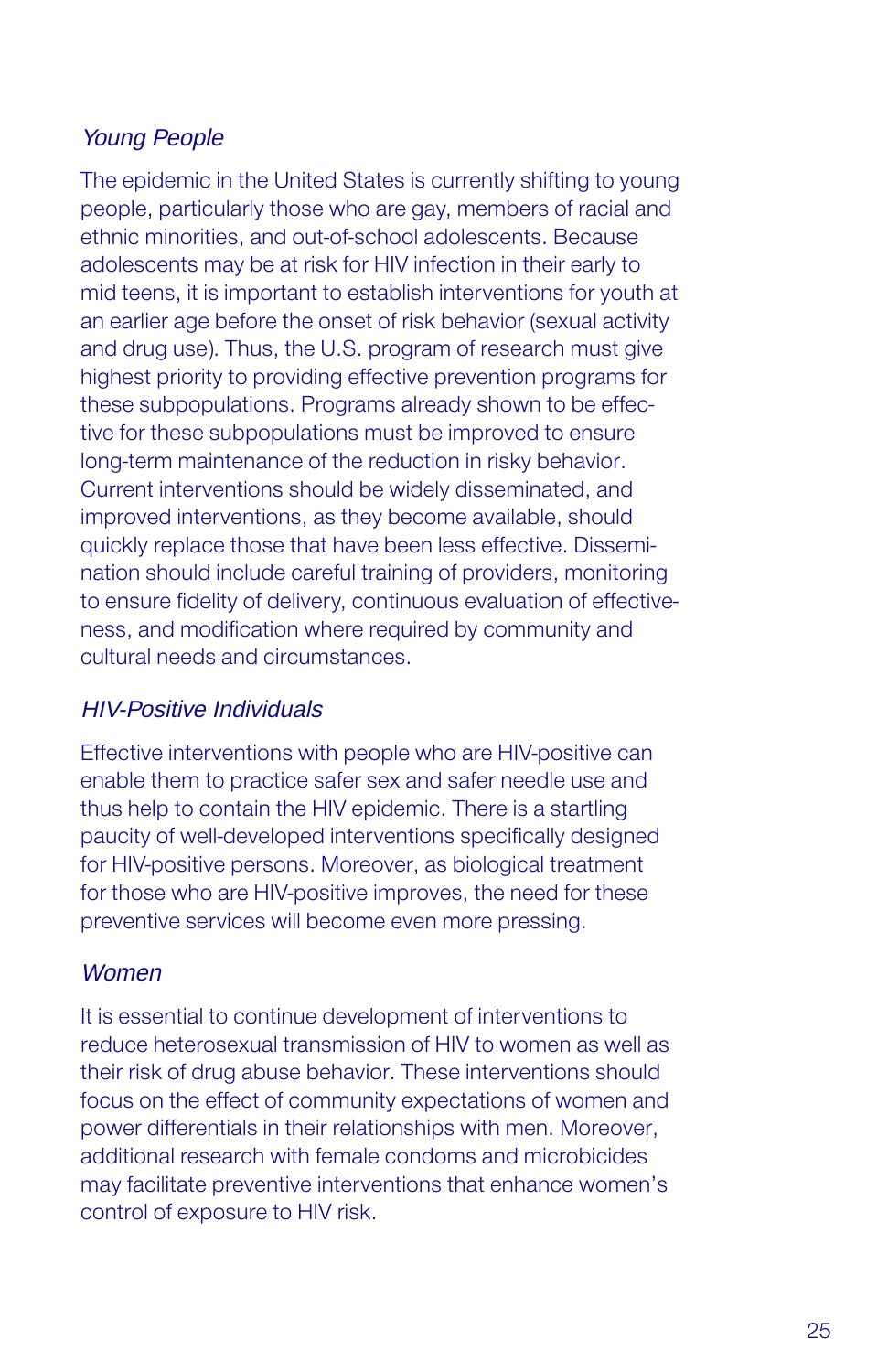## Young People

The epidemic in the United States is currently shifting to young people, particularly those who are gay, members of racial and ethnic minorities, and out-of-school adolescents. Because adolescents may be at risk for HIV infection in their early to mid teens, it is important to establish interventions for youth at an earlier age before the onset of risk behavior (sexual activity and drug use). Thus, the U.S. program of research must give highest priority to providing effective prevention programs for these subpopulations. Programs already shown to be effective for these subpopulations must be improved to ensure long-term maintenance of the reduction in risky behavior. Current interventions should be widely disseminated, and improved interventions, as they become available, should quickly replace those that have been less effective. Dissemination should include careful training of providers, monitoring to ensure fidelity of delivery, continuous evaluation of effectiveness, and modification where required by community and cultural needs and circumstances.

### HIV-Positive Individuals

Effective interventions with people who are HIV-positive can enable them to practice safer sex and safer needle use and thus help to contain the HIV epidemic. There is a startling paucity of well-developed interventions specifically designed for HIV-positive persons. Moreover, as biological treatment for those who are HIV-positive improves, the need for these preventive services will become even more pressing.

### **Women**

It is essential to continue development of interventions to reduce heterosexual transmission of HIV to women as well as their risk of drug abuse behavior. These interventions should focus on the effect of community expectations of women and power differentials in their relationships with men. Moreover, additional research with female condoms and microbicides may facilitate preventive interventions that enhance women's control of exposure to HIV risk.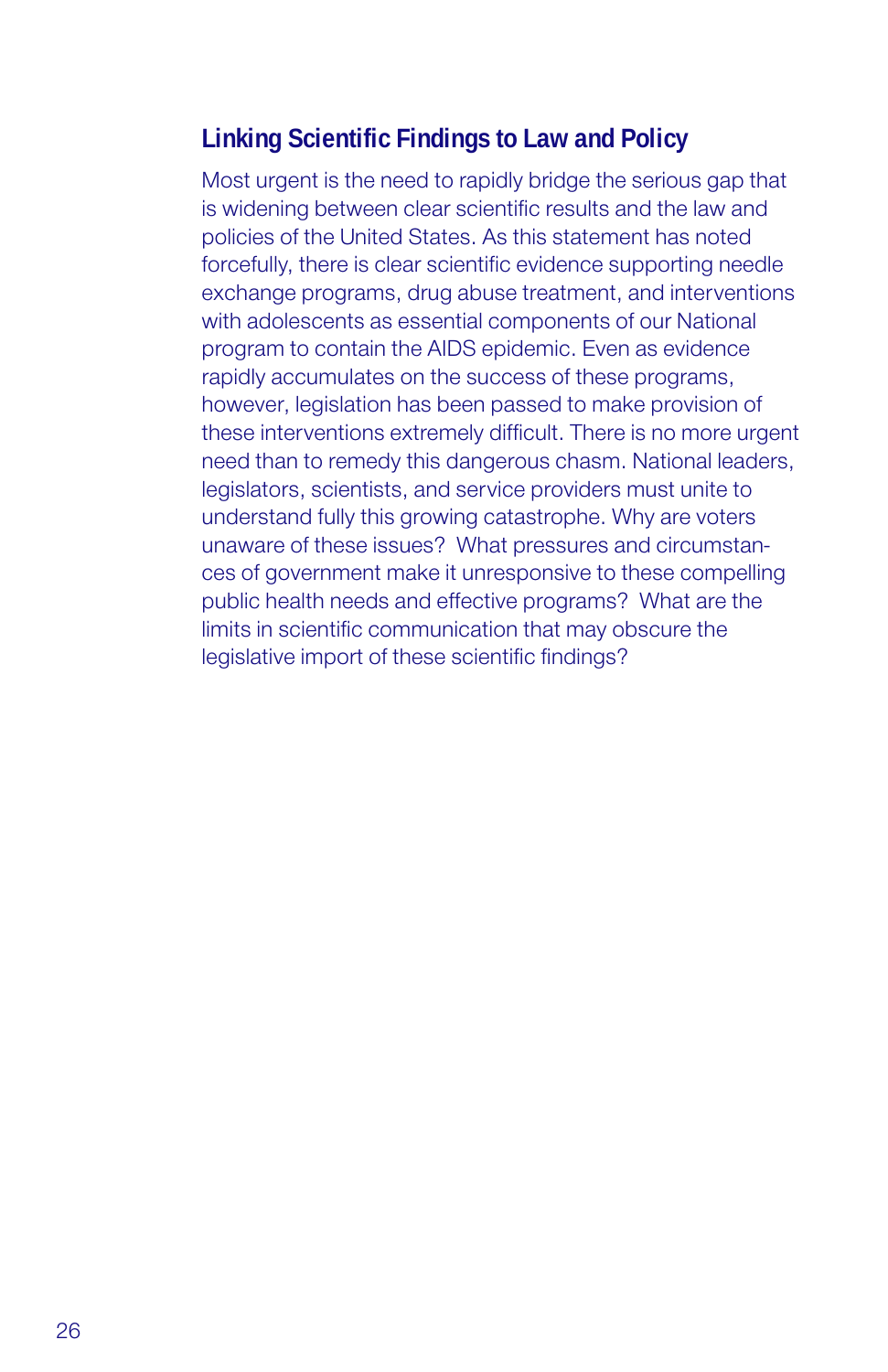## **Linking Scientific Findings to Law and Policy**

Most urgent is the need to rapidly bridge the serious gap that is widening between clear scientific results and the law and policies of the United States. As this statement has noted forcefully, there is clear scientific evidence supporting needle exchange programs, drug abuse treatment, and interventions with adolescents as essential components of our National program to contain the AIDS epidemic. Even as evidence rapidly accumulates on the success of these programs, however, legislation has been passed to make provision of these interventions extremely difficult. There is no more urgent need than to remedy this dangerous chasm. National leaders, legislators, scientists, and service providers must unite to understand fully this growing catastrophe. Why are voters unaware of these issues? What pressures and circumstances of government make it unresponsive to these compelling public health needs and effective programs? What are the limits in scientific communication that may obscure the legislative import of these scientific findings?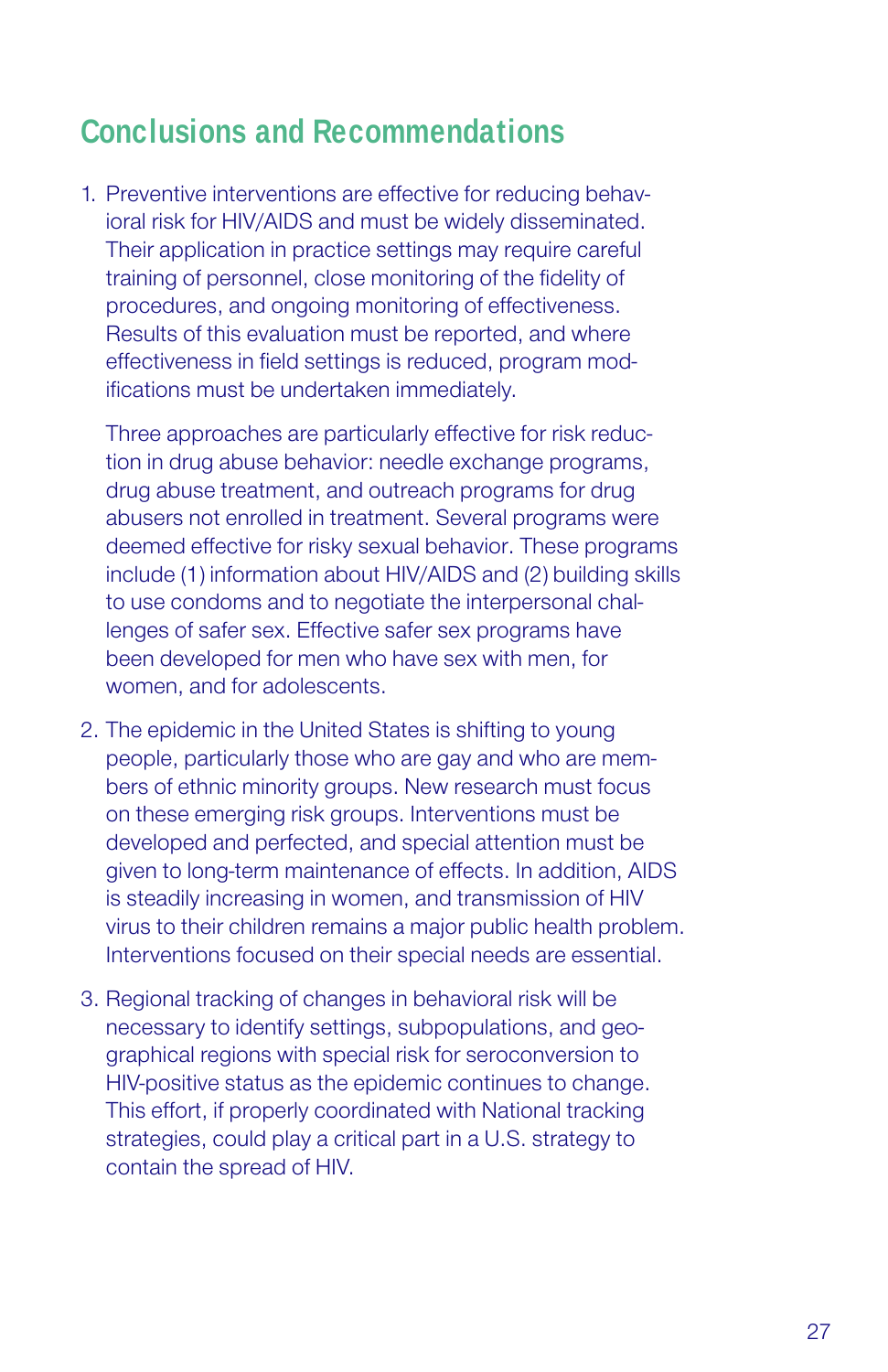## **Conclusions and Recommendations**

1. Preventive interventions are effective for reducing behavioral risk for HIV/AIDS and must be widely disseminated. Their application in practice settings may require careful training of personnel, close monitoring of the fidelity of procedures, and ongoing monitoring of effectiveness. Results of this evaluation must be reported, and where effectiveness in field settings is reduced, program modifications must be undertaken immediately.

Three approaches are particularly effective for risk reduction in drug abuse behavior: needle exchange programs, drug abuse treatment, and outreach programs for drug abusers not enrolled in treatment. Several programs were deemed effective for risky sexual behavior. These programs include (1) information about HIV/AIDS and (2) building skills to use condoms and to negotiate the interpersonal challenges of safer sex. Effective safer sex programs have been developed for men who have sex with men, for women, and for adolescents.

- 2. The epidemic in the United States is shifting to young people, particularly those who are gay and who are members of ethnic minority groups. New research must focus on these emerging risk groups. Interventions must be developed and perfected, and special attention must be given to long-term maintenance of effects. In addition, AIDS is steadily increasing in women, and transmission of HIV virus to their children remains a major public health problem. Interventions focused on their special needs are essential.
- 3. Regional tracking of changes in behavioral risk will be necessary to identify settings, subpopulations, and geographical regions with special risk for seroconversion to HIV-positive status as the epidemic continues to change. This effort, if properly coordinated with National tracking strategies, could play a critical part in a U.S. strategy to contain the spread of HIV.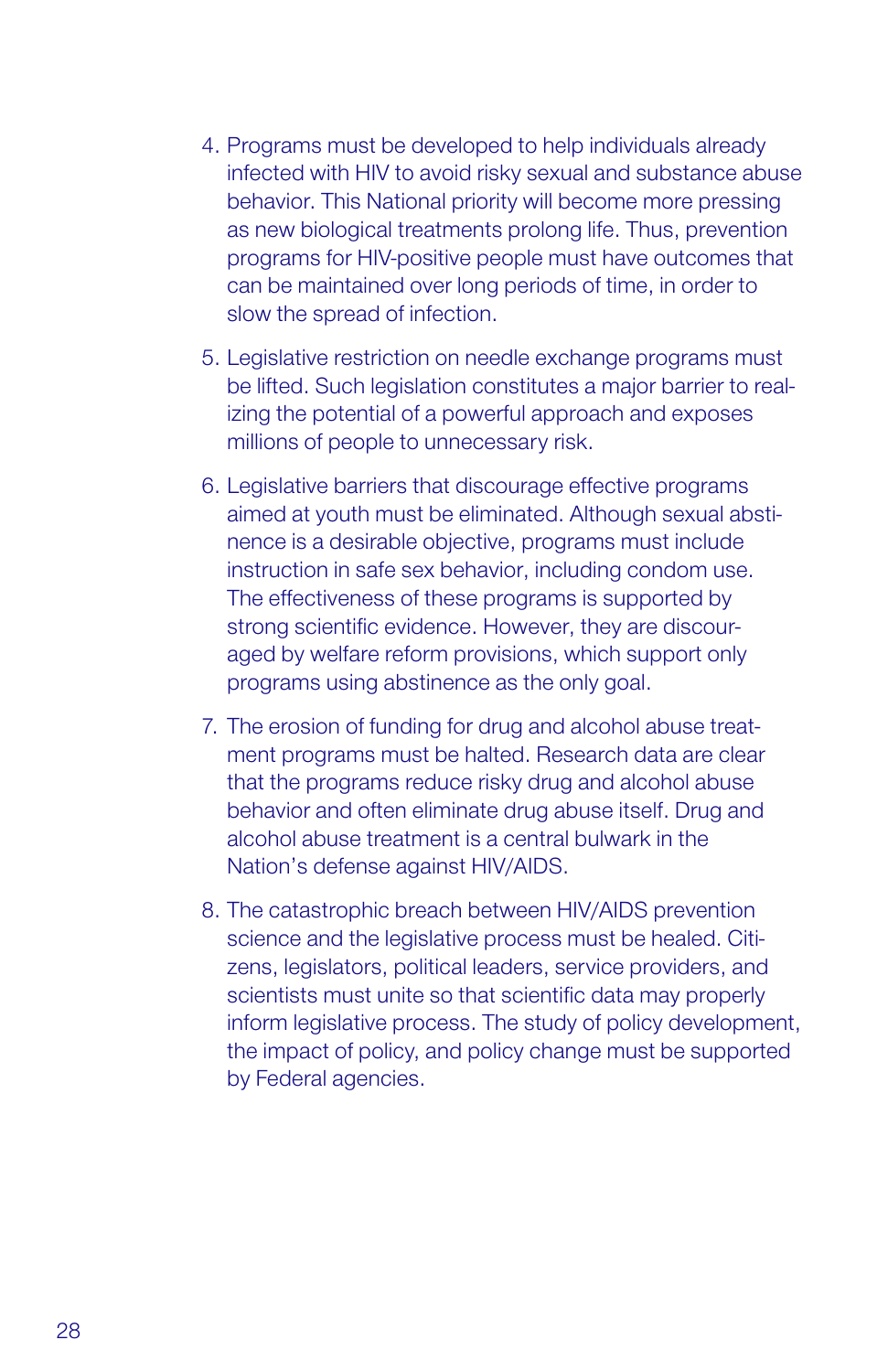- 4. Programs must be developed to help individuals already infected with HIV to avoid risky sexual and substance abuse behavior. This National priority will become more pressing as new biological treatments prolong life. Thus, prevention programs for HIV-positive people must have outcomes that can be maintained over long periods of time, in order to slow the spread of infection.
- 5. Legislative restriction on needle exchange programs must be lifted. Such legislation constitutes a major barrier to realizing the potential of a powerful approach and exposes millions of people to unnecessary risk.
- 6. Legislative barriers that discourage effective programs aimed at youth must be eliminated. Although sexual abstinence is a desirable objective, programs must include instruction in safe sex behavior, including condom use. The effectiveness of these programs is supported by strong scientific evidence. However, they are discouraged by welfare reform provisions, which support only programs using abstinence as the only goal.
- 7. The erosion of funding for drug and alcohol abuse treatment programs must be halted. Research data are clear that the programs reduce risky drug and alcohol abuse behavior and often eliminate drug abuse itself. Drug and alcohol abuse treatment is a central bulwark in the Nation's defense against HIV/AIDS.
- 8. The catastrophic breach between HIV/AIDS prevention science and the legislative process must be healed. Citizens, legislators, political leaders, service providers, and scientists must unite so that scientific data may properly inform legislative process. The study of policy development, the impact of policy, and policy change must be supported by Federal agencies.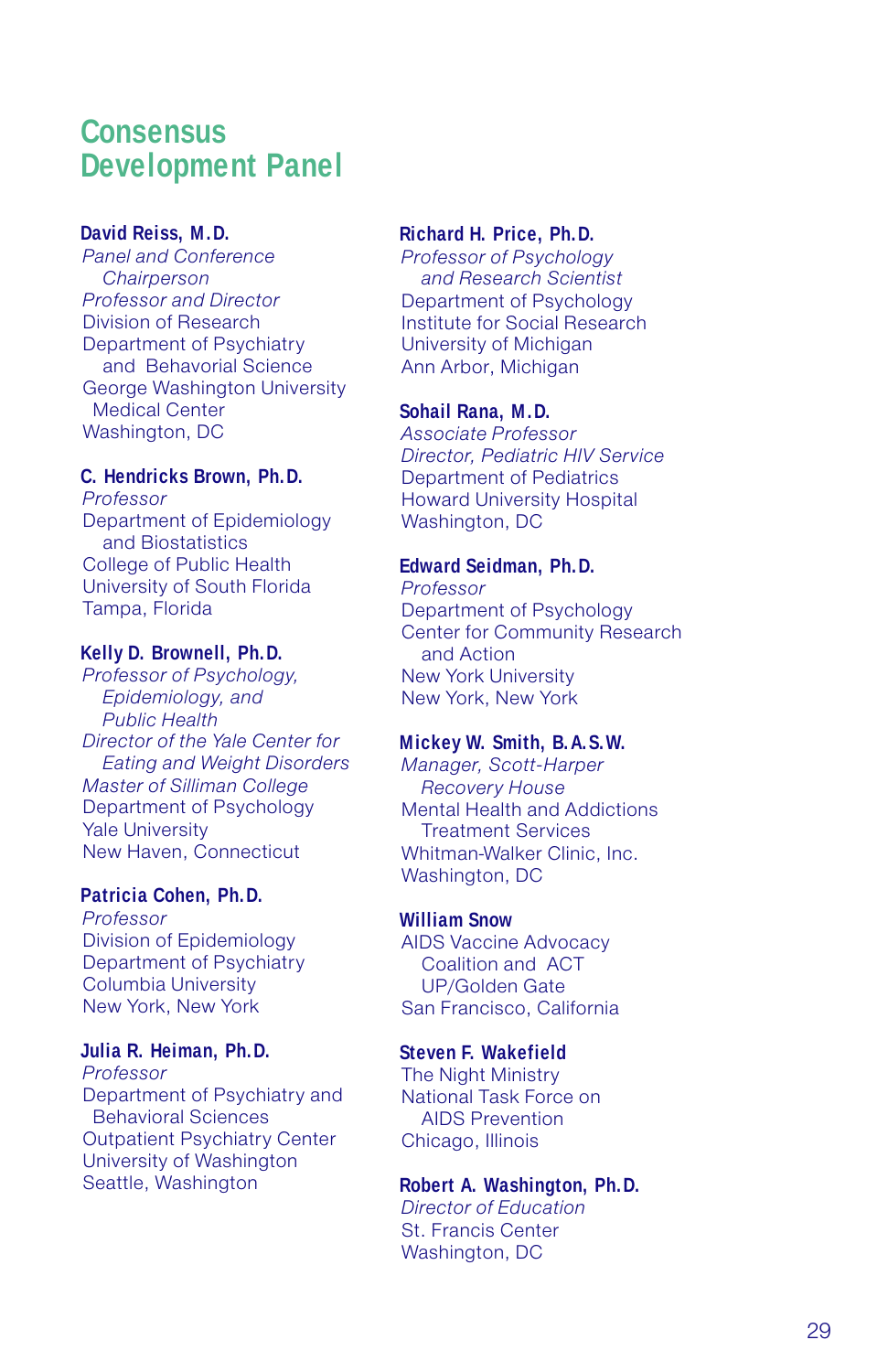## **Consensus Development Panel**

#### **David Reiss, M.D.**

Panel and Conference **Chairperson** Professor and Director Division of Research Department of Psychiatry and Behavorial Science George Washington University Medical Center Washington, DC

#### **C. Hendricks Brown, Ph.D.**

Professor Department of Epidemiology and Biostatistics College of Public Health University of South Florida Tampa, Florida

#### **Kelly D. Brownell, Ph.D.**

Professor of Psychology, Epidemiology, and Public Health Director of the Yale Center for Eating and Weight Disorders Master of Silliman College Department of Psychology Yale University New Haven, Connecticut

#### **Patricia Cohen, Ph.D.**

Professor Division of Epidemiology Department of Psychiatry Columbia University New York, New York

#### **Julia R. Heiman, Ph.D.**

Professor Department of Psychiatry and Behavioral Sciences Outpatient Psychiatry Center University of Washington Seattle, Washington

#### **Richard H. Price, Ph.D.**

Professor of Psychology and Research Scientist Department of Psychology Institute for Social Research University of Michigan Ann Arbor, Michigan

#### **Sohail Rana, M.D.**

Associate Professor Director, Pediatric HIV Service Department of Pediatrics Howard University Hospital Washington, DC

#### **Edward Seidman, Ph.D.**

Professor Department of Psychology Center for Community Research and Action New York University New York, New York

#### **Mickey W. Smith, B.A.S.W.**

Manager, Scott-Harper Recovery House Mental Health and Addictions Treatment Services Whitman-Walker Clinic, Inc. Washington, DC

#### **William Snow**

AIDS Vaccine Advocacy Coalition and ACT UP/Golden Gate San Francisco, California

#### **Steven F. Wakefield**

The Night Ministry National Task Force on AIDS Prevention Chicago, Illinois

#### **Robert A. Washington, Ph.D.**

Director of Education St. Francis Center Washington, DC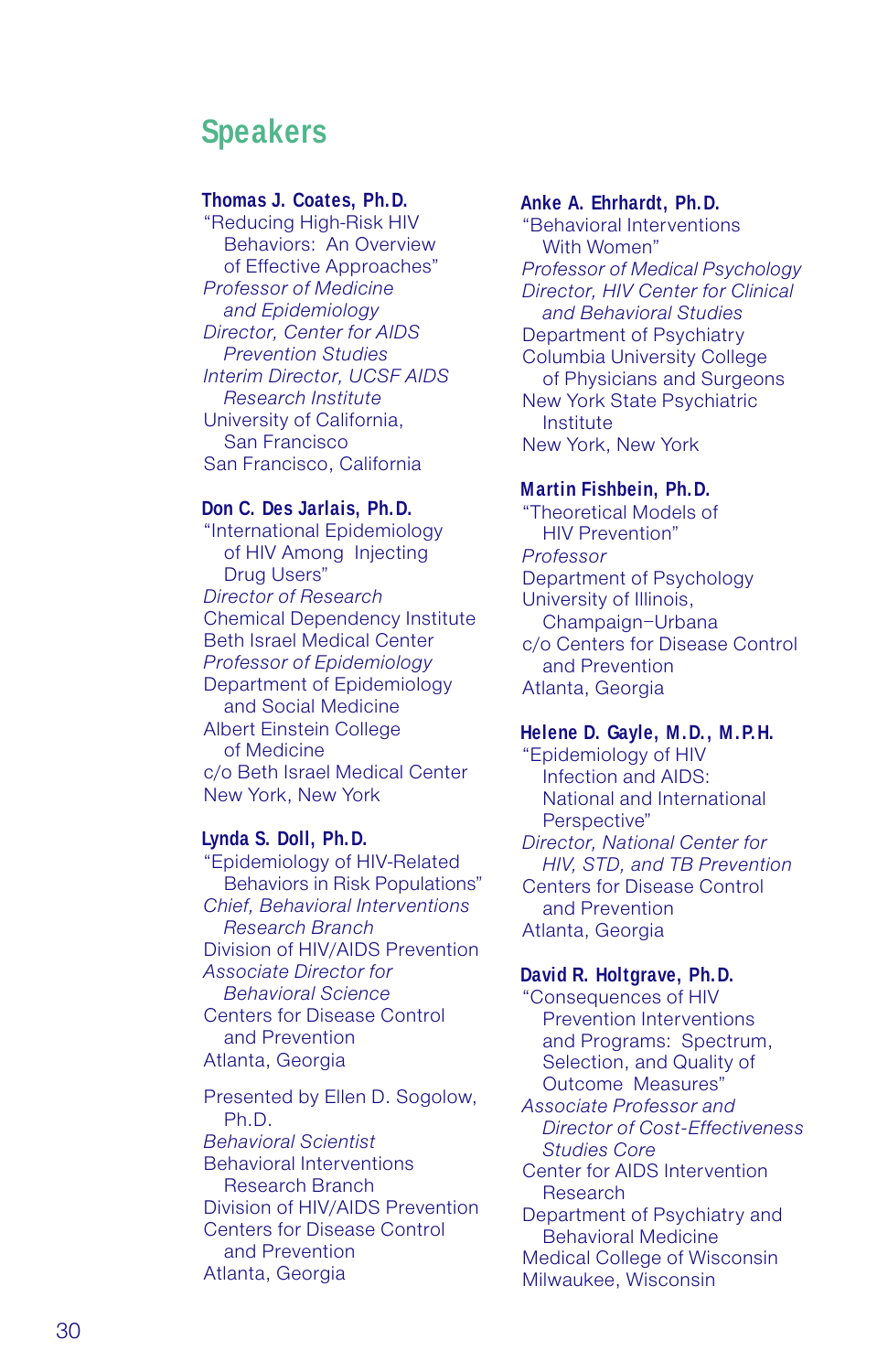## **Speakers**

#### **Thomas J. Coates, Ph.D.**

"Reducing High-Risk HIV Behaviors: An Overview of Effective Approaches" Professor of Medicine and Epidemiology Director, Center for AIDS Prevention Studies Interim Director, UCSF AIDS Research Institute University of California, San Francisco San Francisco, California

#### **Don C. Des Jarlais, Ph.D.**

"International Epidemiology of HIV Among Injecting Drug Users" Director of Research Chemical Dependency Institute Beth Israel Medical Center Professor of Epidemiology Department of Epidemiology and Social Medicine Albert Einstein College of Medicine c/o Beth Israel Medical Center New York, New York

#### **Lynda S. Doll, Ph.D.**

"Epidemiology of HIV-Related Behaviors in Risk Populations" Chief, Behavioral Interventions Research Branch Division of HIV/AIDS Prevention Associate Director for Behavioral Science Centers for Disease Control and Prevention Atlanta, Georgia Presented by Ellen D. Sogolow,

Ph.D. Behavioral Scientist Behavioral Interventions Research Branch Division of HIV/AIDS Prevention Centers for Disease Control and Prevention Atlanta, Georgia

#### **Anke A. Ehrhardt, Ph.D.**

"Behavioral Interventions With Women" Professor of Medical Psychology Director, HIV Center for Clinical and Behavioral Studies Department of Psychiatry Columbia University College of Physicians and Surgeons New York State Psychiatric Institute New York, New York

#### **Martin Fishbein, Ph.D.**

"Theoretical Models of HIV Prevention" Professor Department of Psychology University of Illinois, Champaign–Urbana c/o Centers for Disease Control and Prevention Atlanta, Georgia

#### **Helene D. Gayle, M.D., M.P.H.**

"Epidemiology of HIV Infection and AIDS: National and International Perspective" Director, National Center for HIV, STD, and TB Prevention Centers for Disease Control and Prevention Atlanta, Georgia

#### **David R. Holtgrave, Ph.D.**

"Consequences of HIV Prevention Interventions and Programs: Spectrum, Selection, and Quality of Outcome Measures" Associate Professor and Director of Cost-Effectiveness Studies Core Center for AIDS Intervention Research Department of Psychiatry and Behavioral Medicine Medical College of Wisconsin Milwaukee, Wisconsin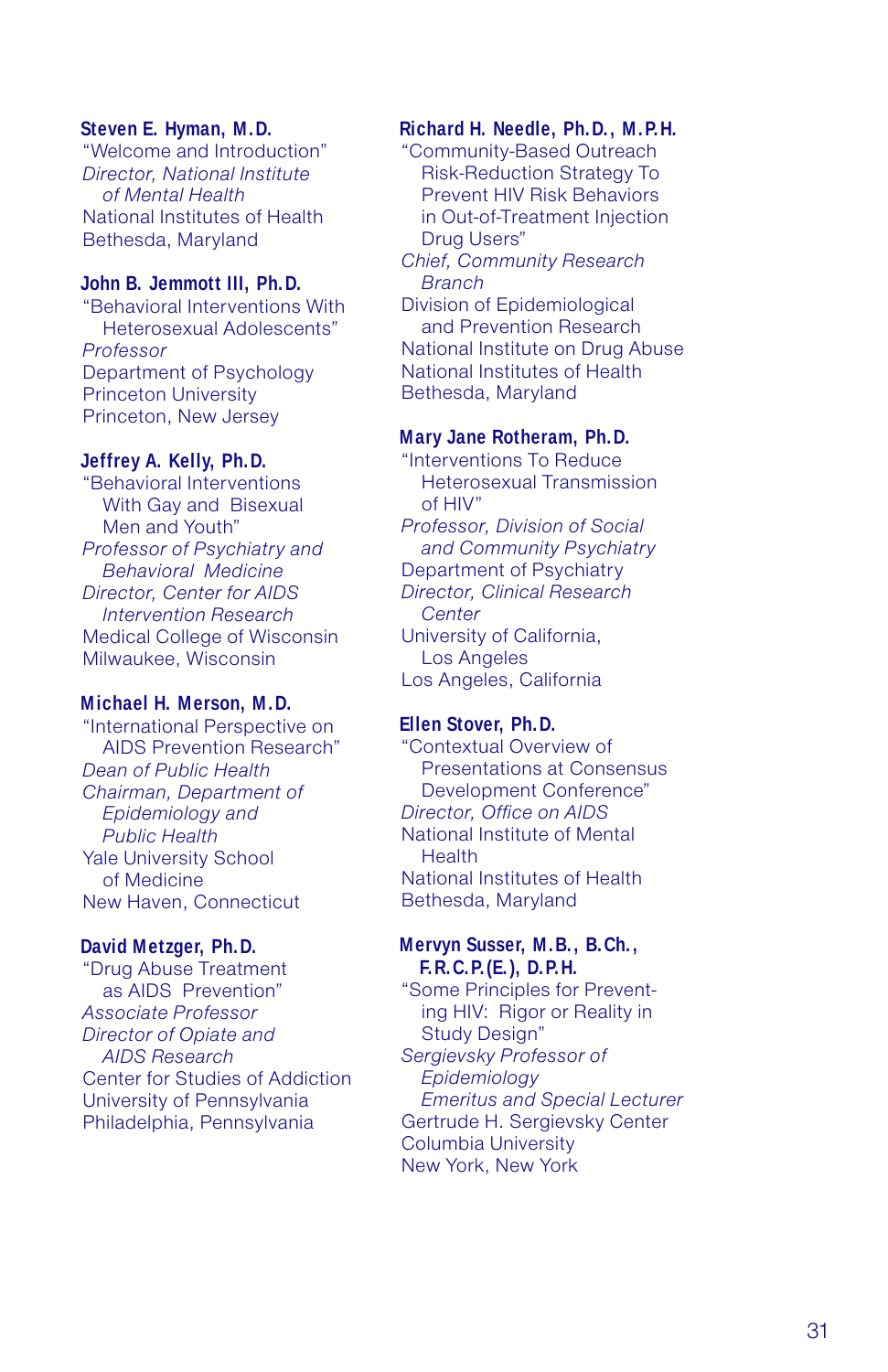#### **Steven E. Hyman, M.D.**

"Welcome and Introduction" Director, National Institute of Mental Health National Institutes of Health Bethesda, Maryland

#### **John B. Jemmott III, Ph.D.**

"Behavioral Interventions With Heterosexual Adolescents" Professor Department of Psychology Princeton University Princeton, New Jersey

#### **Jeffrey A. Kelly, Ph.D.**

"Behavioral Interventions With Gay and Bisexual Men and Youth" Professor of Psychiatry and Behavioral Medicine Director, Center for AIDS Intervention Research Medical College of Wisconsin Milwaukee, Wisconsin

#### **Michael H. Merson, M.D.**

"International Perspective on AIDS Prevention Research" Dean of Public Health Chairman, Department of Epidemiology and Public Health Yale University School of Medicine New Haven, Connecticut

#### **David Metzger, Ph.D.**

"Drug Abuse Treatment as AIDS Prevention" Associate Professor Director of Opiate and AIDS Research Center for Studies of Addiction University of Pennsylvania Philadelphia, Pennsylvania

#### **Richard H. Needle, Ph.D., M.P.H.**

- "Community-Based Outreach Risk-Reduction Strategy To Prevent HIV Risk Behaviors in Out-of-Treatment Injection Drug Users"
- Chief, Community Research **Branch**

Division of Epidemiological and Prevention Research National Institute on Drug Abuse National Institutes of Health Bethesda, Maryland

#### **Mary Jane Rotheram, Ph.D.**

- "Interventions To Reduce Heterosexual Transmission of HIV"
- Professor, Division of Social and Community Psychiatry Department of Psychiatry Director, Clinical Research **Center**

University of California, Los Angeles Los Angeles, California

#### **Ellen Stover, Ph.D.**

"Contextual Overview of Presentations at Consensus Development Conference" Director, Office on AIDS National Institute of Mental Health National Institutes of Health Bethesda, Maryland

#### **Mervyn Susser, M.B., B.Ch., F.R.C.P.(E.), D.P.H.**

"Some Principles for Preventing HIV: Rigor or Reality in Study Design" Sergievsky Professor of Epidemiology Emeritus and Special Lecturer Gertrude H. Sergievsky Center Columbia University New York, New York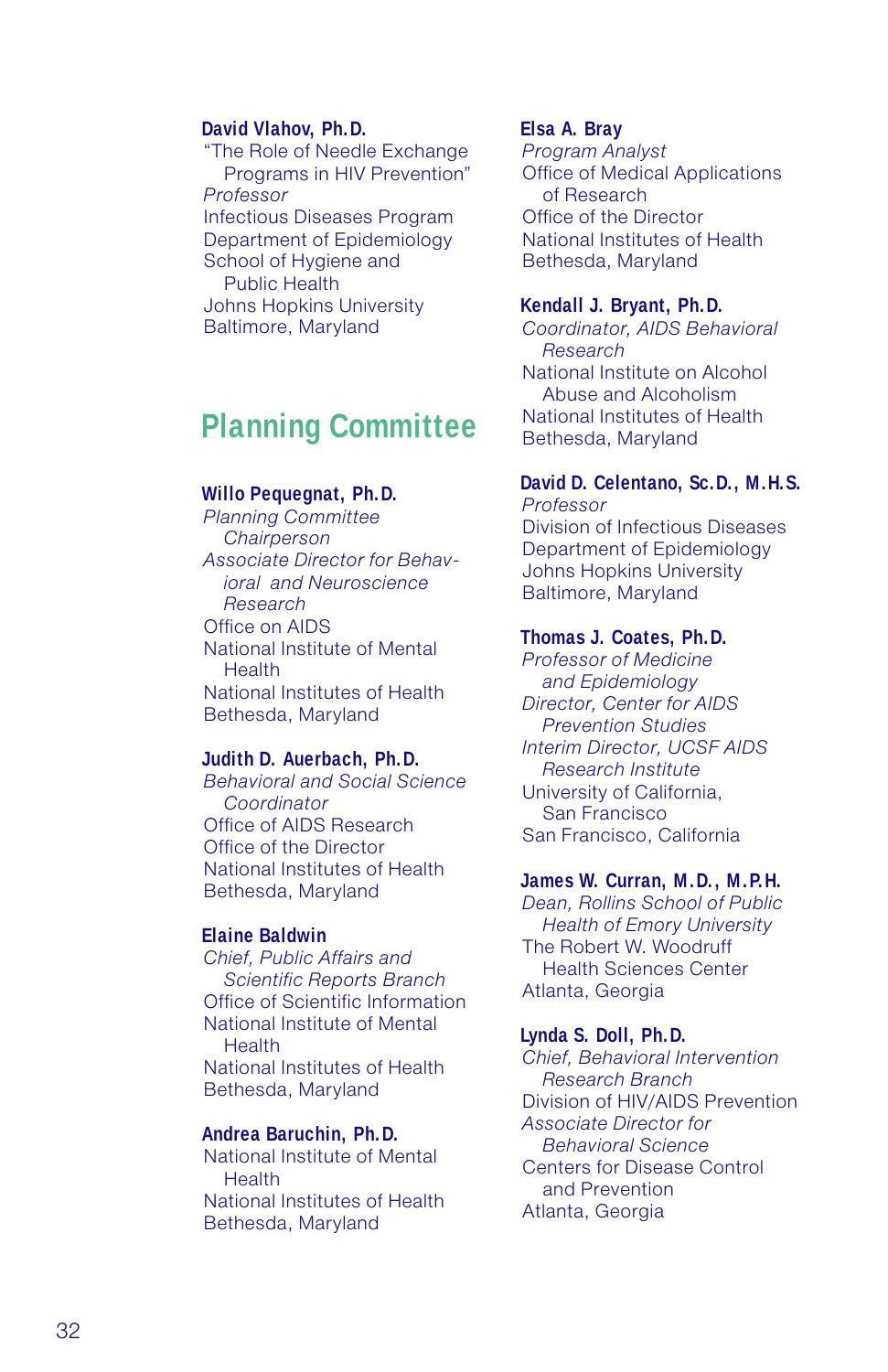#### **David Vlahov, Ph.D.**

"The Role of Needle Exchange Programs in HIV Prevention" Professor

Infectious Diseases Program Department of Epidemiology School of Hygiene and Public Health

Johns Hopkins University Baltimore, Maryland

## **Planning Committee**

#### **Willo Pequegnat, Ph.D.**

Planning Committee **Chairperson** Associate Director for Behavioral and Neuroscience Research Office on AIDS National Institute of Mental **Health** National Institutes of Health Bethesda, Maryland

#### **Judith D. Auerbach, Ph.D.**

Behavioral and Social Science **Coordinator** Office of AIDS Research Office of the Director National Institutes of Health Bethesda, Maryland

#### **Elaine Baldwin**

Chief, Public Affairs and Scientific Reports Branch Office of Scientific Information National Institute of Mental Health National Institutes of Health Bethesda, Maryland

#### **Andrea Baruchin, Ph.D.**

National Institute of Mental Health National Institutes of Health Bethesda, Maryland

#### **Elsa A. Bray**

Program Analyst Office of Medical Applications of Research Office of the Director National Institutes of Health Bethesda, Maryland

#### **Kendall J. Bryant, Ph.D.**

Coordinator, AIDS Behavioral Research National Institute on Alcohol Abuse and Alcoholism National Institutes of Health Bethesda, Maryland

#### **David D. Celentano, Sc.D., M.H.S.**

Professor Division of Infectious Diseases Department of Epidemiology Johns Hopkins University Baltimore, Maryland

#### **Thomas J. Coates, Ph.D.**

Professor of Medicine and Epidemiology Director, Center for AIDS Prevention Studies Interim Director, UCSF AIDS Research Institute University of California, San Francisco San Francisco, California

#### **James W. Curran, M.D., M.P.H.**

Dean, Rollins School of Public Health of Emory University The Robert W. Woodruff Health Sciences Center Atlanta, Georgia

#### **Lynda S. Doll, Ph.D.**

Chief, Behavioral Intervention Research Branch Division of HIV/AIDS Prevention Associate Director for Behavioral Science Centers for Disease Control and Prevention Atlanta, Georgia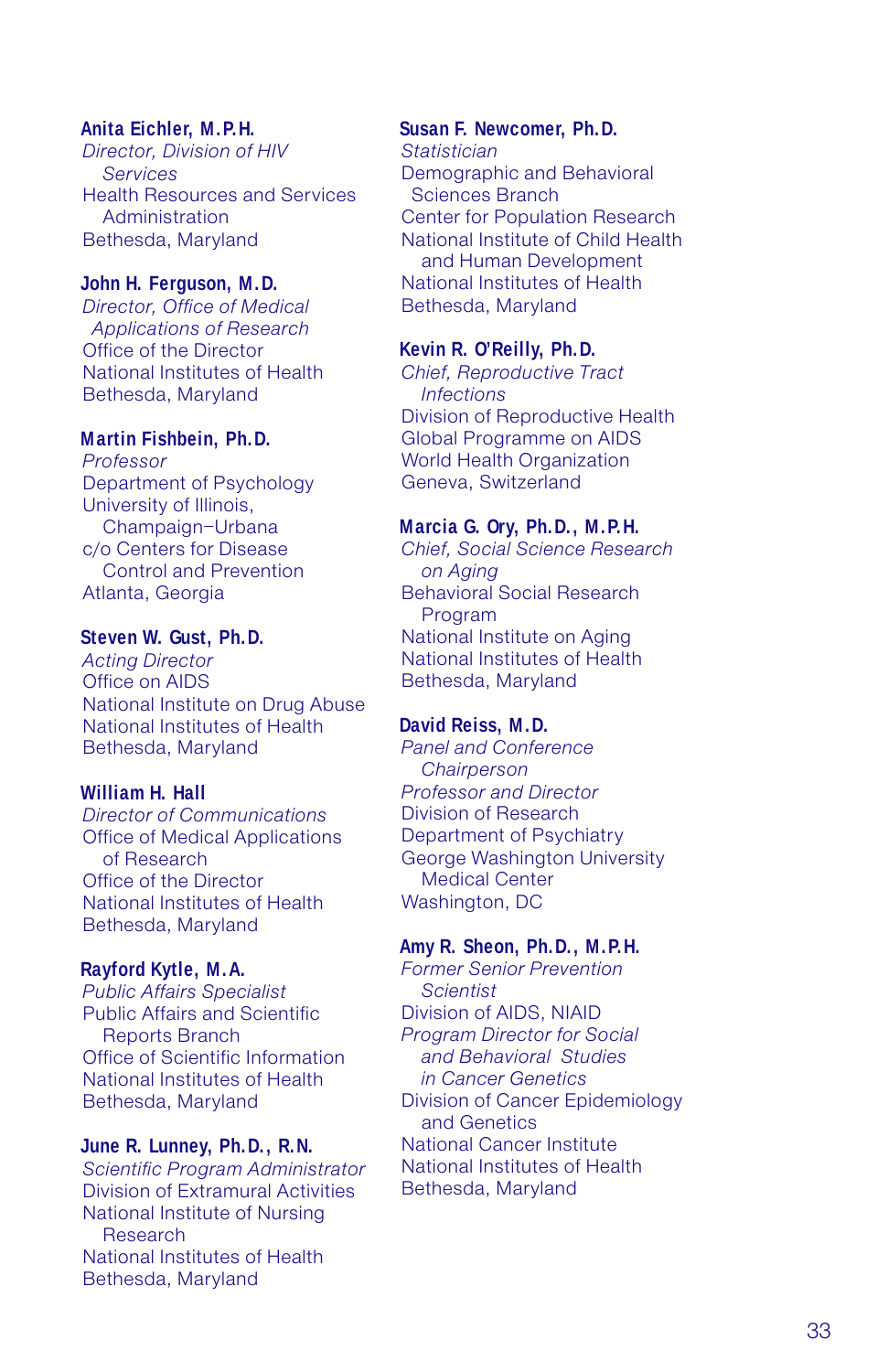#### **Anita Eichler, M.P.H.**

Director, Division of HIV **Services** Health Resources and Services Administration Bethesda, Maryland

#### **John H. Ferguson, M.D.**

Director, Office of Medical Applications of Research Office of the Director National Institutes of Health Bethesda, Maryland

#### **Martin Fishbein, Ph.D.**

Professor Department of Psychology University of Illinois, Champaign–Urbana c/o Centers for Disease Control and Prevention Atlanta, Georgia

#### **Steven W. Gust, Ph.D.**

Acting Director Office on AIDS National Institute on Drug Abuse National Institutes of Health Bethesda, Maryland

#### **William H. Hall**

Director of Communications Office of Medical Applications of Research Office of the Director National Institutes of Health Bethesda, Maryland

#### **Rayford Kytle, M.A.**

Public Affairs Specialist Public Affairs and Scientific Reports Branch Office of Scientific Information National Institutes of Health Bethesda, Maryland

#### **June R. Lunney, Ph.D., R.N.**

Scientific Program Administrator Division of Extramural Activities National Institute of Nursing Research National Institutes of Health Bethesda, Maryland

#### **Susan F. Newcomer, Ph.D.**

**Statistician** Demographic and Behavioral Sciences Branch Center for Population Research National Institute of Child Health and Human Development National Institutes of Health Bethesda, Maryland

#### **Kevin R. O'Reilly, Ph.D.**

Chief, Reproductive Tract **Infections** Division of Reproductive Health Global Programme on AIDS World Health Organization Geneva, Switzerland

#### **Marcia G. Ory, Ph.D., M.P.H.**

Chief, Social Science Research on Aging Behavioral Social Research Program National Institute on Aging National Institutes of Health Bethesda, Maryland

#### **David Reiss, M.D.**

Panel and Conference **Chairperson** Professor and Director Division of Research Department of Psychiatry George Washington University Medical Center Washington, DC

#### **Amy R. Sheon, Ph.D., M.P.H.**

Former Senior Prevention **Scientist** Division of AIDS, NIAID Program Director for Social and Behavioral Studies in Cancer Genetics Division of Cancer Epidemiology and Genetics National Cancer Institute National Institutes of Health Bethesda, Maryland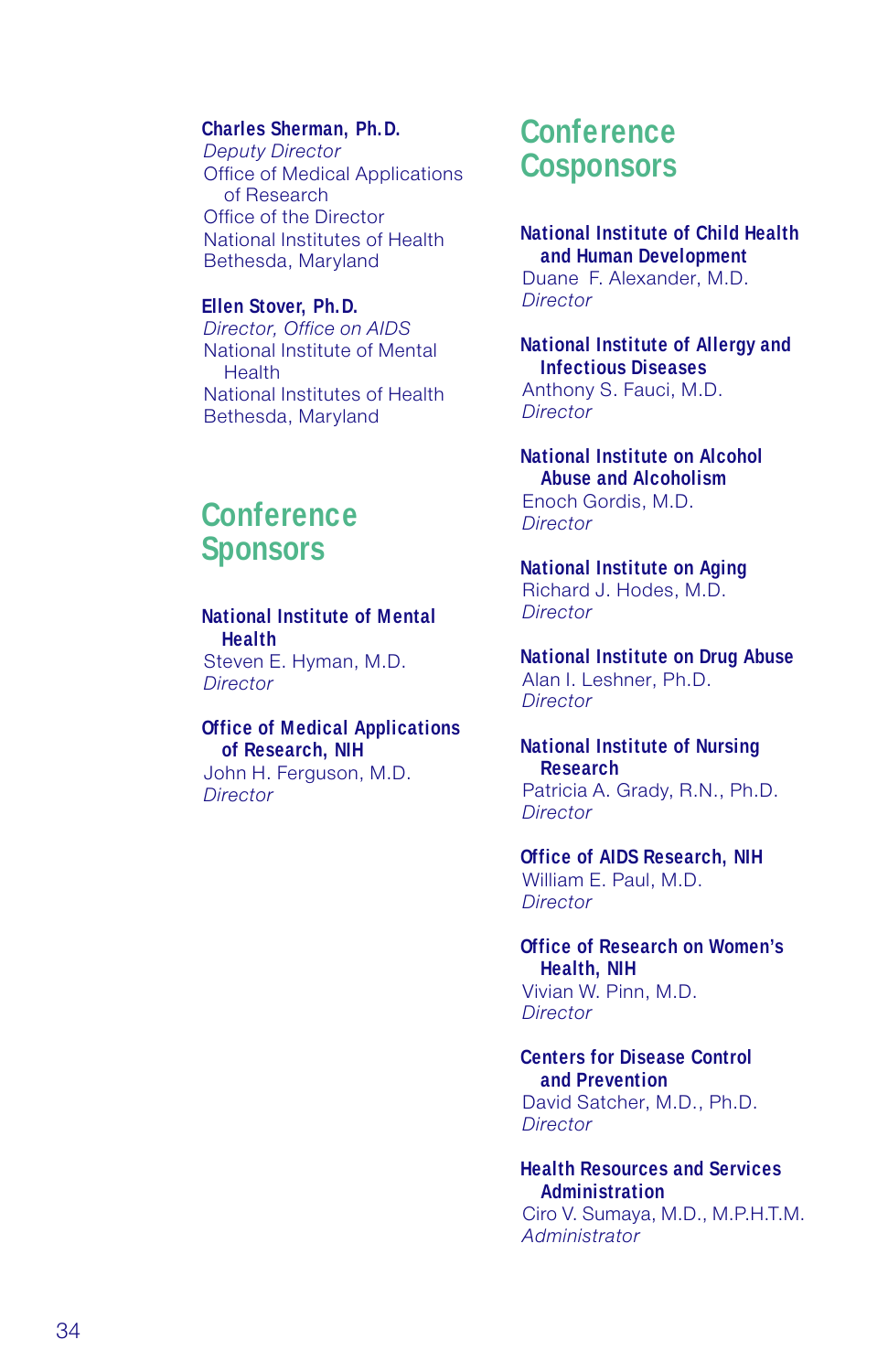#### **Charles Sherman, Ph.D.**

Deputy Director Office of Medical Applications of Research Office of the Director National Institutes of Health Bethesda, Maryland

#### **Ellen Stover, Ph.D.**

Director, Office on AIDS National Institute of Mental Health National Institutes of Health Bethesda, Maryland

## **Conference Sponsors**

#### **National Institute of Mental Health**

Steven E. Hyman, M.D. **Director** 

#### **Office of Medical Applications of Research, NIH**

John H. Ferguson, M.D. **Director** 

## **Conference Cosponsors**

#### **National Institute of Child Health and Human Development**

Duane F. Alexander, M.D. **Director** 

#### **National Institute of Allergy and Infectious Diseases**

Anthony S. Fauci, M.D. **Director** 

## **National Institute on Alcohol**

**Abuse and Alcoholism**  Enoch Gordis, M.D. **Director** 

#### **National Institute on Aging**  Richard J. Hodes, M.D.

**Director** 

**National Institute on Drug Abuse**  Alan I. Leshner, Ph.D. **Director** 

#### **National Institute of Nursing Research**

Patricia A. Grady, R.N., Ph.D. **Director** 

#### **Office of AIDS Research, NIH**  William E. Paul, M.D.

**Director** 

#### **Office of Research on Women's Health, NIH**  Vivian W. Pinn, M.D.

**Director** 

#### **Centers for Disease Control and Prevention**

David Satcher, M.D., Ph.D. **Director** 

### **Health Resources and Services Administration**

Ciro V. Sumaya, M.D., M.P.H.T.M. **Administrator**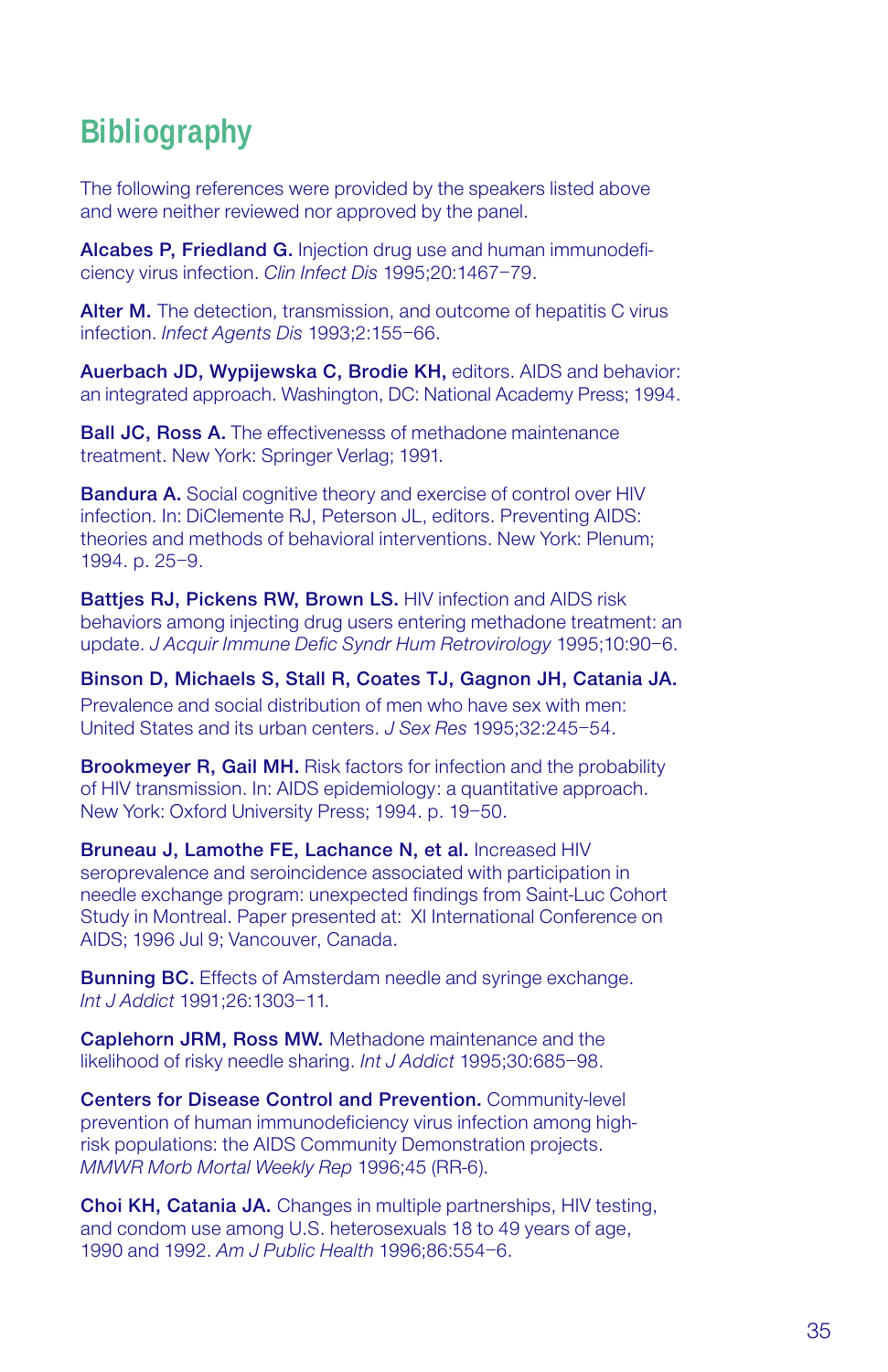## **Bibliography**

The following references were provided by the speakers listed above and were neither reviewed nor approved by the panel.

Alcabes P, Friedland G. Injection drug use and human immunodeficiency virus infection. Clin Infect Dis 1995;20:1467–79.

Alter M. The detection, transmission, and outcome of hepatitis C virus infection. Infect Agents Dis 1993;2:155–66.

Auerbach JD, Wypijewska C, Brodie KH, editors. AIDS and behavior: an integrated approach. Washington, DC: National Academy Press; 1994.

**Ball JC. Ross A.** The effectivenesss of methadone maintenance treatment. New York: Springer Verlag; 1991.

Bandura A. Social cognitive theory and exercise of control over HIV infection. In: DiClemente RJ, Peterson JL, editors. Preventing AIDS: theories and methods of behavioral interventions. New York: Plenum; 1994. p. 25–9.

Battjes RJ, Pickens RW, Brown LS. HIV infection and AIDS risk behaviors among injecting drug users entering methadone treatment: an update. J Acquir Immune Defic Syndr Hum Retrovirology 1995;10:90–6.

Binson D, Michaels S, Stall R, Coates TJ, Gagnon JH, Catania JA. Prevalence and social distribution of men who have sex with men:

United States and its urban centers. J Sex Res 1995;32:245–54.

**Brookmeyer R, Gail MH.** Risk factors for infection and the probability of HIV transmission. In: AIDS epidemiology: a quantitative approach. New York: Oxford University Press; 1994. p. 19–50.

Bruneau J, Lamothe FE, Lachance N, et al. Increased HIV seroprevalence and seroincidence associated with participation in needle exchange program: unexpected findings from Saint-Luc Cohort Study in Montreal. Paper presented at: XI International Conference on AIDS; 1996 Jul 9; Vancouver, Canada.

**Bunning BC.** Effects of Amsterdam needle and syringe exchange. Int J Addict 1991;26:1303–11.

Caplehorn JRM, Ross MW. Methadone maintenance and the likelihood of risky needle sharing. Int J Addict 1995;30:685–98.

Centers for Disease Control and Prevention. Community-level prevention of human immunodeficiency virus infection among highrisk populations: the AIDS Community Demonstration projects. MMWR Morb Mortal Weekly Rep 1996;45 (RR-6).

Choi KH, Catania JA. Changes in multiple partnerships, HIV testing, and condom use among U.S. heterosexuals 18 to 49 years of age, 1990 and 1992. Am J Public Health 1996;86:554–6.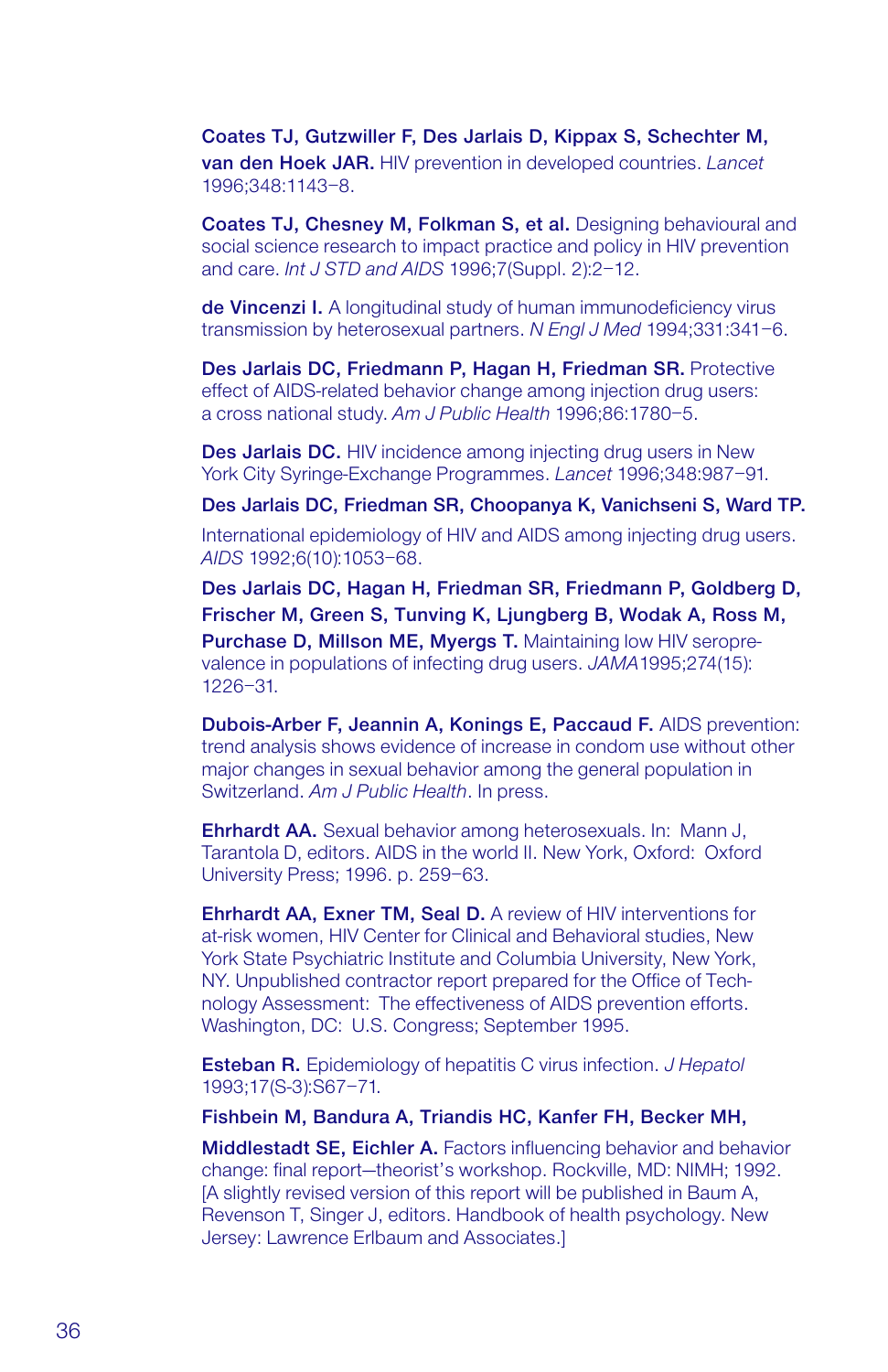#### Coates TJ, Gutzwiller F, Des Jarlais D, Kippax S, Schechter M, van den Hoek JAR. HIV prevention in developed countries. Lancet 1996;348:1143–8.

Coates TJ, Chesney M, Folkman S, et al. Designing behavioural and social science research to impact practice and policy in HIV prevention and care. Int J STD and AIDS 1996;7(Suppl. 2):2–12.

de Vincenzi I. A longitudinal study of human immunodeficiency virus transmission by heterosexual partners. N Engl J Med 1994;331:341-6.

Des Jarlais DC, Friedmann P, Hagan H, Friedman SR. Protective effect of AIDS-related behavior change among injection drug users: a cross national study. Am J Public Health 1996;86:1780–5.

Des Jarlais DC. HIV incidence among injecting drug users in New York City Syringe-Exchange Programmes. Lancet 1996;348:987–91.

Des Jarlais DC, Friedman SR, Choopanya K, Vanichseni S, Ward TP.

International epidemiology of HIV and AIDS among injecting drug users. AIDS 1992;6(10):1053–68.

Des Jarlais DC, Hagan H, Friedman SR, Friedmann P, Goldberg D, Frischer M, Green S, Tunving K, Ljungberg B, Wodak A, Ross M, Purchase D, Millson ME, Myergs T. Maintaining low HIV seroprevalence in populations of infecting drug users. JAMA1995;274(15): 1226–31.

Dubois-Arber F, Jeannin A, Konings E, Paccaud F. AIDS prevention: trend analysis shows evidence of increase in condom use without other major changes in sexual behavior among the general population in Switzerland. Am J Public Health. In press.

Ehrhardt AA. Sexual behavior among heterosexuals. In: Mann J, Tarantola D, editors. AIDS in the world II. New York, Oxford: Oxford University Press; 1996. p. 259–63.

Ehrhardt AA, Exner TM, Seal D. A review of HIV interventions for at-risk women, HIV Center for Clinical and Behavioral studies, New York State Psychiatric Institute and Columbia University, New York, NY. Unpublished contractor report prepared for the Office of Technology Assessment: The effectiveness of AIDS prevention efforts. Washington, DC: U.S. Congress; September 1995.

**Esteban R.** Epidemiology of hepatitis C virus infection. *J Hepatol* 1993;17(S-3):S67–71.

Fishbein M, Bandura A, Triandis HC, Kanfer FH, Becker MH,

Middlestadt SE, Eichler A. Factors influencing behavior and behavior change: final report—theorist's workshop. Rockville, MD: NIMH; 1992. [A slightly revised version of this report will be published in Baum A, Revenson T, Singer J, editors. Handbook of health psychology. New Jersey: Lawrence Erlbaum and Associates.]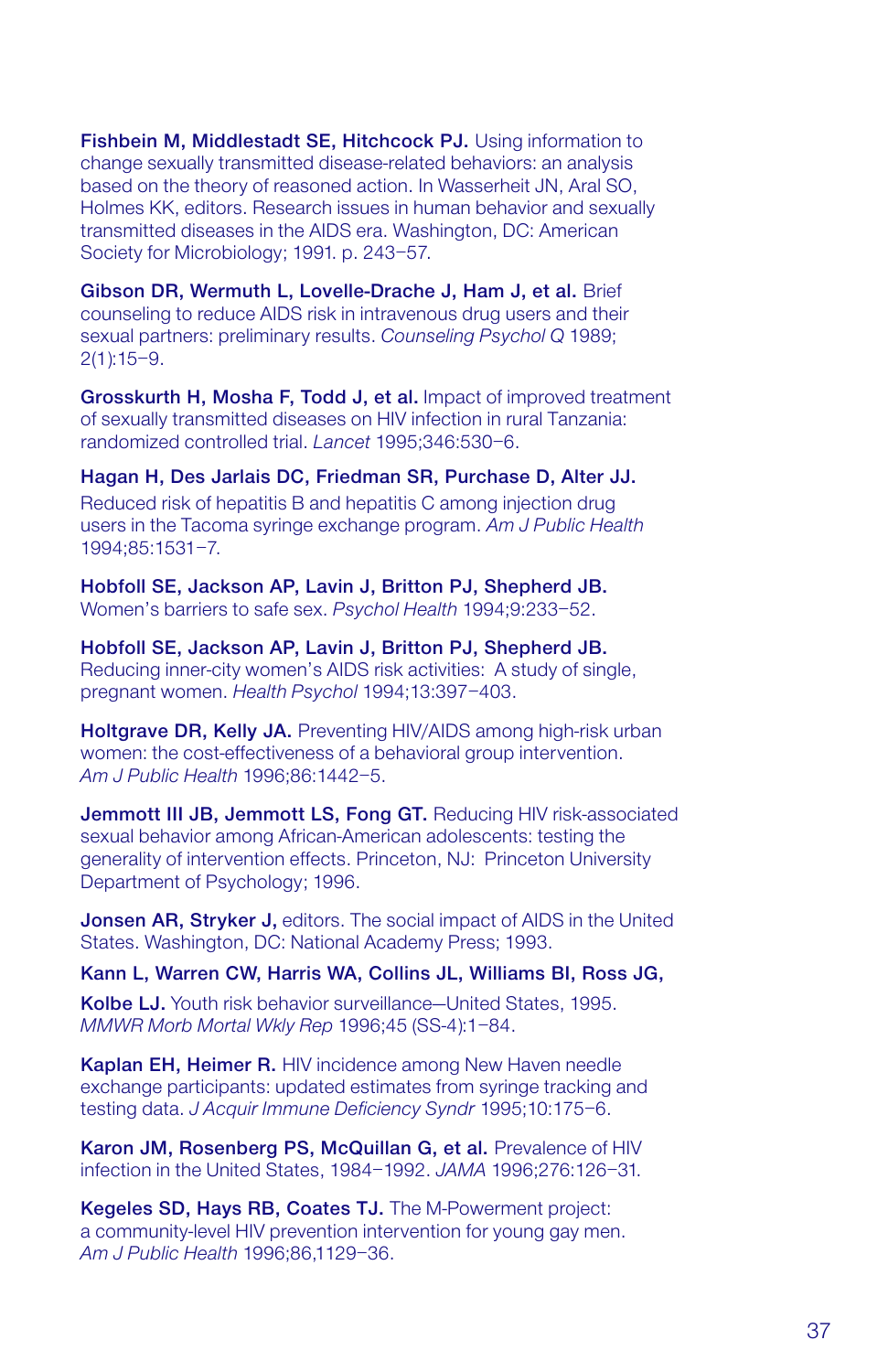Fishbein M, Middlestadt SE, Hitchcock PJ. Using information to change sexually transmitted disease-related behaviors: an analysis based on the theory of reasoned action. In Wasserheit JN, Aral SO, Holmes KK, editors. Research issues in human behavior and sexually transmitted diseases in the AIDS era. Washington, DC: American Society for Microbiology; 1991. p. 243–57.

Gibson DR, Wermuth L, Lovelle-Drache J, Ham J, et al. Brief counseling to reduce AIDS risk in intravenous drug users and their sexual partners: preliminary results. Counseling Psychol Q 1989; 2(1):15–9.

Grosskurth H, Mosha F, Todd J, et al. Impact of improved treatment of sexually transmitted diseases on HIV infection in rural Tanzania: randomized controlled trial. Lancet 1995;346:530–6.

Hagan H, Des Jarlais DC, Friedman SR, Purchase D, Alter JJ. Reduced risk of hepatitis B and hepatitis C among injection drug users in the Tacoma syringe exchange program. Am J Public Health 1994;85:1531–7.

Hobfoll SE, Jackson AP, Lavin J, Britton PJ, Shepherd JB. Women's barriers to safe sex. Psychol Health 1994;9:233–52.

Hobfoll SE, Jackson AP, Lavin J, Britton PJ, Shepherd JB. Reducing inner-city women's AIDS risk activities: A study of single, pregnant women. Health Psychol 1994;13:397–403.

Holtgrave DR, Kelly JA. Preventing HIV/AIDS among high-risk urban women: the cost-effectiveness of a behavioral group intervention. Am J Public Health 1996;86:1442–5.

Jemmott III JB, Jemmott LS, Fong GT. Reducing HIV risk-associated sexual behavior among African-American adolescents: testing the generality of intervention effects. Princeton, NJ: Princeton University Department of Psychology; 1996.

Jonsen AR, Stryker J, editors. The social impact of AIDS in the United States. Washington, DC: National Academy Press; 1993.

Kann L, Warren CW, Harris WA, Collins JL, Williams BI, Ross JG,

Kolbe LJ. Youth risk behavior surveillance—United States, 1995. MMWR Morb Mortal Wkly Rep 1996;45 (SS-4):1–84.

Kaplan EH, Heimer R. HIV incidence among New Haven needle exchange participants: updated estimates from syringe tracking and testing data. J Acquir Immune Deficiency Syndr 1995;10:175–6.

Karon JM, Rosenberg PS, McQuillan G, et al. Prevalence of HIV infection in the United States, 1984–1992. JAMA 1996;276:126–31.

Kegeles SD, Hays RB, Coates TJ. The M-Powerment project: a community-level HIV prevention intervention for young gay men. Am J Public Health 1996;86,1129–36.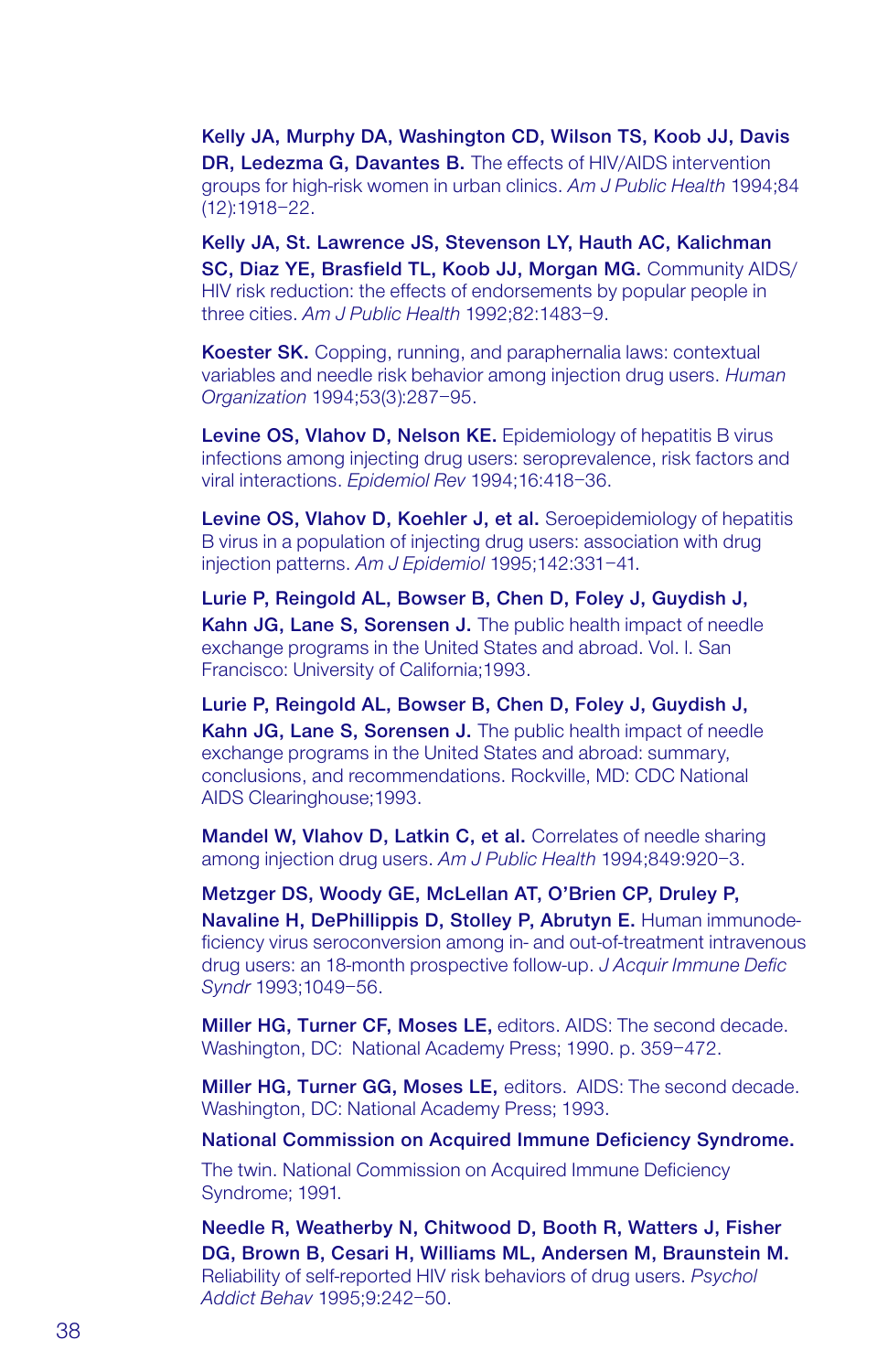Kelly JA, Murphy DA, Washington CD, Wilson TS, Koob JJ, Davis DR. Ledezma G. Davantes B. The effects of HIV/AIDS intervention groups for high-risk women in urban clinics. Am J Public Health 1994;84 (12):1918–22.

Kelly JA, St. Lawrence JS, Stevenson LY, Hauth AC, Kalichman SC, Diaz YE, Brasfield TL, Koob JJ, Morgan MG. Community AIDS/ HIV risk reduction: the effects of endorsements by popular people in three cities. Am J Public Health 1992;82:1483–9.

Koester SK. Copping, running, and paraphernalia laws: contextual variables and needle risk behavior among injection drug users. Human Organization 1994;53(3):287–95.

Levine OS, Vlahov D, Nelson KE. Epidemiology of hepatitis B virus infections among injecting drug users: seroprevalence, risk factors and viral interactions. Epidemiol Rev 1994;16:418-36.

Levine OS, Vlahov D, Koehler J, et al. Seroepidemiology of hepatitis B virus in a population of injecting drug users: association with drug injection patterns. Am J Epidemiol 1995;142:331–41.

Lurie P, Reingold AL, Bowser B, Chen D, Foley J, Guydish J, Kahn JG, Lane S, Sorensen J. The public health impact of needle exchange programs in the United States and abroad. Vol. l. San Francisco: University of California;1993.

Lurie P, Reingold AL, Bowser B, Chen D, Foley J, Guydish J, Kahn JG, Lane S, Sorensen J. The public health impact of needle exchange programs in the United States and abroad: summary, conclusions, and recommendations. Rockville, MD: CDC National AIDS Clearinghouse;1993.

Mandel W, Vlahov D, Latkin C, et al. Correlates of needle sharing among injection drug users. Am J Public Health 1994;849:920–3.

Metzger DS, Woody GE, McLellan AT, O'Brien CP, Druley P, Navaline H, DePhillippis D, Stolley P, Abrutyn E. Human immunodeficiency virus seroconversion among in- and out-of-treatment intravenous drug users: an 18-month prospective follow-up. J Acquir Immune Defic Syndr 1993;1049–56.

Miller HG, Turner CF, Moses LE, editors. AIDS: The second decade. Washington, DC: National Academy Press; 1990. p. 359–472.

Miller HG, Turner GG, Moses LE, editors. AIDS: The second decade. Washington, DC: National Academy Press; 1993.

National Commission on Acquired Immune Deficiency Syndrome.

The twin. National Commission on Acquired Immune Deficiency Syndrome; 1991.

Needle R, Weatherby N, Chitwood D, Booth R, Watters J, Fisher DG, Brown B, Cesari H, Williams ML, Andersen M, Braunstein M. Reliability of self-reported HIV risk behaviors of drug users. Psychol Addict Behav 1995;9:242–50.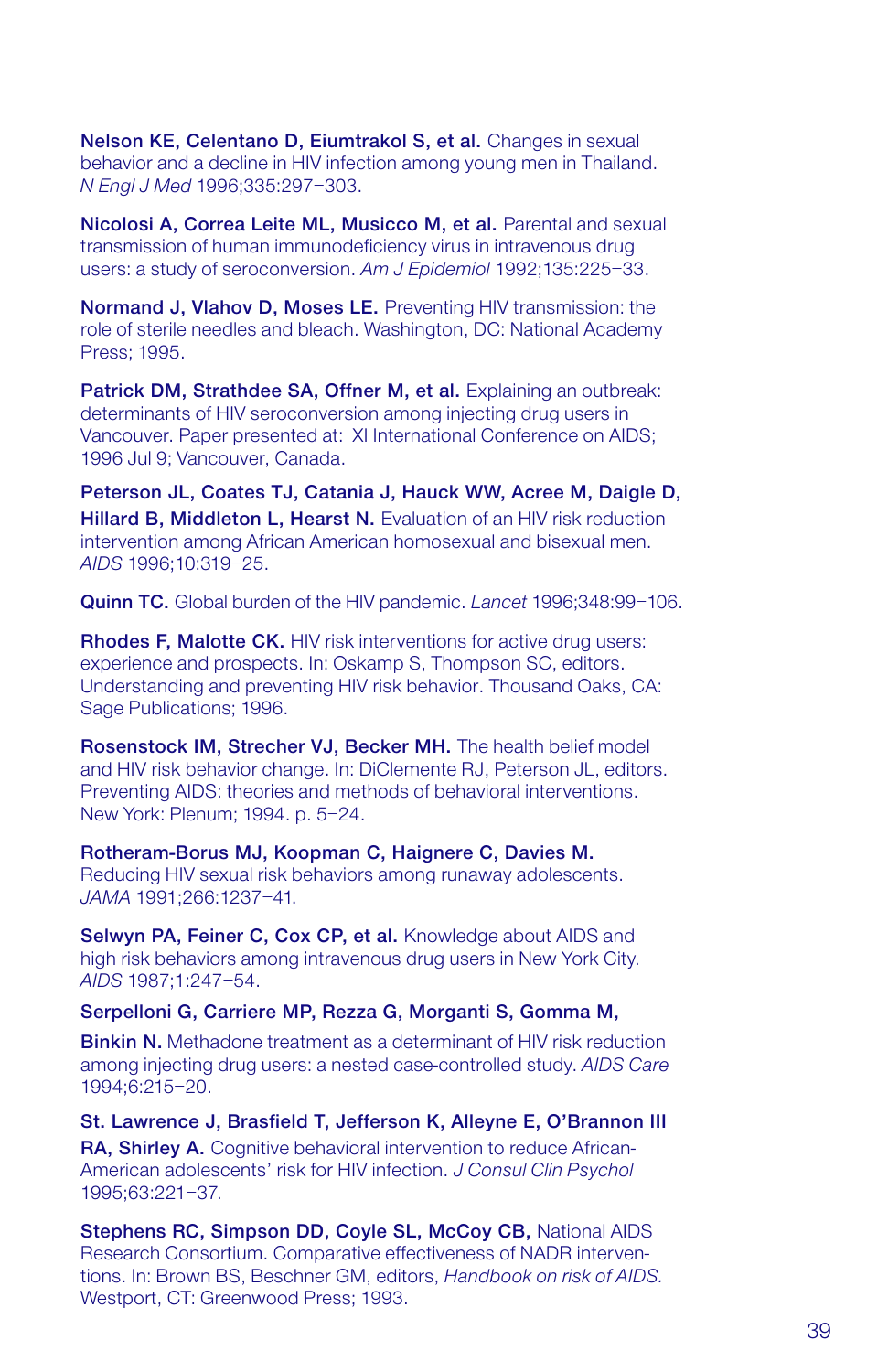Nelson KE, Celentano D, Eiumtrakol S, et al. Changes in sexual behavior and a decline in HIV infection among young men in Thailand. N Engl J Med 1996;335:297–303.

Nicolosi A, Correa Leite ML, Musicco M, et al. Parental and sexual transmission of human immunodeficiency virus in intravenous drug users: a study of seroconversion. Am J Epidemiol 1992;135:225–33.

Normand J, Vlahov D, Moses LE. Preventing HIV transmission: the role of sterile needles and bleach. Washington, DC: National Academy Press; 1995.

Patrick DM, Strathdee SA, Offner M, et al. Explaining an outbreak: determinants of HIV seroconversion among injecting drug users in Vancouver. Paper presented at: XI International Conference on AIDS; 1996 Jul 9; Vancouver, Canada.

Peterson JL, Coates TJ, Catania J, Hauck WW, Acree M, Daigle D, Hillard B, Middleton L, Hearst N. Evaluation of an HIV risk reduction intervention among African American homosexual and bisexual men. AIDS 1996;10:319–25.

Quinn TC. Global burden of the HIV pandemic. Lancet 1996;348:99-106.

Rhodes F, Malotte CK. HIV risk interventions for active drug users: experience and prospects. In: Oskamp S, Thompson SC, editors. Understanding and preventing HIV risk behavior. Thousand Oaks, CA: Sage Publications; 1996.

Rosenstock IM, Strecher VJ, Becker MH. The health belief model and HIV risk behavior change. In: DiClemente RJ, Peterson JL, editors. Preventing AIDS: theories and methods of behavioral interventions. New York: Plenum; 1994. p. 5–24.

Rotheram-Borus MJ, Koopman C, Haignere C, Davies M. Reducing HIV sexual risk behaviors among runaway adolescents. JAMA 1991;266:1237–41.

Selwyn PA, Feiner C, Cox CP, et al. Knowledge about AIDS and high risk behaviors among intravenous drug users in New York City. AIDS 1987;1:247–54.

Serpelloni G, Carriere MP, Rezza G, Morganti S, Gomma M,

**Binkin N.** Methadone treatment as a determinant of HIV risk reduction among injecting drug users: a nested case-controlled study. AIDS Care 1994;6:215–20.

St. Lawrence J, Brasfield T, Jefferson K, Alleyne E, O'Brannon III RA, Shirley A. Cognitive behavioral intervention to reduce African-American adolescents' risk for HIV infection. J Consul Clin Psychol 1995;63:221–37.

Stephens RC, Simpson DD, Coyle SL, McCoy CB, National AIDS Research Consortium. Comparative effectiveness of NADR interventions. In: Brown BS, Beschner GM, editors, Handbook on risk of AIDS. Westport, CT: Greenwood Press; 1993.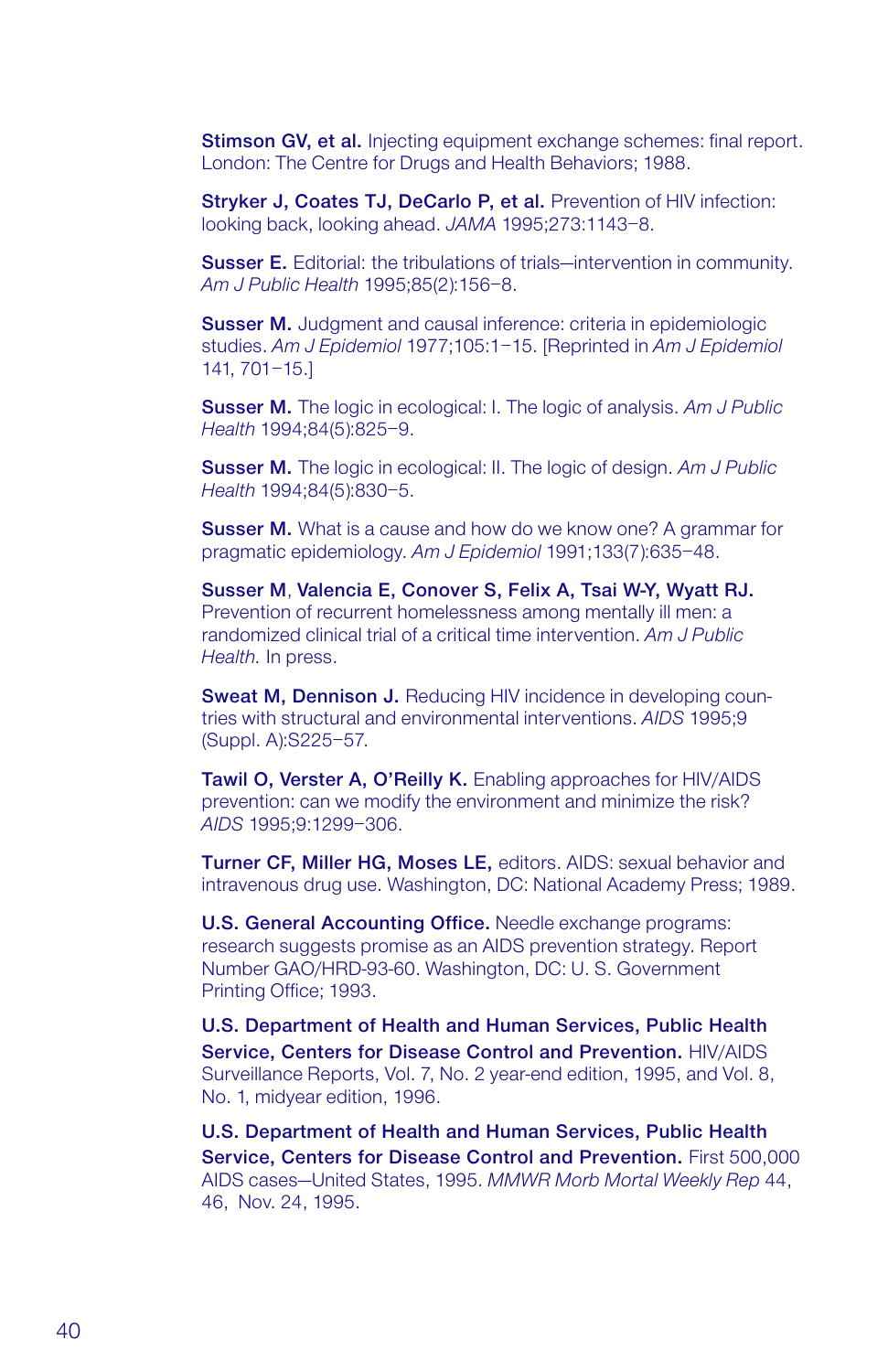**Stimson GV, et al.** Injecting equipment exchange schemes: final report. London: The Centre for Drugs and Health Behaviors; 1988.

Stryker J, Coates TJ, DeCarlo P, et al. Prevention of HIV infection: looking back, looking ahead. JAMA 1995;273:1143–8.

Susser E. Editorial: the tribulations of trials-intervention in community. Am J Public Health 1995;85(2):156–8.

**Susser M.** Judgment and causal inference: criteria in epidemiologic studies. Am J Epidemiol 1977;105:1-15. [Reprinted in Am J Epidemiol] 141, 701–15.]

**Susser M.** The logic in ecological: I. The logic of analysis. Am J Public Health 1994;84(5):825–9.

Susser M. The logic in ecological: II. The logic of design. Am J Public Health 1994;84(5):830–5.

**Susser M.** What is a cause and how do we know one? A grammar for pragmatic epidemiology. Am J Epidemiol 1991;133(7):635–48.

Susser M, Valencia E, Conover S, Felix A, Tsai W-Y, Wyatt RJ. Prevention of recurrent homelessness among mentally ill men: a randomized clinical trial of a critical time intervention. Am J Public Health. In press.

Sweat M, Dennison J. Reducing HIV incidence in developing countries with structural and environmental interventions. AIDS 1995;9 (Suppl. A):S225–57.

Tawil O, Verster A, O'Reilly K. Enabling approaches for HIV/AIDS prevention: can we modify the environment and minimize the risk? AIDS 1995;9:1299–306.

Turner CF, Miller HG, Moses LE, editors. AIDS: sexual behavior and intravenous drug use. Washington, DC: National Academy Press; 1989.

U.S. General Accounting Office. Needle exchange programs: research suggests promise as an AIDS prevention strategy. Report Number GAO/HRD-93-60. Washington, DC: U. S. Government Printing Office; 1993.

U.S. Department of Health and Human Services, Public Health Service, Centers for Disease Control and Prevention. HIV/AIDS Surveillance Reports, Vol. 7, No. 2 year-end edition, 1995, and Vol. 8, No. 1, midyear edition, 1996.

U.S. Department of Health and Human Services, Public Health Service, Centers for Disease Control and Prevention. First 500,000 AIDS cases—United States, 1995. MMWR Morb Mortal Weekly Rep 44, 46, Nov. 24, 1995.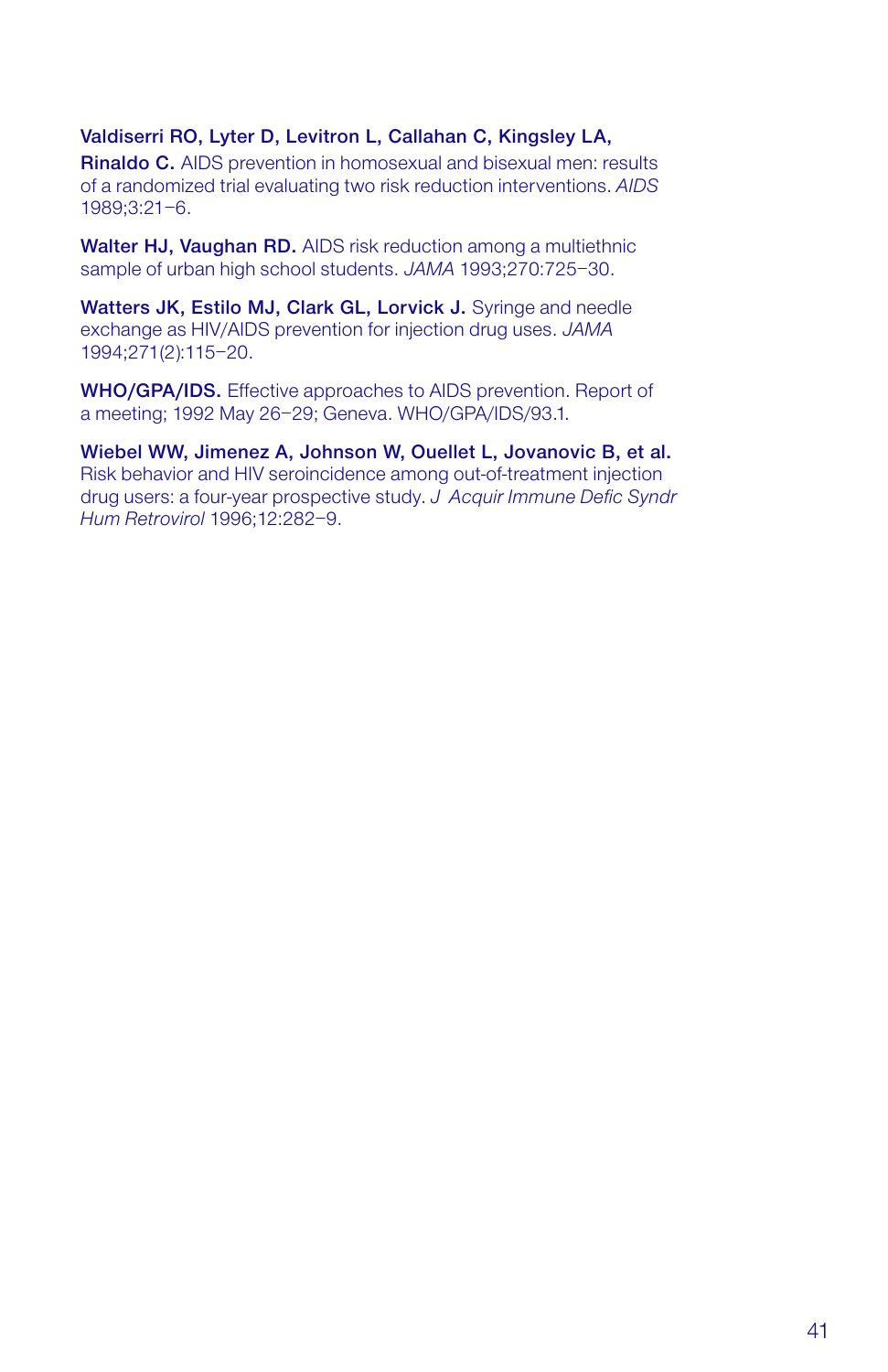#### Valdiserri RO, Lyter D, Levitron L, Callahan C, Kingsley LA,

Rinaldo C. AIDS prevention in homosexual and bisexual men: results of a randomized trial evaluating two risk reduction interventions. AIDS 1989;3:21–6.

Walter HJ, Vaughan RD. AIDS risk reduction among a multiethnic sample of urban high school students. JAMA 1993;270:725–30.

Watters JK, Estilo MJ, Clark GL, Lorvick J. Syringe and needle exchange as HIV/AIDS prevention for injection drug uses. JAMA 1994;271(2):115–20.

WHO/GPA/IDS. Effective approaches to AIDS prevention. Report of a meeting; 1992 May 26–29; Geneva. WHO/GPA/IDS/93.1.

Wiebel WW, Jimenez A, Johnson W, Ouellet L, Jovanovic B, et al. Risk behavior and HIV seroincidence among out-of-treatment injection drug users: a four-year prospective study. J Acquir Immune Defic Syndr Hum Retrovirol 1996;12:282–9.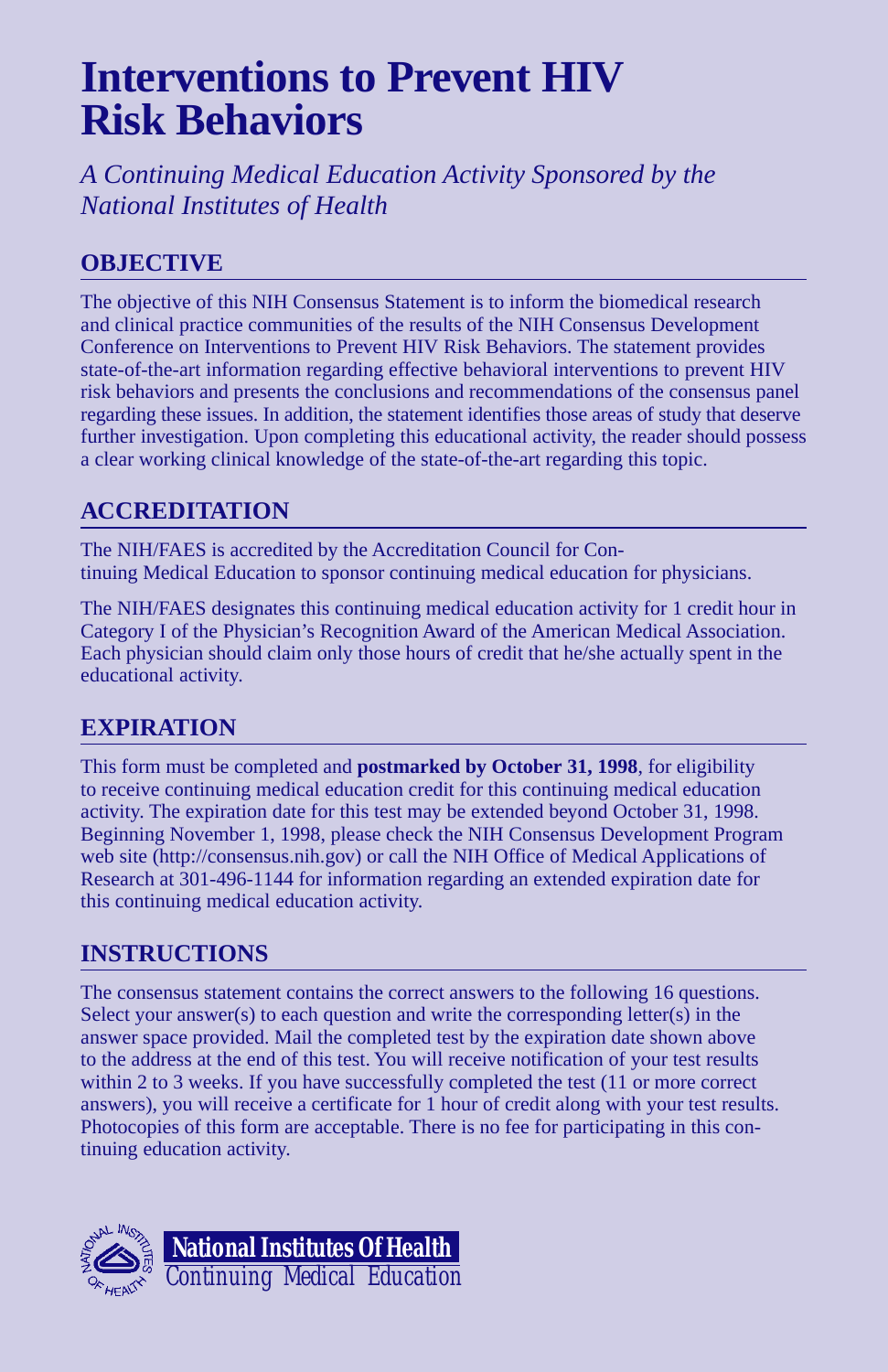## **Interventions to Prevent HIV Risk Behaviors**

*A Continuing Medical Education Activity Sponsored by the National Institutes of Health* 

## **OBJECTIVE**

The objective of this NIH Consensus Statement is to inform the biomedical research and clinical practice communities of the results of the NIH Consensus Development Conference on Interventions to Prevent HIV Risk Behaviors. The statement provides state-of-the-art information regarding effective behavioral interventions to prevent HIV risk behaviors and presents the conclusions and recommendations of the consensus panel regarding these issues. In addition, the statement identifies those areas of study that deserve further investigation. Upon completing this educational activity, the reader should possess a clear working clinical knowledge of the state-of-the-art regarding this topic.

### **ACCREDITATION**

The NIH/FAES is accredited by the Accreditation Council for Continuing Medical Education to sponsor continuing medical education for physicians.

The NIH/FAES designates this continuing medical education activity for 1 credit hour in Category I of the Physician's Recognition Award of the American Medical Association. Each physician should claim only those hours of credit that he/she actually spent in the educational activity.

### **EXPIRATION**

This form must be completed and **postmarked by October 31, 1998**, for eligibility to receive continuing medical education credit for this continuing medical education activity. The expiration date for this test may be extended beyond October 31, 1998. Beginning November 1, 1998, please check the NIH Consensus Development Program web site (http://consensus.nih.gov) or call the NIH Office of Medical Applications of Research at 301-496-1144 for information regarding an extended expiration date for this continuing medical education activity.

### **INSTRUCTIONS**

The consensus statement contains the correct answers to the following 16 questions. Select your answer(s) to each question and write the corresponding letter(s) in the answer space provided. Mail the completed test by the expiration date shown above to the address at the end of this test. You will receive notification of your test results within 2 to 3 weeks. If you have successfully completed the test (11 or more correct answers), you will receive a certificate for 1 hour of credit along with your test results. Photocopies of this form are acceptable. There is no fee for participating in this continuing education activity.

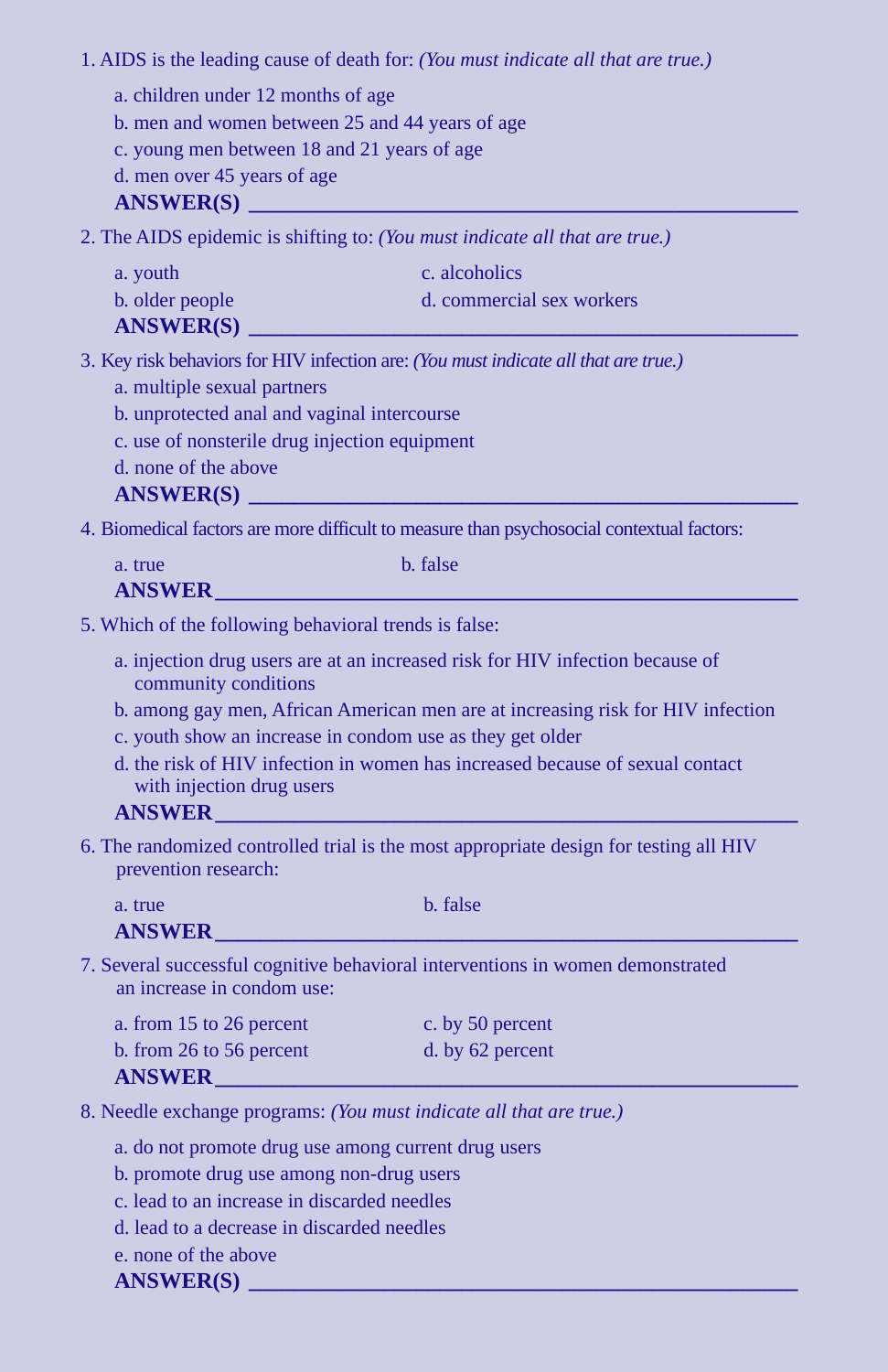1. AIDS is the leading cause of death for: *(You must indicate all that are true.)* 

- a. children under 12 months of age
- b. men and women between 25 and 44 years of age
- c. young men between 18 and 21 years of age
- d. men over 45 years of age
- **ANSWER(S) \_\_\_\_\_\_\_\_\_\_\_\_\_\_\_\_\_\_\_\_\_\_\_\_\_\_\_\_\_\_\_\_\_\_\_\_\_\_\_\_\_\_\_\_\_\_\_\_\_**
- 2. The AIDS epidemic is shifting to: *(You must indicate all that are true.)*

| a. youth         | c. alcoholics             |
|------------------|---------------------------|
| b. older people  | d. commercial sex workers |
| <b>ANSWER(S)</b> |                           |

3. Key risk behaviors for HIV infection are: *(You must indicate all that are true.)* 

- a. multiple sexual partners
- b. unprotected anal and vaginal intercourse
- c. use of nonsterile drug injection equipment
- d. none of the above

#### **ANSWER(S) \_\_\_\_\_\_\_\_\_\_\_\_\_\_\_\_\_\_\_\_\_\_\_\_\_\_\_\_\_\_\_\_\_\_\_\_\_\_\_\_\_\_\_\_\_\_\_\_\_**

4. Biomedical factors are more difficult to measure than psychosocial contextual factors:

| a. true       | talse<br>h |
|---------------|------------|
| <b>ANSWER</b> |            |

- 5. Which of the following behavioral trends is false:
	- a. injection drug users are at an increased risk for HIV infection because of community conditions
	- b. among gay men, African American men are at increasing risk for HIV infection
	- c. youth show an increase in condom use as they get older
	- d. the risk of HIV infection in women has increased because of sexual contact with injection drug users

#### **ANSWER\_\_\_\_\_\_\_\_\_\_\_\_\_\_\_\_\_\_\_\_\_\_\_\_\_\_\_\_\_\_\_\_\_\_\_\_\_\_\_\_\_\_\_\_\_\_\_\_\_\_\_\_**

6. The randomized controlled trial is the most appropriate design for testing all HIV prevention research:

| a. true                    | b. false                                                                       |  |
|----------------------------|--------------------------------------------------------------------------------|--|
| <b>ANSWER</b>              |                                                                                |  |
| an increase in condom use: | 7. Several successful cognitive behavioral interventions in women demonstrated |  |
| a. from 15 to 26 percent   | c. by 50 percent                                                               |  |
| b. from 26 to 56 percent   | d. by 62 percent                                                               |  |
| <b>ANSWER</b>              |                                                                                |  |

8. Needle exchange programs: *(You must indicate all that are true.)* 

a. do not promote drug use among current drug users

- b. promote drug use among non-drug users
- c. lead to an increase in discarded needles
- d. lead to a decrease in discarded needles
- e. none of the above

**ANSWER(S) \_\_\_\_\_\_\_\_\_\_\_\_\_\_\_\_\_\_\_\_\_\_\_\_\_\_\_\_\_\_\_\_\_\_\_\_\_\_\_\_\_\_\_\_\_\_\_\_\_**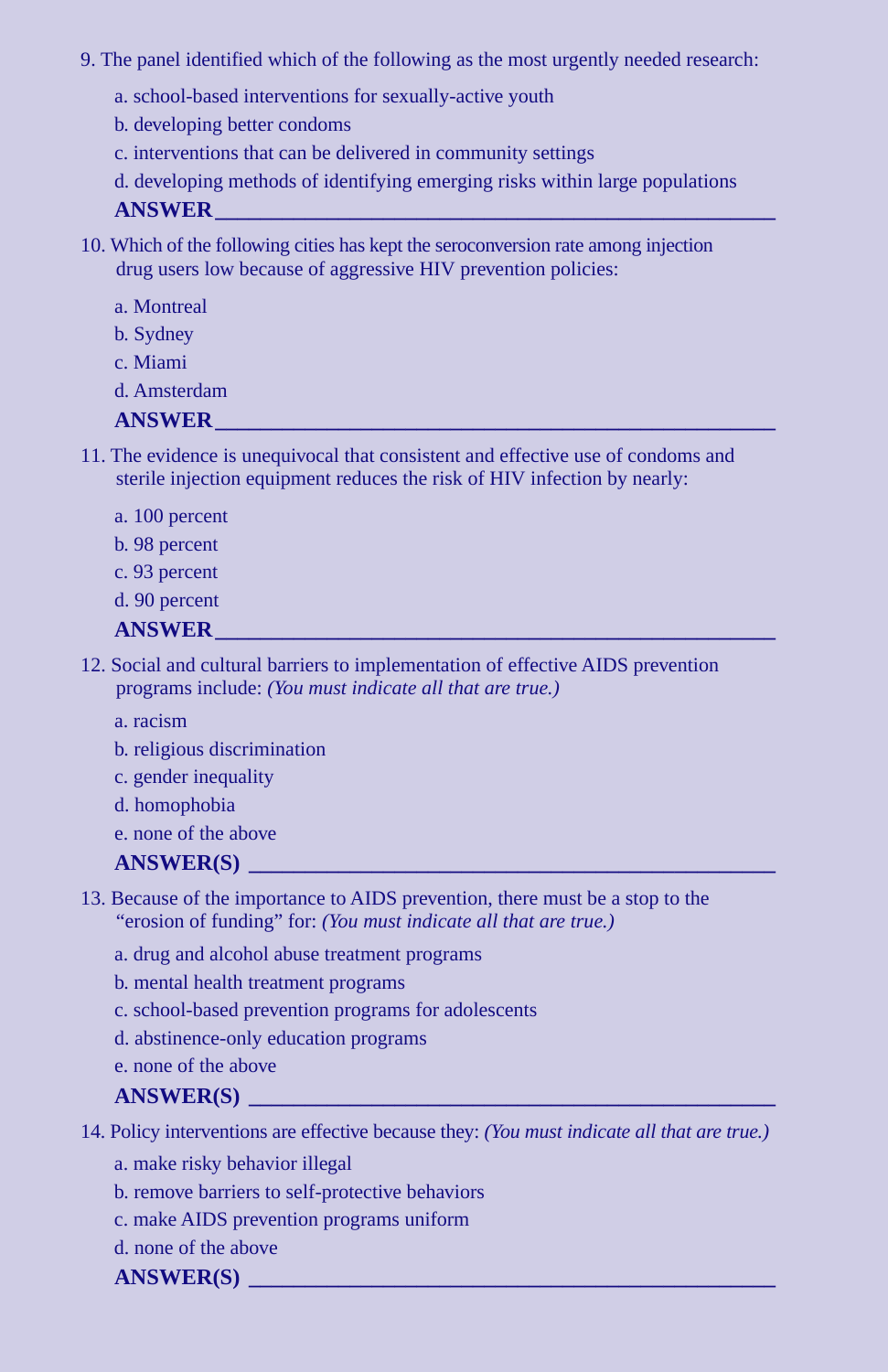- 9. The panel identified which of the following as the most urgently needed research:
	- a. school-based interventions for sexually-active youth
	- b. developing better condoms
	- c. interventions that can be delivered in community settings

d. developing methods of identifying emerging risks within large populations **ANSWER\_\_\_\_\_\_\_\_\_\_\_\_\_\_\_\_\_\_\_\_\_\_\_\_\_\_\_\_\_\_\_\_\_\_\_\_\_\_\_\_\_\_\_\_\_\_\_\_\_\_** 

- 10. Which of the following cities has kept the seroconversion rate among injection drug users low because of aggressive HIV prevention policies:
	- a. Montreal

b. Sydney

- c. Miami
- d. Amsterdam

#### **ANSWER\_\_\_\_\_\_\_\_\_\_\_\_\_\_\_\_\_\_\_\_\_\_\_\_\_\_\_\_\_\_\_\_\_\_\_\_\_\_\_\_\_\_\_\_\_\_\_\_\_\_**

- 11. The evidence is unequivocal that consistent and effective use of condoms and sterile injection equipment reduces the risk of HIV infection by nearly:
	- a. 100 percent
	- b. 98 percent
	- c. 93 percent
	- d. 90 percent
	- **ANSWER\_\_\_\_\_\_\_\_\_\_\_\_\_\_\_\_\_\_\_\_\_\_\_\_\_\_\_\_\_\_\_\_\_\_\_\_\_\_\_\_\_\_\_\_\_\_\_\_\_\_**
- 12. Social and cultural barriers to implementation of effective AIDS prevention programs include: *(You must indicate all that are true.)* 
	- a. racism
	- b. religious discrimination
	- c. gender inequality
	- d. homophobia
	- e. none of the above

#### **ANSWER(S) \_\_\_\_\_\_\_\_\_\_\_\_\_\_\_\_\_\_\_\_\_\_\_\_\_\_\_\_\_\_\_\_\_\_\_\_\_\_\_\_\_\_\_\_\_\_\_**

- 13. Because of the importance to AIDS prevention, there must be a stop to the "erosion of funding" for: *(You must indicate all that are true.)* 
	- a. drug and alcohol abuse treatment programs
	- b. mental health treatment programs
	- c. school-based prevention programs for adolescents
	- d. abstinence-only education programs
	- e. none of the above
	- **ANSWER(S) \_\_\_\_\_\_\_\_\_\_\_\_\_\_\_\_\_\_\_\_\_\_\_\_\_\_\_\_\_\_\_\_\_\_\_\_\_\_\_\_\_\_\_\_\_\_\_**

14. Policy interventions are effective because they: *(You must indicate all that are true.)* 

- a. make risky behavior illegal
- b. remove barriers to self-protective behaviors
- c. make AIDS prevention programs uniform
- d. none of the above

#### **ANSWER(S) \_\_\_\_\_\_\_\_\_\_\_\_\_\_\_\_\_\_\_\_\_\_\_\_\_\_\_\_\_\_\_\_\_\_\_\_\_\_\_\_\_\_\_\_\_\_\_**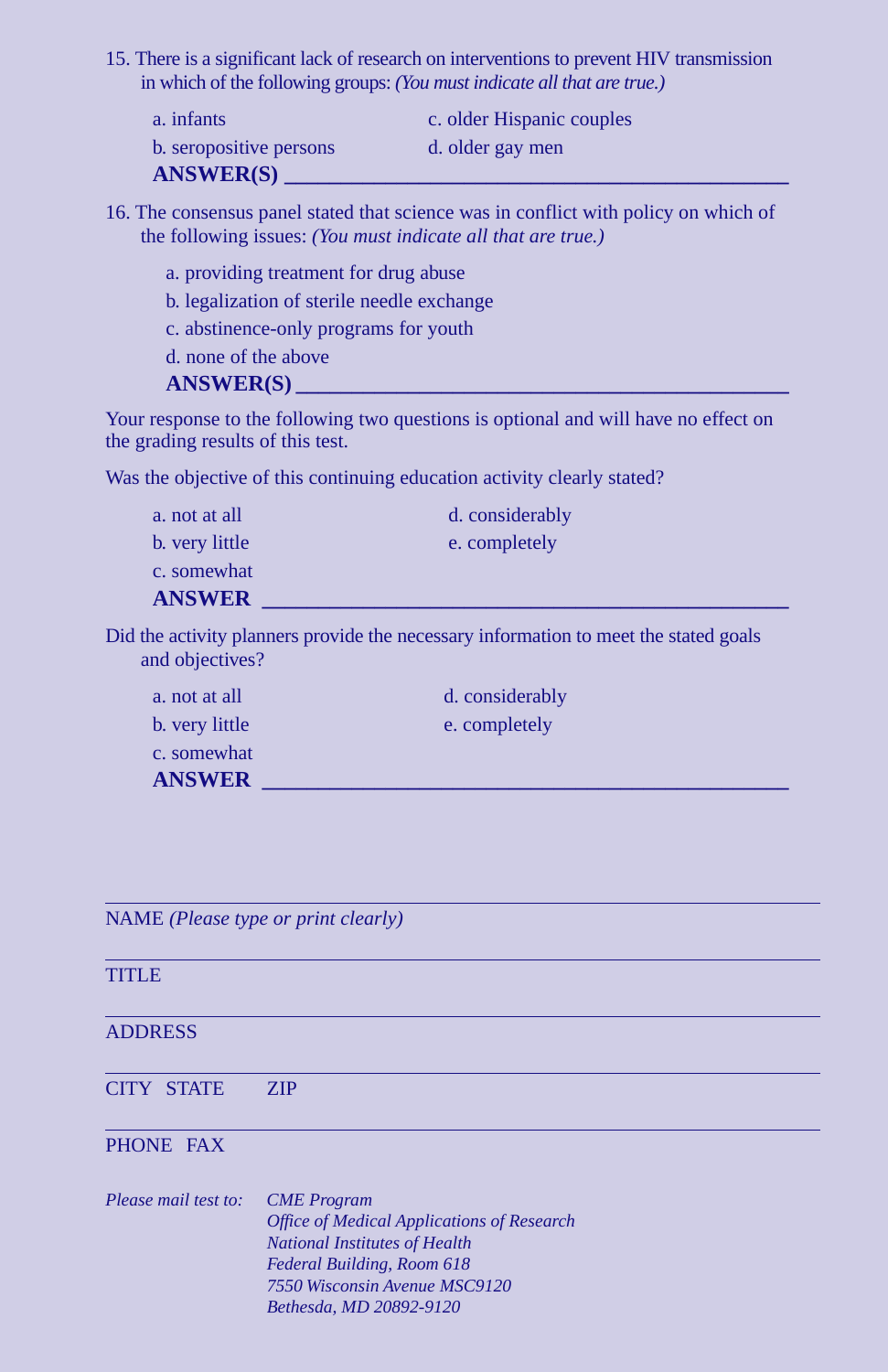15. There is a significant lack of research on interventions to prevent HIV transmission in which of the following groups: *(You must indicate all that are true.)* 

| a. infants              | c. older Hispanic couples |
|-------------------------|---------------------------|
| b. seropositive persons | d. older gay men          |
| <b>ANSWER(S)</b>        |                           |

16. The consensus panel stated that science was in conflict with policy on which of the following issues: *(You must indicate all that are true.)* 

| a. providing treatment for drug abuse      |  |
|--------------------------------------------|--|
| b. legalization of sterile needle exchange |  |
| c. abstinence-only programs for youth      |  |
| d. none of the above                       |  |

**ANSWER(S) \_\_\_\_\_\_\_\_\_\_\_\_\_\_\_\_\_\_\_\_\_\_\_\_\_\_\_\_\_\_\_\_\_\_\_\_\_\_\_\_\_\_\_\_** 

Your response to the following two questions is optional and will have no effect on the grading results of this test.

Was the objective of this continuing education activity clearly stated?

| a. not at all  | d. considerably |
|----------------|-----------------|
| b. very little | e. completely   |
| c. somewhat    |                 |
| <b>ANSWER</b>  |                 |
|                |                 |

Did the activity planners provide the necessary information to meet the stated goals and objectives?

| a. not at all  | d. considerably |
|----------------|-----------------|
| b. very little | e. completely   |
| c. somewhat    |                 |
| <b>ANSWER</b>  |                 |

NAME *(Please type or print clearly)* 

## TITLE<sub></sub>

#### ADDRESS

CITY STATE ZIP

#### PHONE FAX

*Please mail test to: CME Program Office of Medical Applications of Research National Institutes of Health Federal Building, Room 618 7550 Wisconsin Avenue MSC9120 Bethesda, MD 20892-9120*